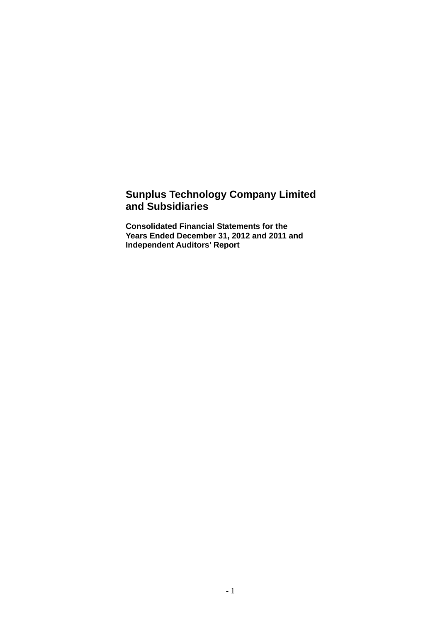## **Sunplus Technology Company Limited and Subsidiaries**

**Consolidated Financial Statements for the Years Ended December 31, 2012 and 2011 and Independent Auditors' Report**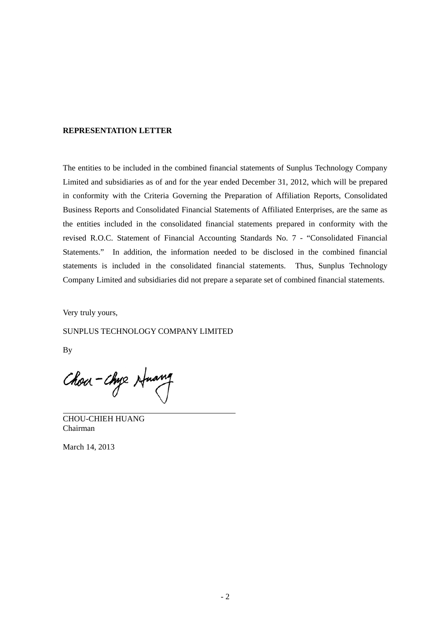#### **REPRESENTATION LETTER**

The entities to be included in the combined financial statements of Sunplus Technology Company Limited and subsidiaries as of and for the year ended December 31, 2012, which will be prepared in conformity with the Criteria Governing the Preparation of Affiliation Reports, Consolidated Business Reports and Consolidated Financial Statements of Affiliated Enterprises, are the same as the entities included in the consolidated financial statements prepared in conformity with the revised R.O.C. Statement of Financial Accounting Standards No. 7 - "Consolidated Financial Statements." In addition, the information needed to be disclosed in the combined financial statements is included in the consolidated financial statements. Thus, Sunplus Technology Company Limited and subsidiaries did not prepare a separate set of combined financial statements.

Very truly yours,

SUNPLUS TECHNOLOGY COMPANY LIMITED

By

 $\overline{a}$ 

Chou-Chye Huang

CHOU-CHIEH HUANG Chairman

March 14, 2013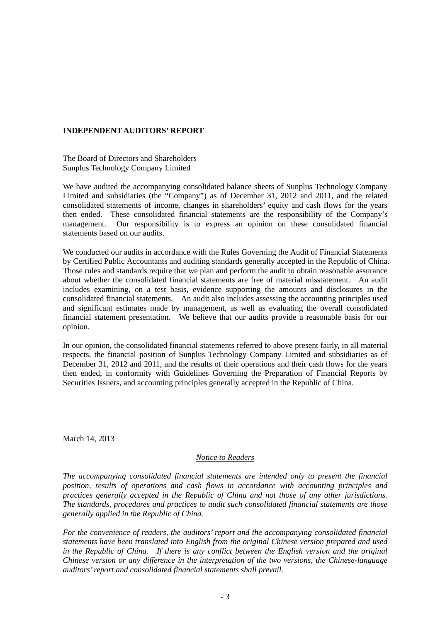#### **INDEPENDENT AUDITORS' REPORT**

The Board of Directors and Shareholders Sunplus Technology Company Limited

We have audited the accompanying consolidated balance sheets of Sunplus Technology Company Limited and subsidiaries (the "Company") as of December 31, 2012 and 2011, and the related consolidated statements of income, changes in shareholders' equity and cash flows for the years then ended. These consolidated financial statements are the responsibility of the Company's management. Our responsibility is to express an opinion on these consolidated financial statements based on our audits.

We conducted our audits in accordance with the Rules Governing the Audit of Financial Statements by Certified Public Accountants and auditing standards generally accepted in the Republic of China. Those rules and standards require that we plan and perform the audit to obtain reasonable assurance about whether the consolidated financial statements are free of material misstatement. An audit includes examining, on a test basis, evidence supporting the amounts and disclosures in the consolidated financial statements. An audit also includes assessing the accounting principles used and significant estimates made by management, as well as evaluating the overall consolidated financial statement presentation. We believe that our audits provide a reasonable basis for our opinion.

In our opinion, the consolidated financial statements referred to above present fairly, in all material respects, the financial position of Sunplus Technology Company Limited and subsidiaries as of December 31, 2012 and 2011, and the results of their operations and their cash flows for the years then ended, in conformity with Guidelines Governing the Preparation of Financial Reports by Securities Issuers, and accounting principles generally accepted in the Republic of China.

March 14, 2013

#### *Notice to Readers*

*The accompanying consolidated financial statements are intended only to present the financial position, results of operations and cash flows in accordance with accounting principles and practices generally accepted in the Republic of China and not those of any other jurisdictions. The standards, procedures and practices to audit such consolidated financial statements are those generally applied in the Republic of China.* 

*For the convenience of readers, the auditors' report and the accompanying consolidated financial statements have been translated into English from the original Chinese version prepared and used*  in the Republic of China. If there is any conflict between the English version and the original *Chinese version or any difference in the interpretation of the two versions, the Chinese-language auditors' report and consolidated financial statements shall prevail.*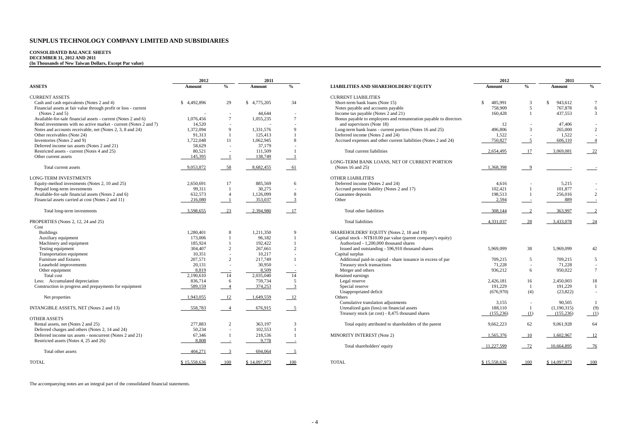# **CONSOLIDATED BALANCE SHEETS DECEMBER 31, 2012 AND 2011 (In Thousands of New Taiwan Dollars, Except Par value)**

|                                                                  | 2012         |                          | 2011         |                           |                                                                  | 2012          |                          | 2011         |                           |
|------------------------------------------------------------------|--------------|--------------------------|--------------|---------------------------|------------------------------------------------------------------|---------------|--------------------------|--------------|---------------------------|
| <b>ASSETS</b>                                                    | Amount       | $\%$                     | Amount       | $\frac{0}{0}$             | <b>LIABILITIES AND SHAREHOLDERS' EQUITY</b>                      | <b>Amount</b> | $\frac{0}{0}$            | Amount       | $\frac{0}{0}$             |
| <b>CURRENT ASSETS</b>                                            |              |                          |              |                           | <b>CURRENT LIABILITIES</b>                                       |               |                          |              |                           |
| Cash and cash equivalents (Notes 2 and 4)                        | \$4,492,896  | 29                       | \$4,775,205  | 34                        | Short-term bank loans (Note 15)                                  | 485,991       | 3                        | 943,612      | $7\phantom{.0}$           |
| Financial assets at fair value through profit or loss - current  |              |                          |              |                           | Notes payable and accounts payable                               | 758,909       | 5                        | 767,878      | 6                         |
| (Notes 2 and 5)                                                  |              | $\overline{\phantom{a}}$ | 44.644       |                           | Income tax payable (Notes 2 and 21)                              | 160,428       |                          | 437.553      | 3                         |
| Available-for-sale financial assets - current (Notes 2 and 6)    | 1,076,456    | $7\phantom{.0}$          | 1,055,235    | $\overline{7}$            | Bonus payable to employees and remuneration payable to directors |               |                          |              |                           |
| Bond investments with no active market - current (Notes 2 and 7) | 14.520       |                          |              |                           | and supervisors (Note 18)                                        | 12            |                          | 47,406       | $\sim$                    |
| Notes and accounts receivable, net (Notes 2, 3, 8 and 24)        | 1,372,094    | $\mathbf{Q}$             | 1.331.576    | $\mathbf Q$               | Long-term bank loans - current portion (Notes 16 and 25)         | 496,806       | $\overline{3}$           | 265,000      | $\overline{2}$            |
| Other receivables (Note 24)                                      | 91,313       |                          | 125,413      |                           | Deferred income (Notes 2 and 24)                                 | 1,522         | $\overline{\phantom{a}}$ | 1,522        | $\sim$                    |
| Inventories (Notes 2 and 9)                                      | 1,722,048    | 11                       | 1,062,945    | $\mathbf{\mathsf{R}}$     | Accrued expenses and other current liabilities (Notes 2 and 24)  | 750,827       | $5\overline{)}$          | 606,110      | $-4$                      |
| Deferred income tax assets (Notes 2 and 21)                      | 58,629       | $\sim$                   | 37,179       |                           |                                                                  |               |                          |              |                           |
|                                                                  |              |                          |              |                           |                                                                  |               |                          |              |                           |
| Restricted assets - current (Notes 4 and 25)                     | 80,521       | $\sim$                   | 111,509      |                           | Total current liabilities                                        | 2,654,495     | 17                       | 3,069,081    | $-22$                     |
| Other current assets                                             | 145,395      |                          | 138,749      |                           |                                                                  |               |                          |              |                           |
|                                                                  |              |                          |              |                           | LONG-TERM BANK LOANS, NET OF CURRENT PORTION                     |               |                          |              |                           |
| Total current assets                                             | 9,053,872    | 58                       | 8,682,455    | 61                        | (Notes $16$ and $25$ )                                           | 1,368,398     | - 9                      |              |                           |
| <b>LONG-TERM INVESTMENTS</b>                                     |              |                          |              |                           | <b>OTHER LIABILITIES</b>                                         |               |                          |              |                           |
| Equity-method investments (Notes 2, 10 and 25)                   | 2,650,691    | 17                       | 885,569      | 6                         | Deferred income (Notes 2 and 24)                                 | 4,616         |                          | 5,215        | $\sim$                    |
| Prepaid long-term investments                                    | 99,311       |                          | 30,275       |                           | Accrued pension liability (Notes 2 and 17)                       | 102,421       |                          | 101,877      | $\sim$                    |
| Available-for-sale financial assets (Notes 2 and 6)              | 632,573      | $\overline{4}$           | 1,126,099    | 8                         | Guarantee deposits                                               | 198,513       | $\overline{1}$           | 256,016      | 2                         |
| Financial assets carried at cost (Notes 2 and 11)                | 216,080      | $\overline{\phantom{a}}$ | 353,037      | $\overline{\mathbf{3}}$   | Other                                                            | 2,594         | $\sim$ 100 $\pm$         | 889          | $\sim$ $\sim$             |
| Total long-term investments                                      | 3,598,655    | 23                       | 2,394,980    | 17                        | Total other liabilities                                          | 308,144       | $\overline{2}$           | 363,997      | $\overline{\phantom{0}2}$ |
| PROPERTIES (Notes 2, 12, 24 and 25)                              |              |                          |              |                           | <b>Total liabilities</b>                                         | 4,331,037     | - 28                     | 3,433,078    | $-24$                     |
| Cost                                                             |              |                          |              |                           |                                                                  |               |                          |              |                           |
| <b>Buildings</b>                                                 | 1,280,401    | 8                        | 1,211,350    | $\mathbf{Q}$              | SHAREHOLDERS' EQUITY (Notes 2, 18 and 19)                        |               |                          |              |                           |
| Auxiliary equipment                                              | 173,006      |                          | 96,182       |                           | Capital stock - NT\$10.00 par value (parent company's equity)    |               |                          |              |                           |
| Machinery and equipment                                          | 185,924      |                          | 192,422      |                           | Authorized - 1,200,000 thousand shares                           |               |                          |              |                           |
| Testing equipment                                                | 304,407      | 2                        | 267,661      | 2                         | Issued and outstanding - 596,910 thousand shares                 | 5.969.099     | 38                       | 5.969.099    | 42                        |
| Transportation equipment                                         | 10,351       | ÷.                       | 10,217       |                           | Capital surplus                                                  |               |                          |              |                           |
|                                                                  |              |                          |              |                           |                                                                  |               |                          |              |                           |
| Furniture and fixtures                                           | 207,571      | 2                        | 217,749      |                           | Additional paid-in capital - share issuance in excess of par     | 709,215       | 5                        | 709,215      | 5                         |
| Leasehold improvements                                           | 20,131       | $\overline{\phantom{a}}$ | 30,950       |                           | Treasury stock transactions                                      | 71,228        | $\overline{\phantom{a}}$ | 71,228       | $\sim$                    |
| Other equipment                                                  | 8,819        | $\frac{1}{14}$           | 8.509        |                           | Merger and others                                                | 936.212       | 6                        | 950.022      | $7\overline{ }$           |
| Total cost                                                       | 2,190,610    |                          | 2.035.040    | 14                        | Retained earnings                                                |               |                          |              |                           |
| Less: Accumulated depreciation                                   | 836.714      | 6                        | 759,734      | 5                         | Legal reserve                                                    | 2,426,181     | 16                       | 2.450,003    | 18                        |
| Construction in progress and prepayments for equipment           | 589,159      | $\overline{\phantom{0}}$ | 374,253      | $\overline{\phantom{0}3}$ | Special reserve                                                  | 191,229       | -1                       | 191,229      | -1                        |
|                                                                  |              |                          |              |                           | Unappropriated deficit                                           | (676,970)     | (4)                      | (23, 822)    | $\sim$                    |
| Net properties                                                   | 1,943,055    | $-12$                    | 1,649,559    | $-12$                     | Others                                                           |               |                          |              |                           |
|                                                                  |              |                          |              |                           | Cumulative translation adjustments                               | 3,155         | $\sim$                   | 90.505       | $\mathbf{1}$              |
| INTANGIBLE ASSETS, NET (Notes 2 and 13)                          | 558,783      | $\overline{\phantom{0}}$ | 676,915      | $-5$                      | Unrealized gain (loss) on financial assets                       | 188,110       | $\overline{1}$           | (1,190,315)  | (9)                       |
|                                                                  |              |                          |              |                           | Treasury stock (at cost) - 8,475 thousand shares                 | (155, 236)    | (1)                      | (155, 236)   | (1)                       |
| <b>OTHER ASSETS</b>                                              |              |                          |              |                           |                                                                  |               |                          |              |                           |
| Rental assets, net (Notes 2 and 25)                              | 277,883      | 2                        | 363.197      | 3                         | Total equity attributed to shareholders of the parent            | 9,662,223     | 62                       | 9.061.928    | 64                        |
| Deferred charges and others (Notes 2, 14 and 24)                 | 50,234       | $\overline{\phantom{a}}$ | 102.553      |                           |                                                                  |               |                          |              |                           |
| Deferred income tax assets - noncurrent (Notes 2 and 21)         | 67,346       | -1                       | 218,536      |                           | MINORITY INTEREST (Note 2)                                       | 1,565,376     | 10                       | 1,602,967    | $-12$                     |
| Restricted assets (Notes 4, 25 and 26)                           | 8,808        |                          | 9,778        |                           |                                                                  |               |                          |              |                           |
|                                                                  |              | $\sim$ 10 $\pm$          |              |                           | Total shareholders' equity                                       | 11,227,599    | 72                       | 10,664,895   | $-76$                     |
| Total other assets                                               | 404,271      | $^{\circ}$               | 694,064      | $\overline{\phantom{0}}$  |                                                                  |               |                          |              |                           |
| <b>TOTAL</b>                                                     | \$15,558,636 | 100                      | \$14,097,973 | 100                       | <b>TOTAL</b>                                                     | \$15,558,636  | 100                      | \$14,097,973 | 100                       |

The accompanying notes are an integral part of the consolidated financial statements.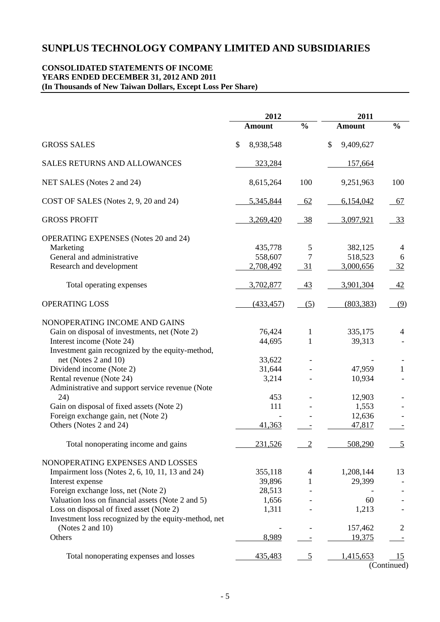#### **CONSOLIDATED STATEMENTS OF INCOME YEARS ENDED DECEMBER 31, 2012 AND 2011 (In Thousands of New Taiwan Dollars, Except Loss Per Share)**

|                                                      | 2012            |                | 2011            |                |  |
|------------------------------------------------------|-----------------|----------------|-----------------|----------------|--|
|                                                      | <b>Amount</b>   | $\frac{0}{0}$  | <b>Amount</b>   | $\frac{0}{0}$  |  |
| <b>GROSS SALES</b>                                   | \$<br>8,938,548 |                | \$<br>9,409,627 |                |  |
| <b>SALES RETURNS AND ALLOWANCES</b>                  | 323,284         |                | 157,664         |                |  |
| NET SALES (Notes 2 and 24)                           | 8,615,264       | 100            | 9,251,963       | 100            |  |
| COST OF SALES (Notes 2, 9, 20 and 24)                | 5,345,844       | 62             | 6,154,042       | 67             |  |
| <b>GROSS PROFIT</b>                                  | 3,269,420       | <u>38</u>      | 3,097,921       | 33             |  |
| <b>OPERATING EXPENSES</b> (Notes 20 and 24)          |                 |                |                 |                |  |
| Marketing                                            | 435,778         | 5              | 382,125         | 4              |  |
| General and administrative                           | 558,607         | $\overline{7}$ | 518,523         | 6              |  |
| Research and development                             | 2,708,492       | 31             | 3,000,656       | 32             |  |
| Total operating expenses                             | 3,702,877       | 43             | 3,901,304       | <u>42</u>      |  |
| <b>OPERATING LOSS</b>                                | (433, 457)      | (5)            | (803, 383)      | (9)            |  |
| NONOPERATING INCOME AND GAINS                        |                 |                |                 |                |  |
| Gain on disposal of investments, net (Note 2)        | 76,424          | $\mathbf{1}$   | 335,175         | 4              |  |
| Interest income (Note 24)                            | 44,695          | 1              | 39,313          |                |  |
| Investment gain recognized by the equity-method,     |                 |                |                 |                |  |
| net (Notes 2 and 10)                                 | 33,622          |                |                 |                |  |
| Dividend income (Note 2)                             | 31,644          |                | 47,959          | 1              |  |
| Rental revenue (Note 24)                             | 3,214           |                | 10,934          |                |  |
| Administrative and support service revenue (Note     |                 |                |                 |                |  |
|                                                      |                 |                |                 |                |  |
| 24)                                                  | 453             |                | 12,903          |                |  |
| Gain on disposal of fixed assets (Note 2)            | 111             |                | 1,553           |                |  |
| Foreign exchange gain, net (Note 2)                  |                 |                | 12,636          |                |  |
| Others (Notes 2 and 24)                              | 41,363          |                | 47,817          |                |  |
| Total nonoperating income and gains                  | 231,526         | 2              | 508,290         | $\overline{5}$ |  |
| NONOPERATING EXPENSES AND LOSSES                     |                 |                |                 |                |  |
| Impairment loss (Notes 2, 6, 10, 11, 13 and 24)      | 355,118         | 4              | 1,208,144       | 13             |  |
| Interest expense                                     | 39,896          |                | 29,399          |                |  |
| Foreign exchange loss, net (Note 2)                  | 28,513          |                |                 |                |  |
| Valuation loss on financial assets (Note 2 and 5)    | 1,656           |                | 60              |                |  |
| Loss on disposal of fixed asset (Note 2)             | 1,311           |                | 1,213           |                |  |
|                                                      |                 |                |                 |                |  |
| Investment loss recognized by the equity-method, net |                 |                |                 |                |  |
| (Notes 2 and 10)                                     |                 |                | 157,462         | $\overline{2}$ |  |
| Others                                               | 8,989           |                | 19,375          |                |  |
| Total nonoperating expenses and losses               | 435,483         | $\overline{5}$ | 1,415,653       | 15             |  |
|                                                      |                 |                |                 | (Continued)    |  |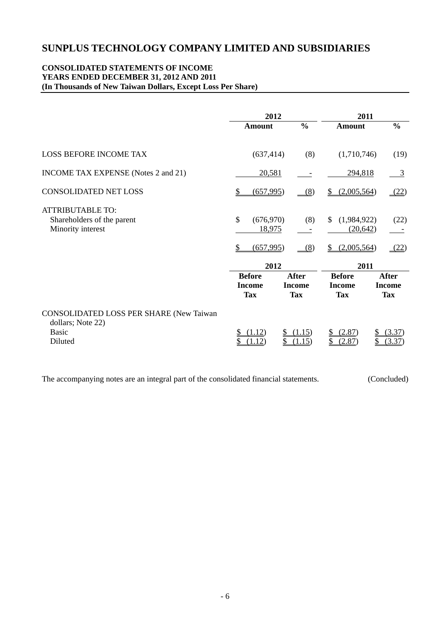#### **CONSOLIDATED STATEMENTS OF INCOME YEARS ENDED DECEMBER 31, 2012 AND 2011 (In Thousands of New Taiwan Dollars, Except Loss Per Share)**

|                                                                                         | 2012                                         |                                             | 2011                                         |                                             |  |
|-----------------------------------------------------------------------------------------|----------------------------------------------|---------------------------------------------|----------------------------------------------|---------------------------------------------|--|
|                                                                                         | Amount                                       | $\frac{0}{0}$                               | Amount                                       | $\frac{0}{0}$                               |  |
| <b>LOSS BEFORE INCOME TAX</b>                                                           | (637, 414)                                   | (8)                                         | (1,710,746)                                  | (19)                                        |  |
| INCOME TAX EXPENSE (Notes 2 and 21)                                                     | 20,581                                       |                                             | 294,818                                      | 3                                           |  |
| <b>CONSOLIDATED NET LOSS</b>                                                            | (657,995)                                    | (8)                                         | (2,005,564)                                  | (22)                                        |  |
| <b>ATTRIBUTABLE TO:</b><br>Shareholders of the parent<br>Minority interest              | $\mathcal{S}$<br>(676,970)<br>18,975         | (8)                                         | $\mathbb{S}$<br>(1,984,922)<br>(20, 642)     | (22)                                        |  |
|                                                                                         | (657,995)<br>\$                              | (8)                                         | (2,005,564)<br>\$                            | (22)                                        |  |
|                                                                                         | 2012                                         |                                             | 2011                                         |                                             |  |
|                                                                                         | <b>Before</b><br><b>Income</b><br><b>Tax</b> | <b>After</b><br><b>Income</b><br><b>Tax</b> | <b>Before</b><br><b>Income</b><br><b>Tax</b> | <b>After</b><br><b>Income</b><br><b>Tax</b> |  |
| CONSOLIDATED LOSS PER SHARE (New Taiwan<br>dollars; Note 22)<br><b>Basic</b><br>Diluted | (1.12)                                       | (1.15)<br>\$<br>(1.15)                      | (2.87)<br>(2.87)                             | (3.37)<br>S<br>\$<br>(3.37)                 |  |

The accompanying notes are an integral part of the consolidated financial statements. (Concluded)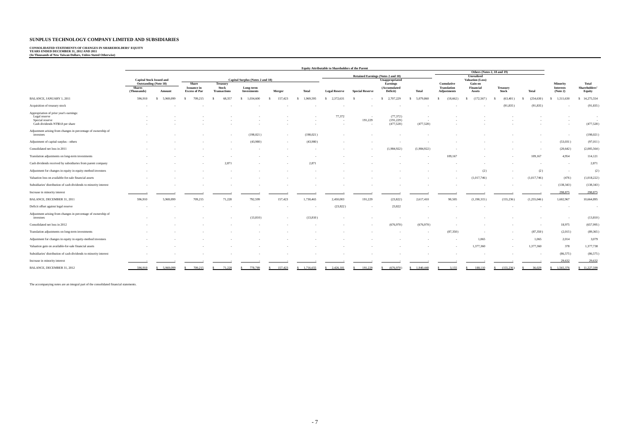## **CONSOLIDATED STATEMENTS OF CHANGES IN SHAREHOLDERS' EQUITY YEARS ENDED DECEMBER 31, 2012 AND 2011 (In Thousands of New Taiwan Dollars, Unless Stated Otherwise)**

|                                                                                                                 | <b>Equity Attributable to Shareholders of the Parent</b> |                                        |                                                     |                                                        |                                                             |         |                 |                      |                                       |                                       |             |                                                        |                                |                          |             |                                          |                                  |
|-----------------------------------------------------------------------------------------------------------------|----------------------------------------------------------|----------------------------------------|-----------------------------------------------------|--------------------------------------------------------|-------------------------------------------------------------|---------|-----------------|----------------------|---------------------------------------|---------------------------------------|-------------|--------------------------------------------------------|--------------------------------|--------------------------|-------------|------------------------------------------|----------------------------------|
|                                                                                                                 |                                                          |                                        |                                                     |                                                        |                                                             |         |                 |                      | Others (Notes 2, 18 and 19)           |                                       |             |                                                        |                                |                          |             |                                          |                                  |
|                                                                                                                 | <b>Capital Stock Issued and</b>                          |                                        | Capital Surplus (Notes 2 and 18)                    |                                                        | <b>Retained Earnings (Notes 2 and 18)</b><br>Unappropriated |         |                 |                      | <b>Unrealized</b><br>Valuation (Loss) |                                       |             |                                                        |                                |                          |             |                                          |                                  |
|                                                                                                                 | <b>Shares</b><br>(Thousands)                             | <b>Outstanding (Note 18)</b><br>Amount | Share<br><b>Issuance</b> in<br><b>Excess of Par</b> | <b>Treasury</b><br><b>Stock</b><br><b>Transactions</b> | Long-term<br><b>Investments</b>                             | Merger  | <b>Total</b>    | <b>Legal Reserve</b> | <b>Special Reserve</b>                | Earnings<br>(Accumulated<br>Deficit)  | Total       | Cumulative<br><b>Translation</b><br><b>Adjustments</b> | Gain on<br>Financial<br>Assets | <b>Treasury</b><br>Stock | Total       | Minority<br><b>Interests</b><br>(Note 2) | Total<br>Shareholders'<br>Equity |
| <b>BALANCE, JANUARY 1, 2011</b>                                                                                 | 596,910                                                  | 5,969,099                              | 709,215                                             | 68,357                                                 | 1,034,600<br>-S                                             | 157,423 | 1,969,595<br>-8 | 2,372,631<br>s.      |                                       | 2,707,229                             | 5,079,860   | (18,662)<br>s                                          | (172, 567)                     | (63, 401)                | (254, 630)  | 1,511,630                                | 14,275,554                       |
| Acquisition of treasury stock                                                                                   |                                                          |                                        |                                                     |                                                        |                                                             |         |                 |                      |                                       |                                       |             |                                                        |                                | (91, 835)                | (91, 835)   |                                          | (91, 835)                        |
| Appropriation of prior year's earnings:<br>Legal reserve<br>Special reserve<br>Cash dividends NT\$0.8 per share |                                                          |                                        |                                                     |                                                        |                                                             |         |                 | 77,372               | <b>.</b><br>191,229<br>$\sim$         | (77, 372)<br>(191, 229)<br>(477, 528) | (477,528)   |                                                        |                                |                          |             |                                          | $\sim$<br>(477, 528)             |
| Adjustment arising from changes in percentage of ownership of<br>investees                                      |                                                          |                                        |                                                     |                                                        | (198, 021)                                                  |         | (198, 021)      |                      |                                       |                                       |             |                                                        |                                |                          |             |                                          | (198, 021)                       |
| Adjustment of capital surplus - others                                                                          |                                                          |                                        |                                                     |                                                        | (43,980)                                                    |         | (43,980)        |                      |                                       |                                       |             |                                                        |                                |                          |             | (53,031)                                 | (97, 011)                        |
| Consolidated net loss in 2011                                                                                   |                                                          |                                        |                                                     |                                                        |                                                             |         |                 |                      |                                       | (1,984,922)                           | (1,984,922) |                                                        |                                |                          |             | (20, 642)                                | (2,005,564)                      |
| Translation adjustments on long-term investments                                                                |                                                          |                                        |                                                     |                                                        |                                                             |         |                 |                      |                                       |                                       |             | 109,167                                                |                                |                          | 109,167     | 4,954                                    | 114,121                          |
| Cash dividends received by subsidiaries from parent company                                                     |                                                          |                                        |                                                     | 2,871                                                  |                                                             |         | 2,871           |                      |                                       |                                       |             |                                                        |                                |                          |             | <b>.</b>                                 | 2,871                            |
| Adjustment for changes in equity in equity-method investees                                                     |                                                          |                                        |                                                     |                                                        |                                                             |         |                 |                      |                                       |                                       |             |                                                        | (2)                            |                          | (2)         |                                          | (2)                              |
| Valuation loss on available-for-sale financial assets                                                           |                                                          |                                        |                                                     |                                                        |                                                             |         |                 |                      |                                       |                                       |             |                                                        | (1,017,746)                    |                          | (1,017,746) | (476)                                    | (1,018,222)                      |
| Subsidiaries' distribution of cash dividends to minority interest                                               |                                                          |                                        |                                                     |                                                        |                                                             |         |                 |                      |                                       |                                       |             |                                                        |                                |                          |             | (138, 343)                               | (138, 343)                       |
| Increase in minority interest                                                                                   |                                                          |                                        |                                                     |                                                        |                                                             |         |                 |                      |                                       |                                       |             |                                                        |                                |                          |             | 298,875                                  | 298,875                          |
| BALANCE, DECEMBER 31, 2011                                                                                      | 596,910                                                  | 5.969.099                              | 709,215                                             | 71,228                                                 | 792,599                                                     | 157,423 | 1,730,465       | 2,450,003            | 191,229                               | (23,822)                              | 2,617,410   | 90,505                                                 | (1,190,315)                    | (155, 236)               | (1,255,046) | 1,602,967                                | 10,664,895                       |
| Deficit offset against legal reserve                                                                            |                                                          |                                        |                                                     |                                                        |                                                             |         |                 | (23,822)             |                                       | 23,822                                |             |                                                        |                                |                          |             |                                          | <b>COL</b>                       |
| Adjustment arising from changes in percentage of ownership of<br>investees                                      |                                                          |                                        |                                                     |                                                        | (13,810)                                                    |         | (13, 810)       |                      |                                       |                                       |             |                                                        |                                |                          |             |                                          | (13, 810)                        |
| Consolidated net loss in 2012                                                                                   |                                                          |                                        |                                                     |                                                        |                                                             |         |                 |                      |                                       | (676,970)                             | (676,970)   |                                                        |                                |                          |             | 18,975                                   | (657,995)                        |
| Translation adjustments on long-term investments                                                                |                                                          |                                        |                                                     |                                                        |                                                             |         |                 |                      |                                       |                                       |             | (87,350)                                               |                                |                          | (87,350)    | (2,015)                                  | (89,365)                         |
| Adjustment for changes in equity in equity-method investees                                                     |                                                          |                                        |                                                     |                                                        |                                                             |         |                 |                      |                                       |                                       |             |                                                        | 1,065                          |                          | 1,065       | 2,014                                    | 3,079                            |
| Valuation gain on available-for-sale financial assets                                                           |                                                          |                                        |                                                     |                                                        |                                                             |         |                 |                      |                                       |                                       |             |                                                        | 1,377,360                      |                          | 1,377,360   | 378                                      | 1,377,738                        |
| Subsidiaries' distribution of cash dividends to minority interest                                               |                                                          |                                        |                                                     |                                                        |                                                             |         |                 |                      |                                       |                                       |             |                                                        |                                |                          |             | (86, 575)                                | (86, 575)                        |
| Increase in minority interest                                                                                   |                                                          |                                        |                                                     |                                                        |                                                             |         |                 |                      |                                       |                                       |             |                                                        |                                |                          |             | 29,632                                   | 29,632                           |
| BALANCE, DECEMBER 31, 2012                                                                                      | 596,910                                                  | \$ 5,969,099                           | 709.215                                             | 71,228                                                 | 778,789                                                     | 157,423 | \$1,716,655     | \$2,426,181          | 191,229                               | (676.970)                             | \$1.940.440 | 3.155                                                  | \$188,110                      | \$(155, 236)             | 36,029      | \$1,565,376                              | \$11,227,599                     |

The accompanying notes are an integral part of the consolidated financial statements.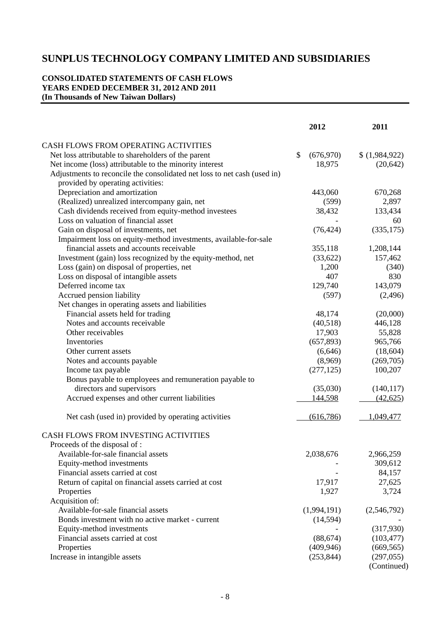### **CONSOLIDATED STATEMENTS OF CASH FLOWS YEARS ENDED DECEMBER 31, 2012 AND 2011 (In Thousands of New Taiwan Dollars)**

|                                                                          | 2012             | 2011        |
|--------------------------------------------------------------------------|------------------|-------------|
| CASH FLOWS FROM OPERATING ACTIVITIES                                     |                  |             |
| Net loss attributable to shareholders of the parent                      | \$<br>(676, 970) | (1,984,922) |
| Net income (loss) attributable to the minority interest                  | 18,975           | (20, 642)   |
| Adjustments to reconcile the consolidated net loss to net cash (used in) |                  |             |
| provided by operating activities:                                        |                  |             |
| Depreciation and amortization                                            | 443,060          | 670,268     |
| (Realized) unrealized intercompany gain, net                             | (599)            | 2,897       |
| Cash dividends received from equity-method investees                     | 38,432           | 133,434     |
| Loss on valuation of financial asset                                     |                  | 60          |
| Gain on disposal of investments, net                                     | (76, 424)        | (335, 175)  |
| Impairment loss on equity-method investments, available-for-sale         |                  |             |
| financial assets and accounts receivable                                 | 355,118          | 1,208,144   |
| Investment (gain) loss recognized by the equity-method, net              | (33,622)         | 157,462     |
| Loss (gain) on disposal of properties, net                               | 1,200            | (340)       |
| Loss on disposal of intangible assets                                    | 407              | 830         |
| Deferred income tax                                                      | 129,740          | 143,079     |
| Accrued pension liability                                                | (597)            | (2,496)     |
| Net changes in operating assets and liabilities                          |                  |             |
| Financial assets held for trading                                        | 48,174           | (20,000)    |
| Notes and accounts receivable                                            | (40,518)         | 446,128     |
| Other receivables                                                        | 17,903           | 55,828      |
| Inventories                                                              | (657, 893)       | 965,766     |
| Other current assets                                                     | (6,646)          | (18,604)    |
| Notes and accounts payable                                               | (8,969)          | (269,705)   |
| Income tax payable                                                       | (277, 125)       | 100,207     |
| Bonus payable to employees and remuneration payable to                   |                  |             |
| directors and supervisors                                                | (35,030)         | (140, 117)  |
| Accrued expenses and other current liabilities                           | 144,598          | (42, 625)   |
| Net cash (used in) provided by operating activities                      | (616, 786)       | 1,049,477   |
| CASH FLOWS FROM INVESTING ACTIVITIES                                     |                  |             |
| Proceeds of the disposal of :                                            |                  |             |
| Available-for-sale financial assets                                      | 2,038,676        | 2,966,259   |
| Equity-method investments                                                |                  | 309,612     |
| Financial assets carried at cost                                         |                  | 84,157      |
| Return of capital on financial assets carried at cost                    | 17,917           | 27,625      |
| Properties                                                               | 1,927            | 3,724       |
| Acquisition of:                                                          |                  |             |
| Available-for-sale financial assets                                      | (1,994,191)      | (2,546,792) |
| Bonds investment with no active market - current                         | (14, 594)        |             |
| Equity-method investments                                                |                  | (317,930)   |
| Financial assets carried at cost                                         | (88, 674)        | (103, 477)  |
| Properties                                                               | (409, 946)       | (669, 565)  |
| Increase in intangible assets                                            | (253, 844)       | (297, 055)  |
|                                                                          |                  |             |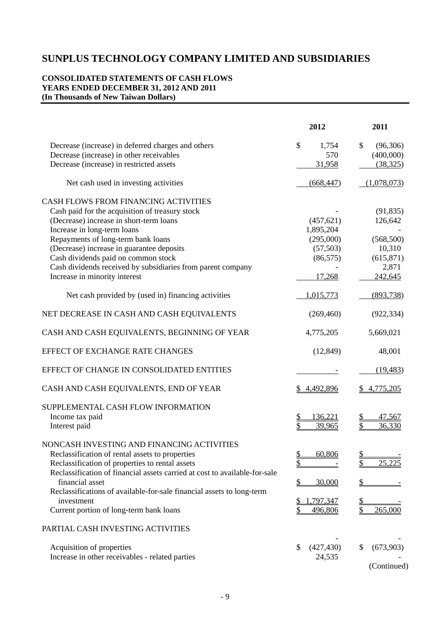### **CONSOLIDATED STATEMENTS OF CASH FLOWS YEARS ENDED DECEMBER 31, 2012 AND 2011 (In Thousands of New Taiwan Dollars)**

|                                                                                                                                                                                                                                                                                                                                                                                                    | 2012                                                                        | 2011                                                                           |
|----------------------------------------------------------------------------------------------------------------------------------------------------------------------------------------------------------------------------------------------------------------------------------------------------------------------------------------------------------------------------------------------------|-----------------------------------------------------------------------------|--------------------------------------------------------------------------------|
| Decrease (increase) in deferred charges and others<br>Decrease (increase) in other receivables<br>Decrease (increase) in restricted assets                                                                                                                                                                                                                                                         | \$<br>1,754<br>570<br>31,958                                                | $\mathbb{S}$<br>(96,306)<br>(400,000)<br>(38, 325)                             |
| Net cash used in investing activities                                                                                                                                                                                                                                                                                                                                                              | (668, 447)                                                                  | (1,078,073)                                                                    |
| <b>CASH FLOWS FROM FINANCING ACTIVITIES</b><br>Cash paid for the acquisition of treasury stock<br>(Decrease) increase in short-term loans<br>Increase in long-term loans<br>Repayments of long-term bank loans<br>(Decrease) increase in guarantee deposits<br>Cash dividends paid on common stock<br>Cash dividends received by subsidiaries from parent company<br>Increase in minority interest | (457, 621)<br>1,895,204<br>(295,000)<br>(57, 503)<br>(86, 575)<br>17,268    | (91, 835)<br>126,642<br>(568, 500)<br>10,310<br>(615, 871)<br>2,871<br>242,645 |
| Net cash provided by (used in) financing activities                                                                                                                                                                                                                                                                                                                                                | 1,015,773                                                                   | (893,738)                                                                      |
| NET DECREASE IN CASH AND CASH EQUIVALENTS                                                                                                                                                                                                                                                                                                                                                          | (269, 460)                                                                  | (922, 334)                                                                     |
| CASH AND CASH EQUIVALENTS, BEGINNING OF YEAR                                                                                                                                                                                                                                                                                                                                                       | 4,775,205                                                                   | 5,669,021                                                                      |
| EFFECT OF EXCHANGE RATE CHANGES                                                                                                                                                                                                                                                                                                                                                                    | (12, 849)                                                                   | 48,001                                                                         |
| EFFECT OF CHANGE IN CONSOLIDATED ENTITIES                                                                                                                                                                                                                                                                                                                                                          |                                                                             | (19, 483)                                                                      |
| CASH AND CASH EQUIVALENTS, END OF YEAR                                                                                                                                                                                                                                                                                                                                                             | \$4,492,896                                                                 | \$4,775,205                                                                    |
| SUPPLEMENTAL CASH FLOW INFORMATION<br>Income tax paid<br>Interest paid                                                                                                                                                                                                                                                                                                                             | \$<br>136,221<br>39,965                                                     | 47,567<br>36,330                                                               |
| NONCASH INVESTING AND FINANCING ACTIVITIES<br>Reclassification of rental assets to properties<br>Reclassification of properties to rental assets<br>Reclassification of financial assets carried at cost to available-for-sale<br>financial asset<br>Reclassifications of available-for-sale financial assets to long-term<br>investment<br>Current portion of long-term bank loans                | $\frac{1}{2}$<br>60,806<br>\$<br><u>\$</u><br>30,000<br>,797,347<br>496,806 | 25,225<br>265,000                                                              |
| PARTIAL CASH INVESTING ACTIVITIES                                                                                                                                                                                                                                                                                                                                                                  |                                                                             |                                                                                |
| Acquisition of properties<br>Increase in other receivables - related parties                                                                                                                                                                                                                                                                                                                       | \$<br>(427, 430)<br>24,535                                                  | \$<br>(673,903)<br>(Continued)                                                 |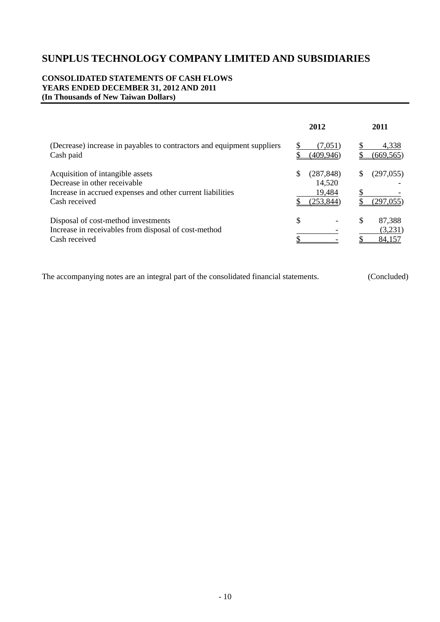#### **CONSOLIDATED STATEMENTS OF CASH FLOWS YEARS ENDED DECEMBER 31, 2012 AND 2011 (In Thousands of New Taiwan Dollars)**

|                                                                                                                                                 | 2012                                               | 2011                              |
|-------------------------------------------------------------------------------------------------------------------------------------------------|----------------------------------------------------|-----------------------------------|
| (Decrease) increase in payables to contractors and equipment suppliers<br>Cash paid                                                             | (7,051)<br>(409, 946)                              | 4,338<br>(669, 565)               |
| Acquisition of intangible assets<br>Decrease in other receivable<br>Increase in accrued expenses and other current liabilities<br>Cash received | \$<br>(287, 848)<br>14,520<br>19,484<br>(253, 844) | \$<br>(297, 055)<br>(297, 055)    |
| Disposal of cost-method investments<br>Increase in receivables from disposal of cost-method<br>Cash received                                    | \$                                                 | \$<br>87,388<br>(3,231)<br>84,157 |

The accompanying notes are an integral part of the consolidated financial statements. (Concluded)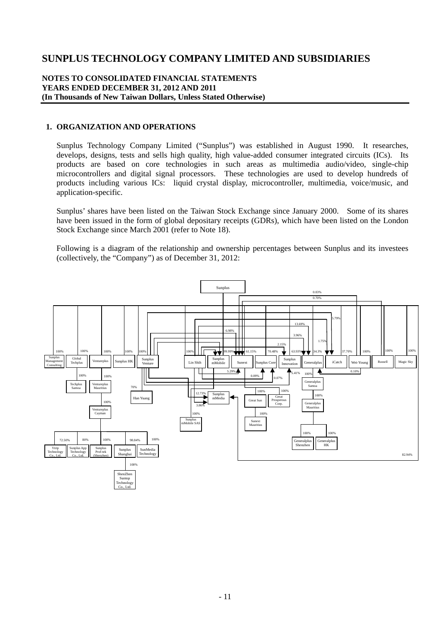#### **NOTES TO CONSOLIDATED FINANCIAL STATEMENTS YEARS ENDED DECEMBER 31, 2012 AND 2011 (In Thousands of New Taiwan Dollars, Unless Stated Otherwise)**

#### **1. ORGANIZATION AND OPERATIONS**

Sunplus Technology Company Limited ("Sunplus") was established in August 1990. It researches, develops, designs, tests and sells high quality, high value-added consumer integrated circuits (ICs). Its products are based on core technologies in such areas as multimedia audio/video, single-chip microcontrollers and digital signal processors. These technologies are used to develop hundreds of products including various ICs: liquid crystal display, microcontroller, multimedia, voice/music, and application-specific.

Sunplus' shares have been listed on the Taiwan Stock Exchange since January 2000. Some of its shares have been issued in the form of global depositary receipts (GDRs), which have been listed on the London Stock Exchange since March 2001 (refer to Note 18).

Following is a diagram of the relationship and ownership percentages between Sunplus and its investees (collectively, the "Company") as of December 31, 2012:

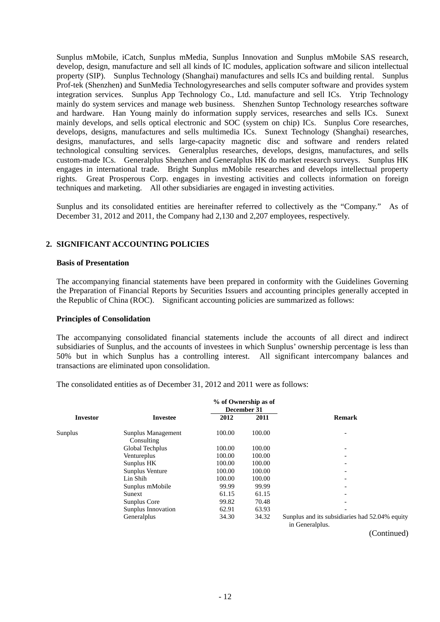Sunplus mMobile, iCatch, Sunplus mMedia, Sunplus Innovation and Sunplus mMobile SAS research, develop, design, manufacture and sell all kinds of IC modules, application software and silicon intellectual property (SIP). Sunplus Technology (Shanghai) manufactures and sells ICs and building rental. Sunplus Prof-tek (Shenzhen) and SunMedia Technologyresearches and sells computer software and provides system integration services. Sunplus App Technology Co., Ltd. manufacture and sell ICs. Ytrip Technology mainly do system services and manage web business. Shenzhen Suntop Technology researches software and hardware. Han Young mainly do information supply services, researches and sells ICs. Sunext mainly develops, and sells optical electronic and SOC (system on chip) ICs. Sunplus Core researches, develops, designs, manufactures and sells multimedia ICs. Sunext Technology (Shanghai) researches, designs, manufactures, and sells large-capacity magnetic disc and software and renders related technological consulting services. Generalplus researches, develops, designs, manufactures, and sells custom-made ICs. Generalplus Shenzhen and Generalplus HK do market research surveys. Sunplus HK engages in international trade. Bright Sunplus mMobile researches and develops intellectual property rights. Great Prosperous Corp. engages in investing activities and collects information on foreign techniques and marketing. All other subsidiaries are engaged in investing activities.

Sunplus and its consolidated entities are hereinafter referred to collectively as the "Company." As of December 31, 2012 and 2011, the Company had 2,130 and 2,207 employees, respectively.

### **2. SIGNIFICANT ACCOUNTING POLICIES**

#### **Basis of Presentation**

The accompanying financial statements have been prepared in conformity with the Guidelines Governing the Preparation of Financial Reports by Securities Issuers and accounting principles generally accepted in the Republic of China (ROC). Significant accounting policies are summarized as follows:

#### **Principles of Consolidation**

The accompanying consolidated financial statements include the accounts of all direct and indirect subsidiaries of Sunplus, and the accounts of investees in which Sunplus' ownership percentage is less than 50% but in which Sunplus has a controlling interest. All significant intercompany balances and transactions are eliminated upon consolidation.

The consolidated entities as of December 31, 2012 and 2011 were as follows:

|                 |                                  |        | % of Ownership as of<br>December 31 |                                                                   |
|-----------------|----------------------------------|--------|-------------------------------------|-------------------------------------------------------------------|
| <b>Investor</b> | <b>Investee</b>                  | 2012   | 2011                                | <b>Remark</b>                                                     |
| Sunplus         | Sunplus Management<br>Consulting | 100.00 | 100.00                              |                                                                   |
|                 | Global Techplus                  | 100.00 | 100.00                              | $\overline{\phantom{a}}$                                          |
|                 | Ventureplus                      | 100.00 | 100.00                              |                                                                   |
|                 | Sunplus HK                       | 100.00 | 100.00                              | $\overline{\phantom{0}}$                                          |
|                 | Sunplus Venture                  | 100.00 | 100.00                              | $\overline{\phantom{0}}$                                          |
|                 | Lin Shih                         | 100.00 | 100.00                              |                                                                   |
|                 | Sunplus mMobile                  | 99.99  | 99.99                               | $\overline{\phantom{0}}$                                          |
|                 | Sunext                           | 61.15  | 61.15                               |                                                                   |
|                 | Sunplus Core                     | 99.82  | 70.48                               |                                                                   |
|                 | Sunplus Innovation               | 62.91  | 63.93                               |                                                                   |
|                 | Generalplus                      | 34.30  | 34.32                               | Sunplus and its subsidiaries had 52.04% equity<br>in Generalplus. |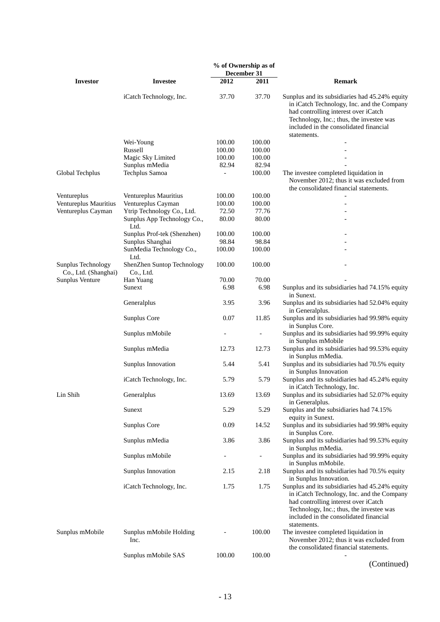|                                            |                                         |                | % of Ownership as of     |                                                                                                                                                                                                                                           |  |  |  |
|--------------------------------------------|-----------------------------------------|----------------|--------------------------|-------------------------------------------------------------------------------------------------------------------------------------------------------------------------------------------------------------------------------------------|--|--|--|
|                                            |                                         |                | December 31              |                                                                                                                                                                                                                                           |  |  |  |
| <b>Investor</b>                            | <b>Investee</b>                         | 2012           | 2011                     | <b>Remark</b>                                                                                                                                                                                                                             |  |  |  |
|                                            | iCatch Technology, Inc.                 | 37.70          | 37.70                    | Sunplus and its subsidiaries had 45.24% equity<br>in iCatch Technology, Inc. and the Company<br>had controlling interest over iCatch<br>Technology, Inc.; thus, the investee was<br>included in the consolidated financial<br>statements. |  |  |  |
|                                            | Wei-Young                               | 100.00         | 100.00                   |                                                                                                                                                                                                                                           |  |  |  |
|                                            | Russell                                 | 100.00         | 100.00                   |                                                                                                                                                                                                                                           |  |  |  |
|                                            | Magic Sky Limited                       | 100.00         | 100.00                   |                                                                                                                                                                                                                                           |  |  |  |
|                                            | Sunplus mMedia                          | 82.94          | 82.94                    |                                                                                                                                                                                                                                           |  |  |  |
| Global Techplus                            | Techplus Samoa                          | $\overline{a}$ | 100.00                   | The investee completed liquidation in<br>November 2012; thus it was excluded from<br>the consolidated financial statements.                                                                                                               |  |  |  |
| Ventureplus                                | Ventureplus Mauritius                   | 100.00         | 100.00                   |                                                                                                                                                                                                                                           |  |  |  |
| Ventureplus Mauritius                      | Ventureplus Cayman                      | 100.00         | 100.00                   |                                                                                                                                                                                                                                           |  |  |  |
| Ventureplus Cayman                         | Ytrip Technology Co., Ltd.              | 72.50          | 77.76                    |                                                                                                                                                                                                                                           |  |  |  |
|                                            | Sunplus App Technology Co.,<br>Ltd.     | 80.00          | 80.00                    |                                                                                                                                                                                                                                           |  |  |  |
|                                            | Sunplus Prof-tek (Shenzhen)             | 100.00         | 100.00                   |                                                                                                                                                                                                                                           |  |  |  |
|                                            | Sunplus Shanghai                        | 98.84          | 98.84                    |                                                                                                                                                                                                                                           |  |  |  |
|                                            | SunMedia Technology Co.,<br>Ltd.        | 100.00         | 100.00                   |                                                                                                                                                                                                                                           |  |  |  |
| Sunplus Technology<br>Co., Ltd. (Shanghai) | ShenZhen Suntop Technology<br>Co., Ltd. | 100.00         | 100.00                   |                                                                                                                                                                                                                                           |  |  |  |
| Sunplus Venture                            | Han Yuang                               | 70.00          | 70.00                    |                                                                                                                                                                                                                                           |  |  |  |
|                                            | Sunext                                  | 6.98           | 6.98                     | Sunplus and its subsidiaries had 74.15% equity<br>in Sunext.                                                                                                                                                                              |  |  |  |
|                                            | Generalplus                             | 3.95           | 3.96                     | Sunplus and its subsidiaries had 52.04% equity<br>in Generalplus.                                                                                                                                                                         |  |  |  |
|                                            | Sunplus Core                            | 0.07           | 11.85                    | Sunplus and its subsidiaries had 99.98% equity<br>in Sunplus Core.                                                                                                                                                                        |  |  |  |
|                                            | Sunplus mMobile                         |                |                          | Sunplus and its subsidiaries had 99.99% equity<br>in Sunplus mMobile                                                                                                                                                                      |  |  |  |
|                                            | Sunplus mMedia                          | 12.73          | 12.73                    | Sunplus and its subsidiaries had 99.53% equity<br>in Sunplus mMedia.                                                                                                                                                                      |  |  |  |
|                                            | Sunplus Innovation                      | 5.44           | 5.41                     | Sunplus and its subsidiaries had 70.5% equity<br>in Sunplus Innovation                                                                                                                                                                    |  |  |  |
|                                            | iCatch Technology, Inc.                 | 5.79           | 5.79                     | Sunplus and its subsidiaries had 45.24% equity<br>in iCatch Technology, Inc.                                                                                                                                                              |  |  |  |
| Lin Shih                                   | Generalplus                             | 13.69          | 13.69                    | Sunplus and its subsidiaries had 52.07% equity<br>in Generalplus.                                                                                                                                                                         |  |  |  |
|                                            | Sunext                                  | 5.29           | 5.29                     | Sunplus and the subsidiaries had 74.15%<br>equity in Sunext.                                                                                                                                                                              |  |  |  |
|                                            | Sunplus Core                            | 0.09           | 14.52                    | Sunplus and its subsidiaries had 99.98% equity<br>in Sunplus Core.                                                                                                                                                                        |  |  |  |
|                                            | Sunplus mMedia                          | 3.86           | 3.86                     | Sunplus and its subsidiaries had 99.53% equity<br>in Sunplus mMedia.                                                                                                                                                                      |  |  |  |
|                                            | Sunplus mMobile                         |                | $\overline{\phantom{a}}$ | Sunplus and its subsidiaries had 99.99% equity<br>in Sunplus mMobile.                                                                                                                                                                     |  |  |  |
|                                            | Sunplus Innovation                      | 2.15           | 2.18                     | Sunplus and its subsidiaries had 70.5% equity<br>in Sunplus Innovation.                                                                                                                                                                   |  |  |  |
|                                            | iCatch Technology, Inc.                 | 1.75           | 1.75                     | Sunplus and its subsidiaries had 45.24% equity<br>in iCatch Technology, Inc. and the Company<br>had controlling interest over iCatch<br>Technology, Inc.; thus, the investee was<br>included in the consolidated financial<br>statements. |  |  |  |
| Sunplus mMobile                            | Sunplus mMobile Holding<br>Inc.         |                | 100.00                   | The investee completed liquidation in<br>November 2012; thus it was excluded from<br>the consolidated financial statements.                                                                                                               |  |  |  |
|                                            | Sunplus mMobile SAS                     | 100.00         | 100.00                   |                                                                                                                                                                                                                                           |  |  |  |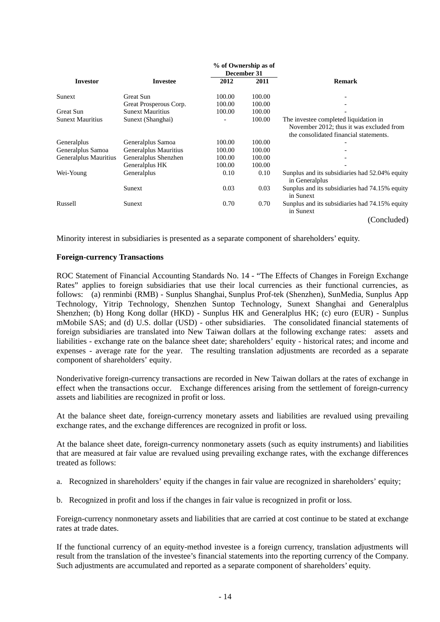|                         |                         |        | % of Ownership as of |                                                                                                                             |  |  |  |
|-------------------------|-------------------------|--------|----------------------|-----------------------------------------------------------------------------------------------------------------------------|--|--|--|
|                         |                         |        | December 31          |                                                                                                                             |  |  |  |
| <b>Investor</b>         | <b>Investee</b>         | 2012   | 2011                 | <b>Remark</b>                                                                                                               |  |  |  |
| Sunext                  | Great Sun               | 100.00 | 100.00               |                                                                                                                             |  |  |  |
|                         | Great Prosperous Corp.  | 100.00 | 100.00               |                                                                                                                             |  |  |  |
| Great Sun               | <b>Sunext Mauritius</b> | 100.00 | 100.00               |                                                                                                                             |  |  |  |
| <b>Sunext Mauritius</b> | Sunext (Shanghai)       |        | 100.00               | The investee completed liquidation in<br>November 2012; thus it was excluded from<br>the consolidated financial statements. |  |  |  |
| Generalplus             | Generalplus Samoa       | 100.00 | 100.00               |                                                                                                                             |  |  |  |
| Generalplus Samoa       | Generalplus Mauritius   | 100.00 | 100.00               |                                                                                                                             |  |  |  |
| Generalplus Mauritius   | Generalplus Shenzhen    | 100.00 | 100.00               |                                                                                                                             |  |  |  |
|                         | Generalplus HK          | 100.00 | 100.00               |                                                                                                                             |  |  |  |
| Wei-Young               | Generalplus             | 0.10   | 0.10                 | Sunplus and its subsidiaries had 52.04% equity<br>in Generalplus                                                            |  |  |  |
|                         | Sunext                  | 0.03   | 0.03                 | Sunplus and its subsidiaries had 74.15% equity<br>in Sunext                                                                 |  |  |  |
| Russell                 | Sunext                  | 0.70   | 0.70                 | Sunplus and its subsidiaries had 74.15% equity<br>in Sunext                                                                 |  |  |  |
|                         |                         |        |                      | (Concluded)                                                                                                                 |  |  |  |

Minority interest in subsidiaries is presented as a separate component of shareholders' equity.

#### **Foreign-currency Transactions**

ROC Statement of Financial Accounting Standards No. 14 - "The Effects of Changes in Foreign Exchange Rates" applies to foreign subsidiaries that use their local currencies as their functional currencies, as follows: (a) renminbi (RMB) - Sunplus Shanghai, Sunplus Prof-tek (Shenzhen), SunMedia, Sunplus App Technology, Yitrip Technology, Shenzhen Suntop Technology, Sunext Shanghai and Generalplus Shenzhen; (b) Hong Kong dollar (HKD) - Sunplus HK and Generalplus HK; (c) euro (EUR) - Sunplus mMobile SAS; and (d) U.S. dollar (USD) - other subsidiaries. The consolidated financial statements of foreign subsidiaries are translated into New Taiwan dollars at the following exchange rates: assets and liabilities - exchange rate on the balance sheet date; shareholders' equity - historical rates; and income and expenses - average rate for the year. The resulting translation adjustments are recorded as a separate component of shareholders' equity.

Nonderivative foreign-currency transactions are recorded in New Taiwan dollars at the rates of exchange in effect when the transactions occur. Exchange differences arising from the settlement of foreign-currency assets and liabilities are recognized in profit or loss.

At the balance sheet date, foreign-currency monetary assets and liabilities are revalued using prevailing exchange rates, and the exchange differences are recognized in profit or loss.

At the balance sheet date, foreign-currency nonmonetary assets (such as equity instruments) and liabilities that are measured at fair value are revalued using prevailing exchange rates, with the exchange differences treated as follows:

- a. Recognized in shareholders' equity if the changes in fair value are recognized in shareholders' equity;
- b. Recognized in profit and loss if the changes in fair value is recognized in profit or loss.

Foreign-currency nonmonetary assets and liabilities that are carried at cost continue to be stated at exchange rates at trade dates.

If the functional currency of an equity-method investee is a foreign currency, translation adjustments will result from the translation of the investee's financial statements into the reporting currency of the Company. Such adjustments are accumulated and reported as a separate component of shareholders' equity.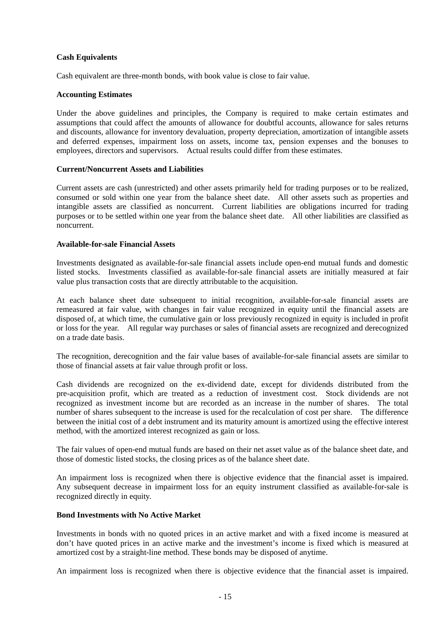#### **Cash Equivalents**

Cash equivalent are three-month bonds, with book value is close to fair value.

#### **Accounting Estimates**

Under the above guidelines and principles, the Company is required to make certain estimates and assumptions that could affect the amounts of allowance for doubtful accounts, allowance for sales returns and discounts, allowance for inventory devaluation, property depreciation, amortization of intangible assets and deferred expenses, impairment loss on assets, income tax, pension expenses and the bonuses to employees, directors and supervisors. Actual results could differ from these estimates.

#### **Current/Noncurrent Assets and Liabilities**

Current assets are cash (unrestricted) and other assets primarily held for trading purposes or to be realized, consumed or sold within one year from the balance sheet date. All other assets such as properties and intangible assets are classified as noncurrent. Current liabilities are obligations incurred for trading purposes or to be settled within one year from the balance sheet date. All other liabilities are classified as noncurrent.

#### **Available-for-sale Financial Assets**

Investments designated as available-for-sale financial assets include open-end mutual funds and domestic listed stocks. Investments classified as available-for-sale financial assets are initially measured at fair value plus transaction costs that are directly attributable to the acquisition.

At each balance sheet date subsequent to initial recognition, available-for-sale financial assets are remeasured at fair value, with changes in fair value recognized in equity until the financial assets are disposed of, at which time, the cumulative gain or loss previously recognized in equity is included in profit or loss for the year. All regular way purchases or sales of financial assets are recognized and derecognized on a trade date basis.

The recognition, derecognition and the fair value bases of available-for-sale financial assets are similar to those of financial assets at fair value through profit or loss.

Cash dividends are recognized on the ex-dividend date, except for dividends distributed from the pre-acquisition profit, which are treated as a reduction of investment cost. Stock dividends are not recognized as investment income but are recorded as an increase in the number of shares. The total number of shares subsequent to the increase is used for the recalculation of cost per share. The difference between the initial cost of a debt instrument and its maturity amount is amortized using the effective interest method, with the amortized interest recognized as gain or loss.

The fair values of open-end mutual funds are based on their net asset value as of the balance sheet date, and those of domestic listed stocks, the closing prices as of the balance sheet date.

An impairment loss is recognized when there is objective evidence that the financial asset is impaired. Any subsequent decrease in impairment loss for an equity instrument classified as available-for-sale is recognized directly in equity.

#### **Bond Investments with No Active Market**

Investments in bonds with no quoted prices in an active market and with a fixed income is measured at don't have quoted prices in an active marke and the investment's income is fixed which is measured at amortized cost by a straight-line method. These bonds may be disposed of anytime.

An impairment loss is recognized when there is objective evidence that the financial asset is impaired.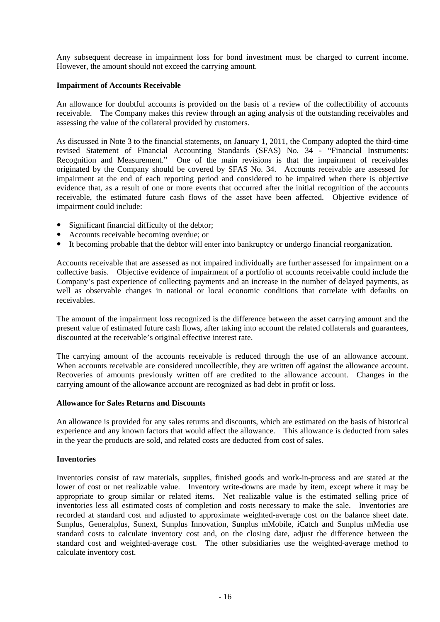Any subsequent decrease in impairment loss for bond investment must be charged to current income. However, the amount should not exceed the carrying amount.

#### **Impairment of Accounts Receivable**

An allowance for doubtful accounts is provided on the basis of a review of the collectibility of accounts receivable. The Company makes this review through an aging analysis of the outstanding receivables and assessing the value of the collateral provided by customers.

As discussed in Note 3 to the financial statements, on January 1, 2011, the Company adopted the third-time revised Statement of Financial Accounting Standards (SFAS) No. 34 - "Financial Instruments: Recognition and Measurement." One of the main revisions is that the impairment of receivables originated by the Company should be covered by SFAS No. 34. Accounts receivable are assessed for impairment at the end of each reporting period and considered to be impaired when there is objective evidence that, as a result of one or more events that occurred after the initial recognition of the accounts receivable, the estimated future cash flows of the asset have been affected. Objective evidence of impairment could include:

- Significant financial difficulty of the debtor;
- Accounts receivable becoming overdue; or
- It becoming probable that the debtor will enter into bankruptcy or undergo financial reorganization.

Accounts receivable that are assessed as not impaired individually are further assessed for impairment on a collective basis. Objective evidence of impairment of a portfolio of accounts receivable could include the Company's past experience of collecting payments and an increase in the number of delayed payments, as well as observable changes in national or local economic conditions that correlate with defaults on receivables.

The amount of the impairment loss recognized is the difference between the asset carrying amount and the present value of estimated future cash flows, after taking into account the related collaterals and guarantees, discounted at the receivable's original effective interest rate.

The carrying amount of the accounts receivable is reduced through the use of an allowance account. When accounts receivable are considered uncollectible, they are written off against the allowance account. Recoveries of amounts previously written off are credited to the allowance account. Changes in the carrying amount of the allowance account are recognized as bad debt in profit or loss.

#### **Allowance for Sales Returns and Discounts**

An allowance is provided for any sales returns and discounts, which are estimated on the basis of historical experience and any known factors that would affect the allowance. This allowance is deducted from sales in the year the products are sold, and related costs are deducted from cost of sales.

#### **Inventories**

Inventories consist of raw materials, supplies, finished goods and work-in-process and are stated at the lower of cost or net realizable value. Inventory write-downs are made by item, except where it may be appropriate to group similar or related items. Net realizable value is the estimated selling price of inventories less all estimated costs of completion and costs necessary to make the sale. Inventories are recorded at standard cost and adjusted to approximate weighted-average cost on the balance sheet date. Sunplus, Generalplus, Sunext, Sunplus Innovation, Sunplus mMobile, iCatch and Sunplus mMedia use standard costs to calculate inventory cost and, on the closing date, adjust the difference between the standard cost and weighted-average cost. The other subsidiaries use the weighted-average method to calculate inventory cost.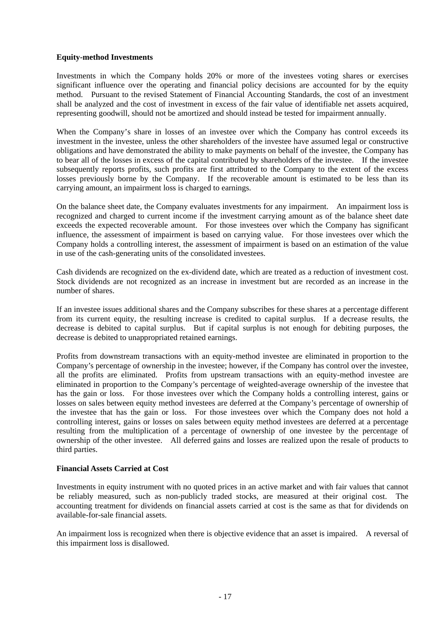#### **Equity-method Investments**

Investments in which the Company holds 20% or more of the investees voting shares or exercises significant influence over the operating and financial policy decisions are accounted for by the equity method. Pursuant to the revised Statement of Financial Accounting Standards, the cost of an investment shall be analyzed and the cost of investment in excess of the fair value of identifiable net assets acquired, representing goodwill, should not be amortized and should instead be tested for impairment annually.

When the Company's share in losses of an investee over which the Company has control exceeds its investment in the investee, unless the other shareholders of the investee have assumed legal or constructive obligations and have demonstrated the ability to make payments on behalf of the investee, the Company has to bear all of the losses in excess of the capital contributed by shareholders of the investee. If the investee subsequently reports profits, such profits are first attributed to the Company to the extent of the excess losses previously borne by the Company. If the recoverable amount is estimated to be less than its carrying amount, an impairment loss is charged to earnings.

On the balance sheet date, the Company evaluates investments for any impairment. An impairment loss is recognized and charged to current income if the investment carrying amount as of the balance sheet date exceeds the expected recoverable amount. For those investees over which the Company has significant influence, the assessment of impairment is based on carrying value. For those investees over which the Company holds a controlling interest, the assessment of impairment is based on an estimation of the value in use of the cash-generating units of the consolidated investees.

Cash dividends are recognized on the ex-dividend date, which are treated as a reduction of investment cost. Stock dividends are not recognized as an increase in investment but are recorded as an increase in the number of shares.

If an investee issues additional shares and the Company subscribes for these shares at a percentage different from its current equity, the resulting increase is credited to capital surplus. If a decrease results, the decrease is debited to capital surplus. But if capital surplus is not enough for debiting purposes, the decrease is debited to unappropriated retained earnings.

Profits from downstream transactions with an equity-method investee are eliminated in proportion to the Company's percentage of ownership in the investee; however, if the Company has control over the investee, all the profits are eliminated. Profits from upstream transactions with an equity-method investee are eliminated in proportion to the Company's percentage of weighted-average ownership of the investee that has the gain or loss. For those investees over which the Company holds a controlling interest, gains or losses on sales between equity method investees are deferred at the Company's percentage of ownership of the investee that has the gain or loss. For those investees over which the Company does not hold a controlling interest, gains or losses on sales between equity method investees are deferred at a percentage resulting from the multiplication of a percentage of ownership of one investee by the percentage of ownership of the other investee. All deferred gains and losses are realized upon the resale of products to third parties.

#### **Financial Assets Carried at Cost**

Investments in equity instrument with no quoted prices in an active market and with fair values that cannot be reliably measured, such as non-publicly traded stocks, are measured at their original cost. The accounting treatment for dividends on financial assets carried at cost is the same as that for dividends on available-for-sale financial assets.

An impairment loss is recognized when there is objective evidence that an asset is impaired. A reversal of this impairment loss is disallowed.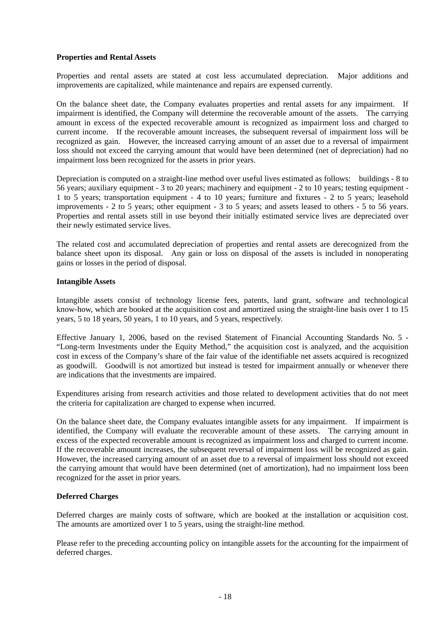#### **Properties and Rental Assets**

Properties and rental assets are stated at cost less accumulated depreciation. Major additions and improvements are capitalized, while maintenance and repairs are expensed currently.

On the balance sheet date, the Company evaluates properties and rental assets for any impairment. If impairment is identified, the Company will determine the recoverable amount of the assets. The carrying amount in excess of the expected recoverable amount is recognized as impairment loss and charged to current income. If the recoverable amount increases, the subsequent reversal of impairment loss will be recognized as gain. However, the increased carrying amount of an asset due to a reversal of impairment loss should not exceed the carrying amount that would have been determined (net of depreciation) had no impairment loss been recognized for the assets in prior years.

Depreciation is computed on a straight-line method over useful lives estimated as follows: buildings - 8 to 56 years; auxiliary equipment - 3 to 20 years; machinery and equipment - 2 to 10 years; testing equipment - 1 to 5 years; transportation equipment - 4 to 10 years; furniture and fixtures - 2 to 5 years; leasehold improvements - 2 to 5 years; other equipment - 3 to 5 years; and assets leased to others - 5 to 56 years. Properties and rental assets still in use beyond their initially estimated service lives are depreciated over their newly estimated service lives.

The related cost and accumulated depreciation of properties and rental assets are derecognized from the balance sheet upon its disposal. Any gain or loss on disposal of the assets is included in nonoperating gains or losses in the period of disposal.

#### **Intangible Assets**

Intangible assets consist of technology license fees, patents, land grant, software and technological know-how, which are booked at the acquisition cost and amortized using the straight-line basis over 1 to 15 years, 5 to 18 years, 50 years, 1 to 10 years, and 5 years, respectively.

Effective January 1, 2006, based on the revised Statement of Financial Accounting Standards No. 5 - "Long-term Investments under the Equity Method," the acquisition cost is analyzed, and the acquisition cost in excess of the Company's share of the fair value of the identifiable net assets acquired is recognized as goodwill. Goodwill is not amortized but instead is tested for impairment annually or whenever there are indications that the investments are impaired.

Expenditures arising from research activities and those related to development activities that do not meet the criteria for capitalization are charged to expense when incurred.

On the balance sheet date, the Company evaluates intangible assets for any impairment. If impairment is identified, the Company will evaluate the recoverable amount of these assets. The carrying amount in excess of the expected recoverable amount is recognized as impairment loss and charged to current income. If the recoverable amount increases, the subsequent reversal of impairment loss will be recognized as gain. However, the increased carrying amount of an asset due to a reversal of impairment loss should not exceed the carrying amount that would have been determined (net of amortization), had no impairment loss been recognized for the asset in prior years.

#### **Deferred Charges**

Deferred charges are mainly costs of software, which are booked at the installation or acquisition cost. The amounts are amortized over 1 to 5 years, using the straight-line method.

Please refer to the preceding accounting policy on intangible assets for the accounting for the impairment of deferred charges.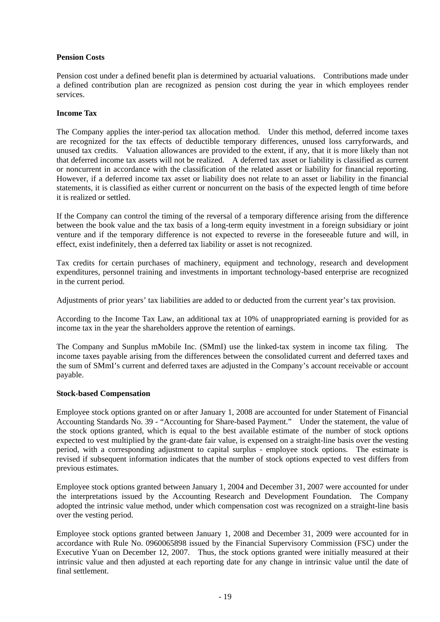### **Pension Costs**

Pension cost under a defined benefit plan is determined by actuarial valuations. Contributions made under a defined contribution plan are recognized as pension cost during the year in which employees render services.

#### **Income Tax**

The Company applies the inter-period tax allocation method. Under this method, deferred income taxes are recognized for the tax effects of deductible temporary differences, unused loss carryforwards, and unused tax credits. Valuation allowances are provided to the extent, if any, that it is more likely than not that deferred income tax assets will not be realized. A deferred tax asset or liability is classified as current or noncurrent in accordance with the classification of the related asset or liability for financial reporting. However, if a deferred income tax asset or liability does not relate to an asset or liability in the financial statements, it is classified as either current or noncurrent on the basis of the expected length of time before it is realized or settled.

If the Company can control the timing of the reversal of a temporary difference arising from the difference between the book value and the tax basis of a long-term equity investment in a foreign subsidiary or joint venture and if the temporary difference is not expected to reverse in the foreseeable future and will, in effect, exist indefinitely, then a deferred tax liability or asset is not recognized.

Tax credits for certain purchases of machinery, equipment and technology, research and development expenditures, personnel training and investments in important technology-based enterprise are recognized in the current period.

Adjustments of prior years' tax liabilities are added to or deducted from the current year's tax provision.

According to the Income Tax Law, an additional tax at 10% of unappropriated earning is provided for as income tax in the year the shareholders approve the retention of earnings.

The Company and Sunplus mMobile Inc. (SMmI) use the linked-tax system in income tax filing. The income taxes payable arising from the differences between the consolidated current and deferred taxes and the sum of SMmI's current and deferred taxes are adjusted in the Company's account receivable or account payable.

#### **Stock-based Compensation**

Employee stock options granted on or after January 1, 2008 are accounted for under Statement of Financial Accounting Standards No. 39 - "Accounting for Share-based Payment." Under the statement, the value of the stock options granted, which is equal to the best available estimate of the number of stock options expected to vest multiplied by the grant-date fair value, is expensed on a straight-line basis over the vesting period, with a corresponding adjustment to capital surplus - employee stock options. The estimate is revised if subsequent information indicates that the number of stock options expected to vest differs from previous estimates.

Employee stock options granted between January 1, 2004 and December 31, 2007 were accounted for under the interpretations issued by the Accounting Research and Development Foundation. The Company adopted the intrinsic value method, under which compensation cost was recognized on a straight-line basis over the vesting period.

Employee stock options granted between January 1, 2008 and December 31, 2009 were accounted for in accordance with Rule No. 0960065898 issued by the Financial Supervisory Commission (FSC) under the Executive Yuan on December 12, 2007. Thus, the stock options granted were initially measured at their intrinsic value and then adjusted at each reporting date for any change in intrinsic value until the date of final settlement.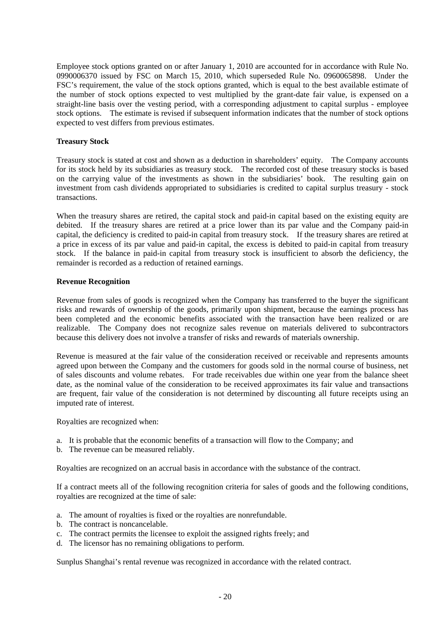Employee stock options granted on or after January 1, 2010 are accounted for in accordance with Rule No. 0990006370 issued by FSC on March 15, 2010, which superseded Rule No. 0960065898. Under the FSC's requirement, the value of the stock options granted, which is equal to the best available estimate of the number of stock options expected to vest multiplied by the grant-date fair value, is expensed on a straight-line basis over the vesting period, with a corresponding adjustment to capital surplus - employee stock options. The estimate is revised if subsequent information indicates that the number of stock options expected to vest differs from previous estimates.

### **Treasury Stock**

Treasury stock is stated at cost and shown as a deduction in shareholders' equity. The Company accounts for its stock held by its subsidiaries as treasury stock. The recorded cost of these treasury stocks is based on the carrying value of the investments as shown in the subsidiaries' book. The resulting gain on investment from cash dividends appropriated to subsidiaries is credited to capital surplus treasury - stock transactions.

When the treasury shares are retired, the capital stock and paid-in capital based on the existing equity are debited. If the treasury shares are retired at a price lower than its par value and the Company paid-in capital, the deficiency is credited to paid-in capital from treasury stock. If the treasury shares are retired at a price in excess of its par value and paid-in capital, the excess is debited to paid-in capital from treasury stock. If the balance in paid-in capital from treasury stock is insufficient to absorb the deficiency, the remainder is recorded as a reduction of retained earnings.

#### **Revenue Recognition**

Revenue from sales of goods is recognized when the Company has transferred to the buyer the significant risks and rewards of ownership of the goods, primarily upon shipment, because the earnings process has been completed and the economic benefits associated with the transaction have been realized or are realizable. The Company does not recognize sales revenue on materials delivered to subcontractors because this delivery does not involve a transfer of risks and rewards of materials ownership.

Revenue is measured at the fair value of the consideration received or receivable and represents amounts agreed upon between the Company and the customers for goods sold in the normal course of business, net of sales discounts and volume rebates. For trade receivables due within one year from the balance sheet date, as the nominal value of the consideration to be received approximates its fair value and transactions are frequent, fair value of the consideration is not determined by discounting all future receipts using an imputed rate of interest.

Royalties are recognized when:

- a. It is probable that the economic benefits of a transaction will flow to the Company; and
- b. The revenue can be measured reliably.

Royalties are recognized on an accrual basis in accordance with the substance of the contract.

If a contract meets all of the following recognition criteria for sales of goods and the following conditions, royalties are recognized at the time of sale:

- a. The amount of royalties is fixed or the royalties are nonrefundable.
- b. The contract is noncancelable.
- c. The contract permits the licensee to exploit the assigned rights freely; and
- d. The licensor has no remaining obligations to perform.

Sunplus Shanghai's rental revenue was recognized in accordance with the related contract.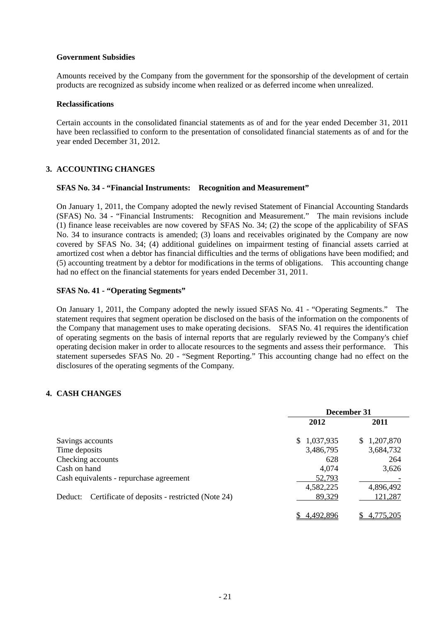#### **Government Subsidies**

Amounts received by the Company from the government for the sponsorship of the development of certain products are recognized as subsidy income when realized or as deferred income when unrealized.

#### **Reclassifications**

Certain accounts in the consolidated financial statements as of and for the year ended December 31, 2011 have been reclassified to conform to the presentation of consolidated financial statements as of and for the year ended December 31, 2012.

### **3. ACCOUNTING CHANGES**

#### **SFAS No. 34 - "Financial Instruments: Recognition and Measurement"**

On January 1, 2011, the Company adopted the newly revised Statement of Financial Accounting Standards (SFAS) No. 34 - "Financial Instruments: Recognition and Measurement." The main revisions include (1) finance lease receivables are now covered by SFAS No. 34; (2) the scope of the applicability of SFAS No. 34 to insurance contracts is amended; (3) loans and receivables originated by the Company are now covered by SFAS No. 34; (4) additional guidelines on impairment testing of financial assets carried at amortized cost when a debtor has financial difficulties and the terms of obligations have been modified; and (5) accounting treatment by a debtor for modifications in the terms of obligations. This accounting change had no effect on the financial statements for years ended December 31, 2011.

#### **SFAS No. 41 - "Operating Segments"**

On January 1, 2011, the Company adopted the newly issued SFAS No. 41 - "Operating Segments." The statement requires that segment operation be disclosed on the basis of the information on the components of the Company that management uses to make operating decisions. SFAS No. 41 requires the identification of operating segments on the basis of internal reports that are regularly reviewed by the Company's chief operating decision maker in order to allocate resources to the segments and assess their performance. This statement supersedes SFAS No. 20 - "Segment Reporting." This accounting change had no effect on the disclosures of the operating segments of the Company.

### **4. CASH CHANGES**

|                                                           | December 31     |                 |  |  |
|-----------------------------------------------------------|-----------------|-----------------|--|--|
|                                                           | 2012            | 2011            |  |  |
| Savings accounts                                          | 1,037,935<br>\$ | 1,207,870<br>S. |  |  |
| Time deposits                                             | 3,486,795       | 3,684,732       |  |  |
| Checking accounts                                         | 628             | 264             |  |  |
| Cash on hand                                              | 4,074           | 3,626           |  |  |
| Cash equivalents - repurchase agreement                   | 52,793          |                 |  |  |
|                                                           | 4,582,225       | 4,896,492       |  |  |
| Certificate of deposits - restricted (Note 24)<br>Deduct: | 89,329          | 121,287         |  |  |
|                                                           | 4,492,896       | 4.775.205       |  |  |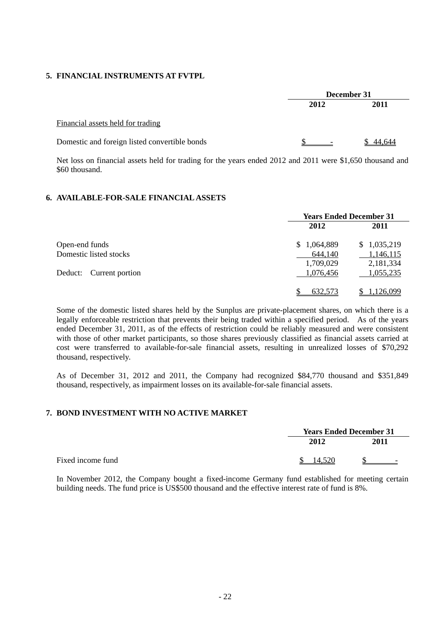#### **5. FINANCIAL INSTRUMENTS AT FVTPL**

|                                               | December 31              |        |  |  |
|-----------------------------------------------|--------------------------|--------|--|--|
|                                               | 2012                     | 2011   |  |  |
| Financial assets held for trading             |                          |        |  |  |
| Domestic and foreign listed convertible bonds | $\overline{\phantom{0}}$ | 44.644 |  |  |

Net loss on financial assets held for trading for the years ended 2012 and 2011 were \$1,650 thousand and \$60 thousand.

#### **6. AVAILABLE-FOR-SALE FINANCIAL ASSETS**

|                         | <b>Years Ended December 31</b> |             |  |
|-------------------------|--------------------------------|-------------|--|
|                         | 2012                           | 2011        |  |
| Open-end funds          | 1,064,889<br>\$.               | \$1,035,219 |  |
| Domestic listed stocks  | 644,140                        | 1,146,115   |  |
|                         | 1,709,029                      | 2,181,334   |  |
| Deduct: Current portion | 1,076,456                      | 1,055,235   |  |
|                         | 632,573                        | 1,126,099   |  |

Some of the domestic listed shares held by the Sunplus are private-placement shares, on which there is a legally enforceable restriction that prevents their being traded within a specified period. As of the years ended December 31, 2011, as of the effects of restriction could be reliably measured and were consistent with those of other market participants, so those shares previously classified as financial assets carried at cost were transferred to available-for-sale financial assets, resulting in unrealized losses of \$70,292 thousand, respectively.

As of December 31, 2012 and 2011, the Company had recognized \$84,770 thousand and \$351,849 thousand, respectively, as impairment losses on its available-for-sale financial assets.

### **7. BOND INVESTMENT WITH NO ACTIVE MARKET**

|                   | <b>Years Ended December 31</b> |                          |
|-------------------|--------------------------------|--------------------------|
|                   | 2012                           | 2011                     |
| Fixed income fund | 14.520                         | $\overline{\phantom{0}}$ |

In November 2012, the Company bought a fixed-income Germany fund established for meeting certain building needs. The fund price is US\$500 thousand and the effective interest rate of fund is 8%.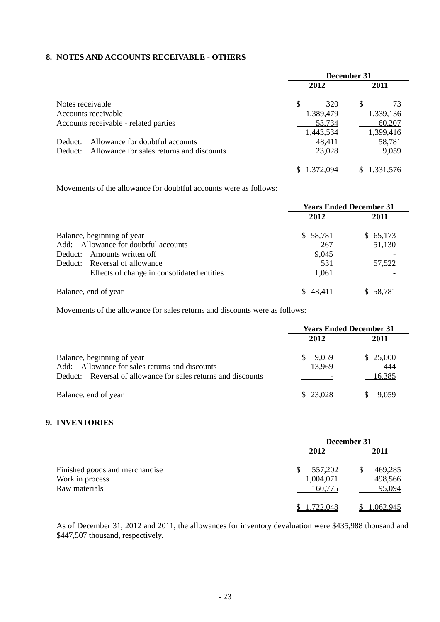### **8. NOTES AND ACCOUNTS RECEIVABLE - OTHERS**

|                     |                                           | December 31 |           |   |           |
|---------------------|-------------------------------------------|-------------|-----------|---|-----------|
|                     |                                           |             | 2012      |   | 2011      |
| Notes receivable    |                                           | \$          | 320       | S | 73        |
| Accounts receivable |                                           |             | 1,389,479 |   | 1,339,136 |
|                     | Accounts receivable - related parties     |             | 53,734    |   | 60,207    |
|                     |                                           |             | 1,443,534 |   | 1,399,416 |
| Deduct:             | Allowance for doubtful accounts           |             | 48,411    |   | 58,781    |
| Deduct:             | Allowance for sales returns and discounts |             | 23,028    |   | 9,059     |
|                     |                                           |             | 1.372.094 |   | 1,331,576 |

Movements of the allowance for doubtful accounts were as follows:

|                                            | <b>Years Ended December 31</b> |          |  |
|--------------------------------------------|--------------------------------|----------|--|
|                                            | 2012                           | 2011     |  |
| Balance, beginning of year                 | \$58,781                       | \$65,173 |  |
| Add: Allowance for doubtful accounts       | 267                            | 51,130   |  |
| Amounts written off<br>Deduct:             | 9,045                          |          |  |
| Deduct: Reversal of allowance              | 531                            | 57,522   |  |
| Effects of change in consolidated entities | 1,061                          |          |  |
| Balance, end of year                       | 48.411                         | 58,781   |  |

Movements of the allowance for sales returns and discounts were as follows:

|                                                                                                                                                     | <b>Years Ended December 31</b> |                           |  |
|-----------------------------------------------------------------------------------------------------------------------------------------------------|--------------------------------|---------------------------|--|
|                                                                                                                                                     | 2012                           | 2011                      |  |
| Balance, beginning of year<br>Allowance for sales returns and discounts<br>Add:<br>Reversal of allowance for sales returns and discounts<br>Deduct: | 9,059<br>13,969                | \$25,000<br>444<br>16,385 |  |
| Balance, end of year                                                                                                                                | 23.028                         |                           |  |

#### **9. INVENTORIES**

|                                | December 31 |               |  |
|--------------------------------|-------------|---------------|--|
|                                | 2012        | 2011          |  |
| Finished goods and merchandise | 557,202     | 469,285<br>\$ |  |
| Work in process                | 1,004,071   | 498,566       |  |
| Raw materials                  | 160,775     | 95,094        |  |
|                                | 1,722,048   | 1,062,945     |  |

As of December 31, 2012 and 2011, the allowances for inventory devaluation were \$435,988 thousand and \$447,507 thousand, respectively.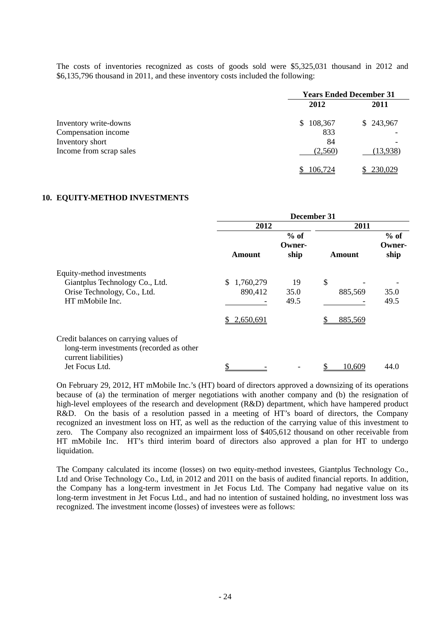The costs of inventories recognized as costs of goods sold were \$5,325,031 thousand in 2012 and \$6,135,796 thousand in 2011, and these inventory costs included the following:

|                         | <b>Years Ended December 31</b> |           |  |
|-------------------------|--------------------------------|-----------|--|
|                         | 2012                           | 2011      |  |
| Inventory write-downs   | 108,367<br><sup>S</sup>        | \$243,967 |  |
| Compensation income     | 833                            |           |  |
| Inventory short         | 84                             |           |  |
| Income from scrap sales | (2,560)                        | (13,938)  |  |
|                         | 106,724                        | 230,029   |  |

#### **10. EQUITY-METHOD INVESTMENTS**

|                                                                                                                             | December 31                                    |                          |                          |                          |
|-----------------------------------------------------------------------------------------------------------------------------|------------------------------------------------|--------------------------|--------------------------|--------------------------|
|                                                                                                                             | 2012                                           |                          | 2011                     |                          |
|                                                                                                                             | Amount                                         | $%$ of<br>Owner-<br>ship | <b>Amount</b>            | $%$ of<br>Owner-<br>ship |
| Equity-method investments<br>Giantplus Technology Co., Ltd.<br>Orise Technology, Co., Ltd.<br>HT mMobile Inc.               | S.<br>1,760,279<br>890,412<br>2,650,691<br>SS. | 19<br>35.0<br>49.5       | \$<br>885,569<br>885,569 | 35.0<br>49.5             |
| Credit balances on carrying values of<br>long-term investments (recorded as other<br>current liabilities)<br>Jet Focus Ltd. | \$                                             |                          | 10,609<br>S              | 44.0                     |

On February 29, 2012, HT mMobile Inc.'s (HT) board of directors approved a downsizing of its operations because of (a) the termination of merger negotiations with another company and (b) the resignation of high-level employees of the research and development (R&D) department, which have hampered product R&D. On the basis of a resolution passed in a meeting of HT's board of directors, the Company recognized an investment loss on HT, as well as the reduction of the carrying value of this investment to zero. The Company also recognized an impairment loss of \$405,612 thousand on other receivable from HT mMobile Inc. HT's third interim board of directors also approved a plan for HT to undergo liquidation.

The Company calculated its income (losses) on two equity-method investees, Giantplus Technology Co., Ltd and Orise Technology Co., Ltd, in 2012 and 2011 on the basis of audited financial reports. In addition, the Company has a long-term investment in Jet Focus Ltd. The Company had negative value on its long-term investment in Jet Focus Ltd., and had no intention of sustained holding, no investment loss was recognized. The investment income (losses) of investees were as follows: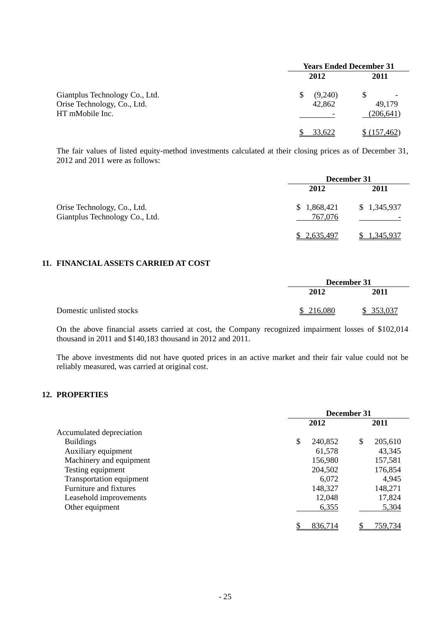|                                                                                  | <b>Years Ended December 31</b> |                      |  |
|----------------------------------------------------------------------------------|--------------------------------|----------------------|--|
|                                                                                  | 2012                           | 2011                 |  |
| Giantplus Technology Co., Ltd.<br>Orise Technology, Co., Ltd.<br>HT mMobile Inc. | (9,240)<br>\$.<br>42,862       | 49,179<br>(206, 641) |  |
|                                                                                  | 33.622                         | (157.462)            |  |

The fair values of listed equity-method investments calculated at their closing prices as of December 31, 2012 and 2011 were as follows:

|                                                               | December 31            |             |  |
|---------------------------------------------------------------|------------------------|-------------|--|
|                                                               | 2012                   | 2011        |  |
| Orise Technology, Co., Ltd.<br>Giantplus Technology Co., Ltd. | \$1,868,421<br>767,076 | \$1,345,937 |  |
|                                                               | 2.635.497              | 1,345,937   |  |

### **11. FINANCIAL ASSETS CARRIED AT COST**

|                          | December 31 |           |
|--------------------------|-------------|-----------|
|                          | 2012        | 2011      |
| Domestic unlisted stocks | \$216,080   | \$353,037 |

On the above financial assets carried at cost, the Company recognized impairment losses of \$102,014 thousand in 2011 and \$140,183 thousand in 2012 and 2011.

The above investments did not have quoted prices in an active market and their fair value could not be reliably measured, was carried at original cost.

### **12. PROPERTIES**

|                          | December 31 |         |    |         |
|--------------------------|-------------|---------|----|---------|
|                          |             | 2012    |    | 2011    |
| Accumulated depreciation |             |         |    |         |
| <b>Buildings</b>         | \$          | 240,852 | \$ | 205,610 |
| Auxiliary equipment      |             | 61,578  |    | 43,345  |
| Machinery and equipment  |             | 156,980 |    | 157,581 |
| Testing equipment        |             | 204,502 |    | 176,854 |
| Transportation equipment |             | 6,072   |    | 4,945   |
| Furniture and fixtures   |             | 148,327 |    | 148,271 |
| Leasehold improvements   |             | 12,048  |    | 17,824  |
| Other equipment          |             | 6,355   |    | 5,304   |
|                          |             | 836,714 |    | 759,734 |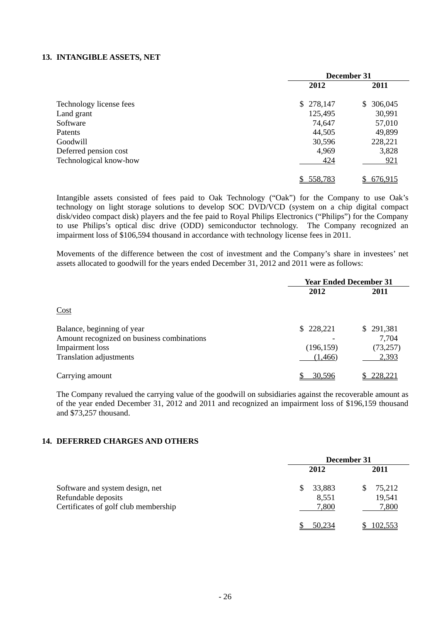#### **13. INTANGIBLE ASSETS, NET**

|                         | December 31 |               |  |
|-------------------------|-------------|---------------|--|
|                         | 2012        | 2011          |  |
| Technology license fees | \$278,147   | 306,045<br>S. |  |
| Land grant              | 125,495     | 30,991        |  |
| Software                | 74,647      | 57,010        |  |
| Patents                 | 44,505      | 49,899        |  |
| Goodwill                | 30,596      | 228,221       |  |
| Deferred pension cost   | 4,969       | 3,828         |  |
| Technological know-how  | 424         | 921           |  |
|                         | 558,783     | 676,915       |  |

Intangible assets consisted of fees paid to Oak Technology ("Oak") for the Company to use Oak's technology on light storage solutions to develop SOC DVD/VCD (system on a chip digital compact disk/video compact disk) players and the fee paid to Royal Philips Electronics ("Philips") for the Company to use Philips's optical disc drive (ODD) semiconductor technology. The Company recognized an impairment loss of \$106,594 thousand in accordance with technology license fees in 2011.

Movements of the difference between the cost of investment and the Company's share in investees' net assets allocated to goodwill for the years ended December 31, 2012 and 2011 were as follows:

|                                                               | <b>Year Ended December 31</b> |                    |  |
|---------------------------------------------------------------|-------------------------------|--------------------|--|
|                                                               | 2012                          |                    |  |
| Cost                                                          |                               |                    |  |
| Balance, beginning of year                                    | \$228,221                     | \$291,381          |  |
| Amount recognized on business combinations<br>Impairment loss | (196, 159)                    | 7,704<br>(73, 257) |  |
| Translation adjustments                                       | (1, 466)                      | 2,393              |  |
| Carrying amount                                               | 30,596                        | 228,221            |  |

The Company revalued the carrying value of the goodwill on subsidiaries against the recoverable amount as of the year ended December 31, 2012 and 2011 and recognized an impairment loss of \$196,159 thousand and \$73,257 thousand.

#### **14. DEFERRED CHARGES AND OTHERS**

|                                                                                                | December 31                    |                           |  |
|------------------------------------------------------------------------------------------------|--------------------------------|---------------------------|--|
|                                                                                                | 2012                           | 2011                      |  |
| Software and system design, net<br>Refundable deposits<br>Certificates of golf club membership | 33,883<br>S.<br>8,551<br>7,800 | 75,212<br>19,541<br>7,800 |  |
|                                                                                                | 50.234                         | 102,553                   |  |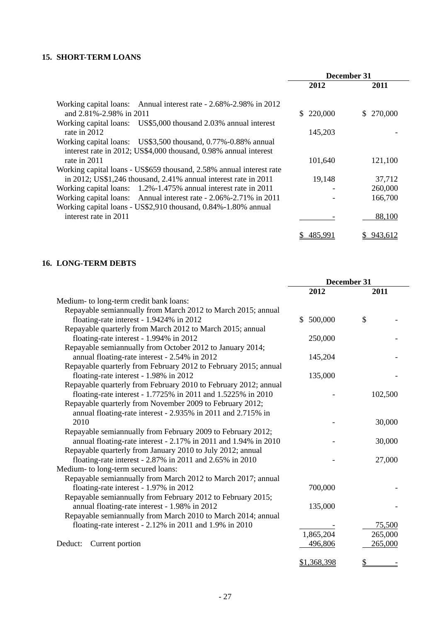### **15. SHORT-TERM LOANS**

|                                                                      | December 31 |               |
|----------------------------------------------------------------------|-------------|---------------|
|                                                                      | 2012        | 2011          |
| Working capital loans: Annual interest rate - 2.68%-2.98% in 2012    |             |               |
| and 2.81%-2.98% in 2011                                              | \$220,000   | 270,000<br>S. |
| Working capital loans: US\$5,000 thousand 2.03% annual interest      |             |               |
| rate in 2012                                                         | 145,203     |               |
| Working capital loans: US\$3,500 thousand, 0.77%-0.88% annual        |             |               |
| interest rate in 2012; US\$4,000 thousand, 0.98% annual interest     |             |               |
| rate in 2011                                                         | 101,640     | 121,100       |
| Working capital loans - US\$659 thousand, 2.58% annual interest rate |             |               |
| in 2012; US\$1,246 thousand, 2.41% annual interest rate in 2011      | 19,148      | 37,712        |
| Working capital loans: 1.2%-1.475% annual interest rate in 2011      |             | 260,000       |
| Working capital loans: Annual interest rate - 2.06%-2.71% in 2011    |             | 166,700       |
| Working capital loans - US\$2,910 thousand, 0.84%-1.80% annual       |             |               |
| interest rate in 2011                                                |             | 88,100        |
|                                                                      | 485.991     | 943,612<br>S. |

### **16. LONG-TERM DEBTS**

|                                                                 | December 31 |         |
|-----------------------------------------------------------------|-------------|---------|
|                                                                 | 2012        | 2011    |
| Medium- to long-term credit bank loans:                         |             |         |
| Repayable semiannually from March 2012 to March 2015; annual    |             |         |
| floating-rate interest - 1.9424% in 2012                        | \$500,000   | \$      |
| Repayable quarterly from March 2012 to March 2015; annual       |             |         |
| floating-rate interest - 1.994% in 2012                         | 250,000     |         |
| Repayable semiannually from October 2012 to January 2014;       |             |         |
| annual floating-rate interest - 2.54% in 2012                   | 145,204     |         |
| Repayable quarterly from February 2012 to February 2015; annual |             |         |
| floating-rate interest - 1.98% in 2012                          | 135,000     |         |
| Repayable quarterly from February 2010 to February 2012; annual |             |         |
| floating-rate interest - 1.7725% in 2011 and 1.5225% in 2010    |             | 102,500 |
| Repayable quarterly from November 2009 to February 2012;        |             |         |
| annual floating-rate interest - 2.935% in 2011 and 2.715% in    |             |         |
| 2010                                                            |             | 30,000  |
| Repayable semiannually from February 2009 to February 2012;     |             |         |
| annual floating-rate interest - 2.17% in 2011 and 1.94% in 2010 |             | 30,000  |
| Repayable quarterly from January 2010 to July 2012; annual      |             |         |
| floating-rate interest - 2.87% in 2011 and 2.65% in 2010        |             | 27,000  |
| Medium- to long-term secured loans:                             |             |         |
| Repayable semiannually from March 2012 to March 2017; annual    |             |         |
| floating-rate interest - 1.97% in 2012                          | 700,000     |         |
| Repayable semiannually from February 2012 to February 2015;     |             |         |
| annual floating-rate interest - 1.98% in 2012                   | 135,000     |         |
| Repayable semiannually from March 2010 to March 2014; annual    |             |         |
| floating-rate interest - $2.12\%$ in 2011 and 1.9% in 2010      |             | 75,500  |
|                                                                 | 1,865,204   | 265,000 |
| Current portion<br>Deduct:                                      | 496,806     | 265,000 |
|                                                                 | \$1,368,398 | \$      |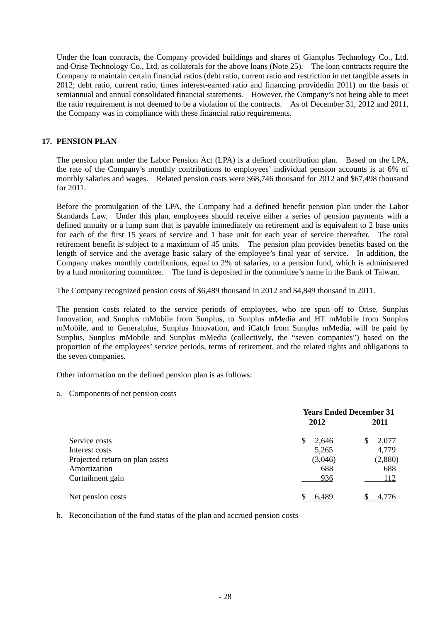Under the loan contracts, the Company provided buildings and shares of Giantplus Technology Co., Ltd. and Orise Technology Co., Ltd. as collaterals for the above loans (Note 25). The loan contracts require the Company to maintain certain financial ratios (debt ratio, current ratio and restriction in net tangible assets in 2012; debt ratio, current ratio, times interest-earned ratio and financing providedin 2011) on the basis of semiannual and annual consolidated financial statements. However, the Company's not being able to meet the ratio requirement is not deemed to be a violation of the contracts. As of December 31, 2012 and 2011, the Company was in compliance with these financial ratio requirements.

### **17. PENSION PLAN**

The pension plan under the Labor Pension Act (LPA) is a defined contribution plan. Based on the LPA, the rate of the Company's monthly contributions to employees' individual pension accounts is at 6% of monthly salaries and wages. Related pension costs were \$68,746 thousand for 2012 and \$67,498 thousand for 2011.

Before the promulgation of the LPA, the Company had a defined benefit pension plan under the Labor Standards Law. Under this plan, employees should receive either a series of pension payments with a defined annuity or a lump sum that is payable immediately on retirement and is equivalent to 2 base units for each of the first 15 years of service and 1 base unit for each year of service thereafter. The total retirement benefit is subject to a maximum of 45 units. The pension plan provides benefits based on the length of service and the average basic salary of the employee's final year of service. In addition, the Company makes monthly contributions, equal to 2% of salaries, to a pension fund, which is administered by a fund monitoring committee. The fund is deposited in the committee's name in the Bank of Taiwan.

The Company recognized pension costs of \$6,489 thousand in 2012 and \$4,849 thousand in 2011.

The pension costs related to the service periods of employees, who are spun off to Orise, Sunplus Innovation, and Sunplus mMobile from Sunplus, to Sunplus mMedia and HT mMobile from Sunplus mMobile, and to Generalplus, Sunplus Innovation, and iCatch from Sunplus mMedia, will be paid by Sunplus, Sunplus mMobile and Sunplus mMedia (collectively, the "seven companies") based on the proportion of the employees' service periods, terms of retirement, and the related rights and obligations to the seven companies.

Other information on the defined pension plan is as follows:

a. Components of net pension costs

|                                 | <b>Years Ended December 31</b> |            |  |
|---------------------------------|--------------------------------|------------|--|
|                                 | 2012                           | 2011       |  |
| Service costs                   | S<br>2,646                     | 2,077<br>S |  |
| Interest costs                  | 5,265                          | 4,779      |  |
| Projected return on plan assets | (3,046)                        | (2,880)    |  |
| Amortization                    | 688                            | 688        |  |
| Curtailment gain                | 936                            | 112        |  |
| Net pension costs               | 6,489                          | 4,776      |  |

b. Reconciliation of the fund status of the plan and accrued pension costs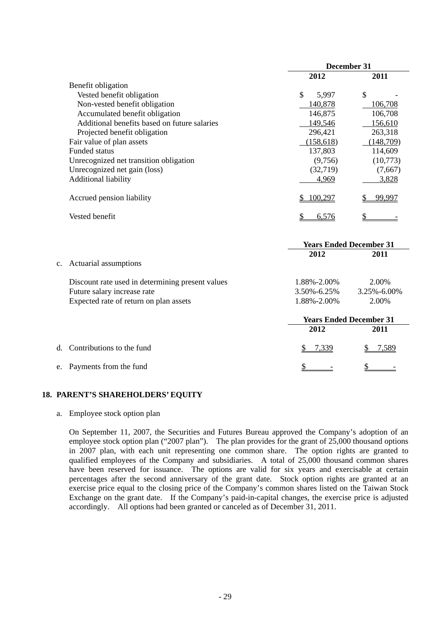|                                                  | December 31 |                                |  |
|--------------------------------------------------|-------------|--------------------------------|--|
|                                                  | 2012        | 2011                           |  |
| Benefit obligation                               |             |                                |  |
| Vested benefit obligation                        | \$<br>5,997 | \$                             |  |
| Non-vested benefit obligation                    | 140,878     | 106,708                        |  |
| Accumulated benefit obligation                   | 146,875     | 106,708                        |  |
| Additional benefits based on future salaries     | 149,546     | 156,610                        |  |
| Projected benefit obligation                     | 296,421     | 263,318                        |  |
| Fair value of plan assets                        | (158, 618)  | (148,709)                      |  |
| <b>Funded status</b>                             | 137,803     | 114,609                        |  |
| Unrecognized net transition obligation           | (9,756)     | (10,773)                       |  |
| Unrecognized net gain (loss)                     | (32,719)    | (7,667)                        |  |
| Additional liability                             | 4,969       | 3,828                          |  |
| Accrued pension liability                        | 100,297     | 99,997                         |  |
| Vested benefit                                   | 6,576       |                                |  |
|                                                  |             | <b>Years Ended December 31</b> |  |
|                                                  | 2012        | 2011                           |  |
| Actuarial assumptions<br>$\mathbf{c}$ .          |             |                                |  |
| Discount rate used in determining present values | 1.88%-2.00% | 2.00%                          |  |
| Future salary increase rate                      | 3.50%-6.25% | 3.25%-6.00%                    |  |
| Expected rate of return on plan assets           | 1.88%-2.00% | 2.00%                          |  |
|                                                  |             | <b>Years Ended December 31</b> |  |
|                                                  | 2012        | 2011                           |  |
| Contributions to the fund<br>d.                  | 7,339       | 7,589                          |  |
| e. Payments from the fund                        | \$          |                                |  |

#### **18. PARENT'S SHAREHOLDERS' EQUITY**

a. Employee stock option plan

On September 11, 2007, the Securities and Futures Bureau approved the Company's adoption of an employee stock option plan ("2007 plan"). The plan provides for the grant of 25,000 thousand options in 2007 plan, with each unit representing one common share. The option rights are granted to qualified employees of the Company and subsidiaries. A total of 25,000 thousand common shares have been reserved for issuance. The options are valid for six years and exercisable at certain percentages after the second anniversary of the grant date. Stock option rights are granted at an exercise price equal to the closing price of the Company's common shares listed on the Taiwan Stock Exchange on the grant date. If the Company's paid-in-capital changes, the exercise price is adjusted accordingly. All options had been granted or canceled as of December 31, 2011.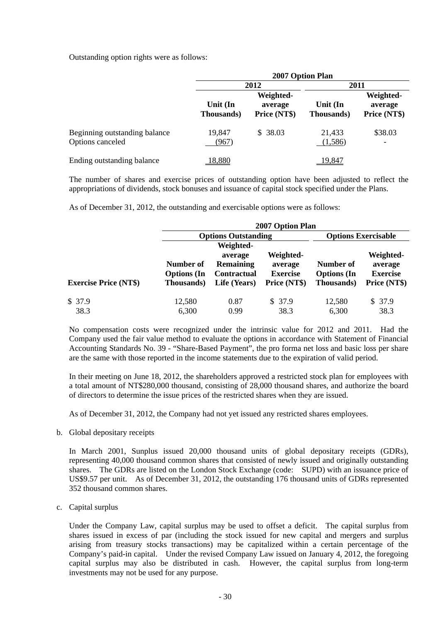Outstanding option rights were as follows:

|                                                   | 2007 Option Plan       |                                      |                        |                                      |
|---------------------------------------------------|------------------------|--------------------------------------|------------------------|--------------------------------------|
|                                                   | 2012                   |                                      | 2011                   |                                      |
|                                                   | Unit (In<br>Thousands) | Weighted-<br>average<br>Price (NT\$) | Unit (In<br>Thousands) | Weighted-<br>average<br>Price (NT\$) |
| Beginning outstanding balance<br>Options canceled | 19,847<br>(967)        | \$38.03                              | 21,433<br>(1,586)      | \$38.03<br>$\overline{\phantom{a}}$  |
| Ending outstanding balance                        | 18,880                 |                                      | 19,847                 |                                      |

The number of shares and exercise prices of outstanding option have been adjusted to reflect the appropriations of dividends, stock bonuses and issuance of capital stock specified under the Plans.

As of December 31, 2012, the outstanding and exercisable options were as follows:

|                              |                                                       | 2007 Option Plan                                                               |                                                         |                                               |                                                         |  |
|------------------------------|-------------------------------------------------------|--------------------------------------------------------------------------------|---------------------------------------------------------|-----------------------------------------------|---------------------------------------------------------|--|
|                              |                                                       | <b>Options Outstanding</b>                                                     |                                                         |                                               | <b>Options Exercisable</b>                              |  |
| <b>Exercise Price (NT\$)</b> | Number of<br><b>Options</b> (In<br><b>Thousands</b> ) | Weighted-<br>average<br><b>Remaining</b><br><b>Contractual</b><br>Life (Years) | Weighted-<br>average<br><b>Exercise</b><br>Price (NT\$) | Number of<br><b>Options</b> (In<br>Thousands) | Weighted-<br>average<br><b>Exercise</b><br>Price (NT\$) |  |
| \$37.9<br>38.3               | 12,580<br>6,300                                       | 0.87<br>0.99                                                                   | \$37.9<br>38.3                                          | 12,580<br>6,300                               | \$37.9<br>38.3                                          |  |

No compensation costs were recognized under the intrinsic value for 2012 and 2011. Had the Company used the fair value method to evaluate the options in accordance with Statement of Financial Accounting Standards No. 39 - "Share-Based Payment", the pro forma net loss and basic loss per share are the same with those reported in the income statements due to the expiration of valid period.

In their meeting on June 18, 2012, the shareholders approved a restricted stock plan for employees with a total amount of NT\$280,000 thousand, consisting of 28,000 thousand shares, and authorize the board of directors to determine the issue prices of the restricted shares when they are issued.

As of December 31, 2012, the Company had not yet issued any restricted shares employees.

b. Global depositary receipts

In March 2001, Sunplus issued 20,000 thousand units of global depositary receipts (GDRs), representing 40,000 thousand common shares that consisted of newly issued and originally outstanding shares. The GDRs are listed on the London Stock Exchange (code: SUPD) with an issuance price of US\$9.57 per unit. As of December 31, 2012, the outstanding 176 thousand units of GDRs represented 352 thousand common shares.

c. Capital surplus

Under the Company Law, capital surplus may be used to offset a deficit. The capital surplus from shares issued in excess of par (including the stock issued for new capital and mergers and surplus arising from treasury stocks transactions) may be capitalized within a certain percentage of the Company's paid-in capital. Under the revised Company Law issued on January 4, 2012, the foregoing capital surplus may also be distributed in cash. However, the capital surplus from long-term investments may not be used for any purpose.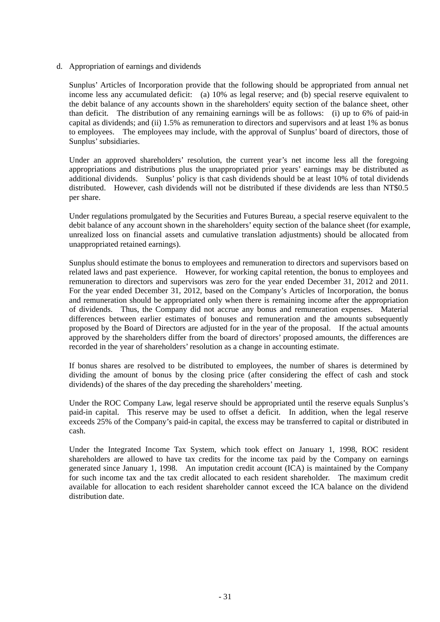d. Appropriation of earnings and dividends

Sunplus' Articles of Incorporation provide that the following should be appropriated from annual net income less any accumulated deficit: (a) 10% as legal reserve; and (b) special reserve equivalent to the debit balance of any accounts shown in the shareholders' equity section of the balance sheet, other than deficit. The distribution of any remaining earnings will be as follows: (i) up to 6% of paid-in capital as dividends; and (ii) 1.5% as remuneration to directors and supervisors and at least 1% as bonus to employees. The employees may include, with the approval of Sunplus' board of directors, those of Sunplus' subsidiaries.

Under an approved shareholders' resolution, the current year's net income less all the foregoing appropriations and distributions plus the unappropriated prior years' earnings may be distributed as additional dividends. Sunplus' policy is that cash dividends should be at least 10% of total dividends distributed. However, cash dividends will not be distributed if these dividends are less than NT\$0.5 per share.

Under regulations promulgated by the Securities and Futures Bureau, a special reserve equivalent to the debit balance of any account shown in the shareholders' equity section of the balance sheet (for example, unrealized loss on financial assets and cumulative translation adjustments) should be allocated from unappropriated retained earnings).

Sunplus should estimate the bonus to employees and remuneration to directors and supervisors based on related laws and past experience. However, for working capital retention, the bonus to employees and remuneration to directors and supervisors was zero for the year ended December 31, 2012 and 2011. For the year ended December 31, 2012, based on the Company's Articles of Incorporation, the bonus and remuneration should be appropriated only when there is remaining income after the appropriation of dividends. Thus, the Company did not accrue any bonus and remuneration expenses. Material differences between earlier estimates of bonuses and remuneration and the amounts subsequently proposed by the Board of Directors are adjusted for in the year of the proposal. If the actual amounts approved by the shareholders differ from the board of directors' proposed amounts, the differences are recorded in the year of shareholders' resolution as a change in accounting estimate.

If bonus shares are resolved to be distributed to employees, the number of shares is determined by dividing the amount of bonus by the closing price (after considering the effect of cash and stock dividends) of the shares of the day preceding the shareholders' meeting.

Under the ROC Company Law, legal reserve should be appropriated until the reserve equals Sunplus's paid-in capital. This reserve may be used to offset a deficit. In addition, when the legal reserve exceeds 25% of the Company's paid-in capital, the excess may be transferred to capital or distributed in cash.

Under the Integrated Income Tax System, which took effect on January 1, 1998, ROC resident shareholders are allowed to have tax credits for the income tax paid by the Company on earnings generated since January 1, 1998. An imputation credit account (ICA) is maintained by the Company for such income tax and the tax credit allocated to each resident shareholder. The maximum credit available for allocation to each resident shareholder cannot exceed the ICA balance on the dividend distribution date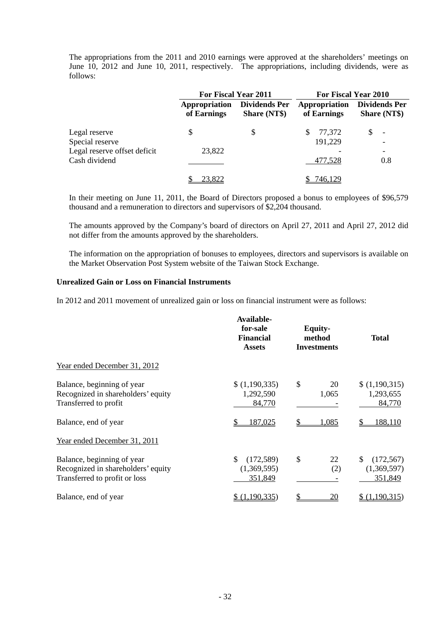The appropriations from the 2011 and 2010 earnings were approved at the shareholders' meetings on June 10, 2012 and June 10, 2011, respectively. The appropriations, including dividends, were as follows:

|                                               | For Fiscal Year 2011         |                                             | For Fiscal Year 2010         |                                             |  |
|-----------------------------------------------|------------------------------|---------------------------------------------|------------------------------|---------------------------------------------|--|
|                                               | Appropriation<br>of Earnings | <b>Dividends Per</b><br><b>Share (NT\$)</b> | Appropriation<br>of Earnings | <b>Dividends Per</b><br><b>Share (NT\$)</b> |  |
| Legal reserve<br>Special reserve              | S                            | S                                           | 77,372<br>\$.<br>191,229     | \$.<br>$\overline{\phantom{a}}$             |  |
| Legal reserve offset deficit<br>Cash dividend | 23,822                       |                                             | 477,528                      | -<br>0.8                                    |  |
|                                               | 23,822                       |                                             | 746,129                      |                                             |  |

In their meeting on June 11, 2011, the Board of Directors proposed a bonus to employees of \$96,579 thousand and a remuneration to directors and supervisors of \$2,204 thousand.

The amounts approved by the Company's board of directors on April 27, 2011 and April 27, 2012 did not differ from the amounts approved by the shareholders.

The information on the appropriation of bonuses to employees, directors and supervisors is available on the Market Observation Post System website of the Taiwan Stock Exchange.

#### **Unrealized Gain or Loss on Financial Instruments**

In 2012 and 2011 movement of unrealized gain or loss on financial instrument were as follows:

|                                                                                                   | Available-<br>for-sale<br><b>Financial</b><br><b>Assets</b> | <b>Equity-</b><br>method<br><b>Investments</b> | <b>Total</b>                               |  |
|---------------------------------------------------------------------------------------------------|-------------------------------------------------------------|------------------------------------------------|--------------------------------------------|--|
| Year ended December 31, 2012                                                                      |                                                             |                                                |                                            |  |
| Balance, beginning of year<br>Recognized in shareholders' equity<br>Transferred to profit         | \$(1,190,335)<br>1,292,590<br>84,770                        | \$<br>20<br>1,065                              | \$(1,190,315)<br>1,293,655<br>84,770       |  |
| Balance, end of year                                                                              | \$<br>187,025                                               | 1,085                                          | 188,110                                    |  |
| Year ended December 31, 2011                                                                      |                                                             |                                                |                                            |  |
| Balance, beginning of year<br>Recognized in shareholders' equity<br>Transferred to profit or loss | \$<br>(172, 589)<br>(1,369,595)<br>351,849                  | \$<br>22<br>(2)                                | \$<br>(172, 567)<br>(1,369,597)<br>351,849 |  |
| Balance, end of year                                                                              | (1,190,335)                                                 | <u> 20</u>                                     | \$(1,190,315)                              |  |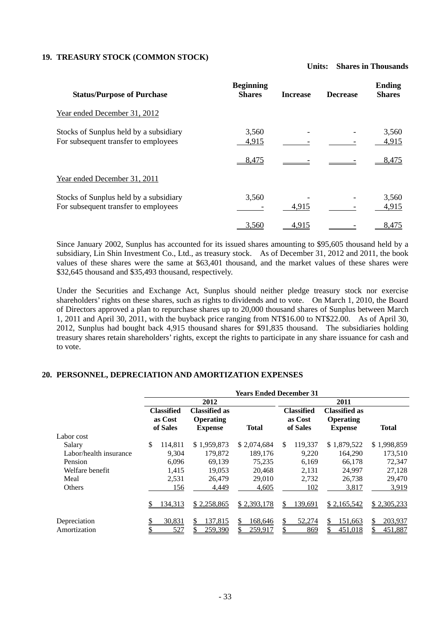### **19. TREASURY STOCK (COMMON STOCK)**

**Units: Shares in Thousands** 

| <b>Status/Purpose of Purchase</b>                                              | <b>Beginning</b><br><b>Shares</b> | <b>Increase</b> | <b>Decrease</b> | <b>Ending</b><br><b>Shares</b> |
|--------------------------------------------------------------------------------|-----------------------------------|-----------------|-----------------|--------------------------------|
| Year ended December 31, 2012                                                   |                                   |                 |                 |                                |
| Stocks of Sunplus held by a subsidiary<br>For subsequent transfer to employees | 3,560<br>4,915                    |                 |                 | 3,560<br>4,915                 |
|                                                                                | 8,475                             |                 |                 | 8,475                          |
| Year ended December 31, 2011                                                   |                                   |                 |                 |                                |
| Stocks of Sunplus held by a subsidiary<br>For subsequent transfer to employees | 3,560                             | 4,915           |                 | 3,560<br>4,915                 |
|                                                                                | 3,560                             | 4,915           |                 | 8,475                          |

Since January 2002, Sunplus has accounted for its issued shares amounting to \$95,605 thousand held by a subsidiary, Lin Shin Investment Co., Ltd., as treasury stock. As of December 31, 2012 and 2011, the book values of these shares were the same at \$63,401 thousand, and the market values of these shares were \$32,645 thousand and \$35,493 thousand, respectively.

Under the Securities and Exchange Act, Sunplus should neither pledge treasury stock nor exercise shareholders' rights on these shares, such as rights to dividends and to vote. On March 1, 2010, the Board of Directors approved a plan to repurchase shares up to 20,000 thousand shares of Sunplus between March 1, 2011 and April 30, 2011, with the buyback price ranging from NT\$16.00 to NT\$22.00. As of April 30, 2012, Sunplus had bought back 4,915 thousand shares for \$91,835 thousand. The subsidiaries holding treasury shares retain shareholders' rights, except the rights to participate in any share issuance for cash and to vote.

#### **20. PERSONNEL, DEPRECIATION AND AMORTIZATION EXPENSES**

|                        |                                          |                                                     | <b>Years Ended December 31</b> |    |                                          |                                                     |              |
|------------------------|------------------------------------------|-----------------------------------------------------|--------------------------------|----|------------------------------------------|-----------------------------------------------------|--------------|
|                        |                                          | 2012                                                |                                |    |                                          | 2011                                                |              |
|                        | <b>Classified</b><br>as Cost<br>of Sales | Classified as<br><b>Operating</b><br><b>Expense</b> | Total                          |    | <b>Classified</b><br>as Cost<br>of Sales | <b>Classified as</b><br>Operating<br><b>Expense</b> | <b>Total</b> |
| Labor cost             |                                          |                                                     |                                |    |                                          |                                                     |              |
| Salary                 | \$<br>114.811                            | \$1,959,873                                         | \$2,074,684                    | \$ | 119.337                                  | \$1,879,522                                         | \$1,998,859  |
| Labor/health insurance | 9.304                                    | 179,872                                             | 189.176                        |    | 9.220                                    | 164,290                                             | 173,510      |
| Pension                | 6,096                                    | 69,139                                              | 75,235                         |    | 6,169                                    | 66,178                                              | 72,347       |
| Welfare benefit        | 1,415                                    | 19.053                                              | 20,468                         |    | 2.131                                    | 24,997                                              | 27,128       |
| Meal                   | 2.531                                    | 26.479                                              | 29,010                         |    | 2.732                                    | 26.738                                              | 29,470       |
| Others                 | 156                                      | 4,449                                               | 4,605                          |    | 102                                      | 3,817                                               | 3,919        |
|                        | 134,313                                  | \$2,258,865                                         | \$2,393,178                    | S  | 139,691                                  | \$2,165,542                                         | \$2,305,233  |
| Depreciation           | 30,831                                   | <u>137,815</u>                                      | 68,646                         | S. | 52,274                                   | 151,663                                             | 203,937      |
| Amortization           | 527                                      | 259,390                                             | 259,917                        |    | 869                                      | 451,018                                             | 451,887      |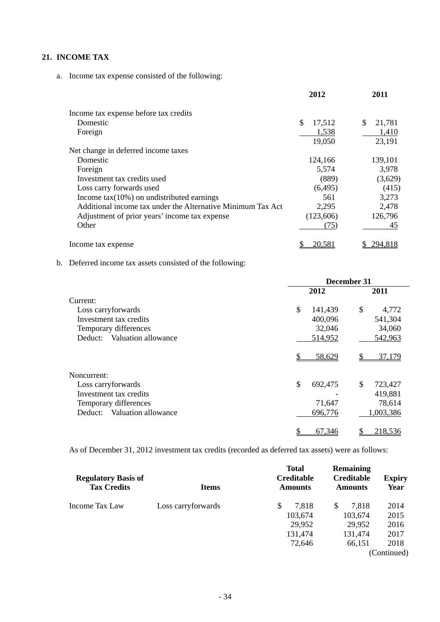### **21. INCOME TAX**

a. Income tax expense consisted of the following:

|                                                             | 2012         | 2011         |
|-------------------------------------------------------------|--------------|--------------|
| Income tax expense before tax credits                       |              |              |
| Domestic                                                    | \$<br>17,512 | \$<br>21,781 |
| Foreign                                                     | 1,538        | 1,410        |
|                                                             | 19,050       | 23,191       |
| Net change in deferred income taxes                         |              |              |
| Domestic                                                    | 124,166      | 139,101      |
| Foreign                                                     | 5,574        | 3,978        |
| Investment tax credits used                                 | (889)        | (3,629)      |
| Loss carry forwards used                                    | (6, 495)     | (415)        |
| Income $tax(10\%)$ on undistributed earnings                | 561          | 3,273        |
| Additional income tax under the Alternative Minimum Tax Act | 2,295        | 2,478        |
| Adjustment of prior years' income tax expense               | (123,606)    | 126,796      |
| Other                                                       | (75)         | 45           |
| Income tax expense                                          | 20.581       | 294.818      |

### b. Deferred income tax assets consisted of the following:

|                                | December 31   |               |  |  |  |
|--------------------------------|---------------|---------------|--|--|--|
|                                | 2012          | 2011          |  |  |  |
| Current:                       |               |               |  |  |  |
| Loss carryforwards             | \$<br>141,439 | \$<br>4,772   |  |  |  |
| Investment tax credits         | 400,096       | 541,304       |  |  |  |
| Temporary differences          | 32,046        | 34,060        |  |  |  |
| Valuation allowance<br>Deduct: | 514,952       | 542,963       |  |  |  |
|                                | 58,629        | 37,179        |  |  |  |
| Noncurrent:                    |               |               |  |  |  |
| Loss carryforwards             | \$<br>692,475 | \$<br>723,427 |  |  |  |
| Investment tax credits         |               | 419,881       |  |  |  |
| Temporary differences          | 71,647        | 78,614        |  |  |  |
| Valuation allowance<br>Deduct: | 696,776       | 1,003,386     |  |  |  |
|                                | 67,346        | 218,536       |  |  |  |

As of December 31, 2012 investment tax credits (recorded as deferred tax assets) were as follows:

| <b>Regulatory Basis of</b><br><b>Tax Credits</b> | <b>Items</b>       |   | <b>Total</b><br><b>Creditable</b><br><b>Amounts</b> | <b>Remaining</b><br><b>Creditable</b><br><b>Amounts</b> | <b>Expiry</b><br><b>Year</b> |
|--------------------------------------------------|--------------------|---|-----------------------------------------------------|---------------------------------------------------------|------------------------------|
| Income Tax Law                                   | Loss carryforwards | S | 7,818                                               | \$<br>7.818                                             | 2014                         |
|                                                  |                    |   | 103,674                                             | 103,674                                                 | 2015                         |
|                                                  |                    |   | 29,952                                              | 29,952                                                  | 2016                         |
|                                                  |                    |   | 131,474                                             | 131,474                                                 | 2017                         |
|                                                  |                    |   | 72,646                                              | 66,151                                                  | 2018                         |
|                                                  |                    |   |                                                     |                                                         | (Continued)                  |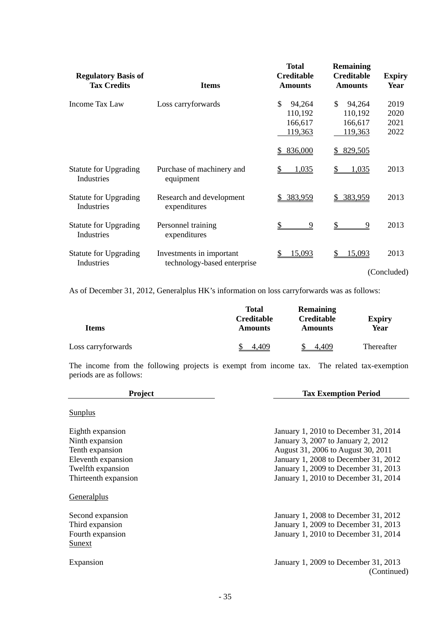| <b>Regulatory Basis of</b><br><b>Tax Credits</b> | <b>Items</b>                                            | <b>Total</b><br><b>Creditable</b><br><b>Amounts</b>      | <b>Remaining</b><br><b>Creditable</b><br><b>Amounts</b>             | <b>Expiry</b><br>Year        |
|--------------------------------------------------|---------------------------------------------------------|----------------------------------------------------------|---------------------------------------------------------------------|------------------------------|
| Income Tax Law                                   | Loss carryforwards                                      | \$<br>94,264<br>110,192<br>166,617<br>119,363<br>836,000 | <sup>\$</sup><br>94,264<br>110,192<br>166,617<br>119,363<br>829,505 | 2019<br>2020<br>2021<br>2022 |
| <b>Statute for Upgrading</b><br>Industries       | Purchase of machinery and<br>equipment                  | 1,035                                                    | 1,035                                                               | 2013                         |
| <b>Statute for Upgrading</b><br>Industries       | Research and development<br>expenditures                | \$ 383,959                                               | 383,959<br>\$                                                       | 2013                         |
| <b>Statute for Upgrading</b><br>Industries       | Personnel training<br>expenditures                      | \$<br>9                                                  | \$<br>9                                                             | 2013                         |
| <b>Statute for Upgrading</b><br>Industries       | Investments in important<br>technology-based enterprise | 15,093                                                   | 15,093                                                              | 2013<br>(Concluded)          |

As of December 31, 2012, Generalplus HK's information on loss carryforwards was as follows:

| <b>Items</b>       | Total<br><b>Creditable</b><br><b>Amounts</b> | Remaining<br><b>Creditable</b><br><b>Amounts</b> | <b>Expiry</b><br>Year |
|--------------------|----------------------------------------------|--------------------------------------------------|-----------------------|
| Loss carryforwards | .409<br>ፍ                                    | 4.409                                            | Thereafter            |

The income from the following projects is exempt from income tax. The related tax-exemption periods are as follows:

| <b>Project</b>                                                               | <b>Tax Exemption Period</b>                                                                                                                                                                      |
|------------------------------------------------------------------------------|--------------------------------------------------------------------------------------------------------------------------------------------------------------------------------------------------|
| Sunplus                                                                      |                                                                                                                                                                                                  |
| Eighth expansion<br>Ninth expansion<br>Tenth expansion<br>Eleventh expansion | January 1, 2010 to December 31, 2014<br>January 3, 2007 to January 2, 2012<br>August 31, 2006 to August 30, 2011<br>January 1, 2008 to December 31, 2012<br>January 1, 2009 to December 31, 2013 |
| Twelfth expansion<br>Thirteenth expansion                                    | January 1, 2010 to December 31, 2014                                                                                                                                                             |
| Generalplus                                                                  |                                                                                                                                                                                                  |
| Second expansion<br>Third expansion<br>Fourth expansion<br><b>Sunext</b>     | January 1, 2008 to December 31, 2012<br>January 1, 2009 to December 31, 2013<br>January 1, 2010 to December 31, 2014                                                                             |
| Expansion                                                                    | January 1, 2009 to December 31, 2013<br>(Continued)                                                                                                                                              |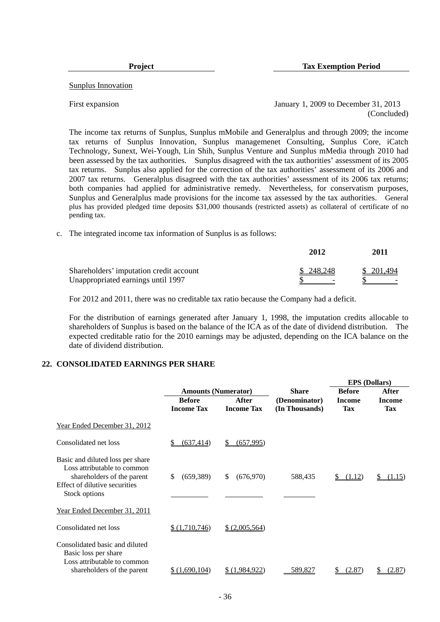**Project** Tax Exemption Period

Sunplus Innovation

First expansion January 1, 2009 to December 31, 2013 (Concluded)

The income tax returns of Sunplus, Sunplus mMobile and Generalplus and through 2009; the income tax returns of Sunplus Innovation, Sunplus managemenet Consulting, Sunplus Core, iCatch Technology, Sunext, Wei-Yough, Lin Shih, Sunplus Venture and Sunplus mMedia through 2010 had been assessed by the tax authorities. Sunplus disagreed with the tax authorities' assessment of its 2005 tax returns. Sunplus also applied for the correction of the tax authorities' assessment of its 2006 and 2007 tax returns. Generalplus disagreed with the tax authorities' assessment of its 2006 tax returns; both companies had applied for administrative remedy. Nevertheless, for conservatism purposes, Sunplus and Generalplus made provisions for the income tax assessed by the tax authorities. General plus has provided pledged time deposits \$31,000 thousands (restricted assets) as collateral of certificate of no pending tax.

c. The integrated income tax information of Sunplus is as follows:

|                                         | 2012      | 2011       |
|-----------------------------------------|-----------|------------|
| Shareholders' imputation credit account | \$248.248 | \$ 201.494 |
| Unappropriated earnings until 1997      |           |            |

For 2012 and 2011, there was no creditable tax ratio because the Company had a deficit.

For the distribution of earnings generated after January 1, 1998, the imputation credits allocable to shareholders of Sunplus is based on the balance of the ICA as of the date of dividend distribution. The expected creditable ratio for the 2010 earnings may be adjusted, depending on the ICA balance on the date of dividend distribution.

#### **22. CONSOLIDATED EARNINGS PER SHARE**

| <b>Amounts (Numerator)</b><br><b>Before</b><br><b>Income Tax</b> | After<br><b>Income Tax</b>           | <b>Share</b><br>(Denominator) | <b>Before</b><br><b>Income</b> | After         |
|------------------------------------------------------------------|--------------------------------------|-------------------------------|--------------------------------|---------------|
|                                                                  |                                      |                               |                                |               |
|                                                                  |                                      |                               |                                | <b>Income</b> |
|                                                                  |                                      | (In Thousands)                | <b>Tax</b>                     | <b>Tax</b>    |
|                                                                  |                                      |                               |                                |               |
| (637, 414)                                                       | (657, 995)<br>\$                     |                               |                                |               |
| (659, 389)                                                       | S.<br>(676, 970)                     | 588,435                       | (1.12)<br>S.                   | (1.15)        |
|                                                                  |                                      |                               |                                |               |
|                                                                  | \$ (2,005,564)                       |                               |                                |               |
|                                                                  |                                      |                               |                                | (2.87)<br>\$  |
|                                                                  | \$<br>\$(1,710,746)<br>\$(1,690,104) | \$(1,984,922)                 | 589,827                        | (2.87)        |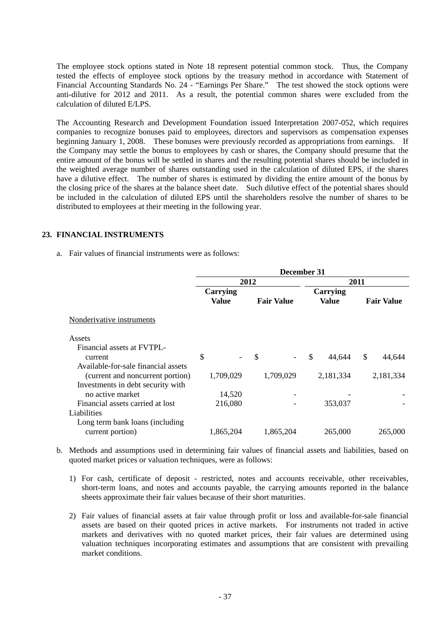The employee stock options stated in Note 18 represent potential common stock. Thus, the Company tested the effects of employee stock options by the treasury method in accordance with Statement of Financial Accounting Standards No. 24 - "Earnings Per Share." The test showed the stock options were anti-dilutive for 2012 and 2011. As a result, the potential common shares were excluded from the calculation of diluted E/LPS.

The Accounting Research and Development Foundation issued Interpretation 2007-052, which requires companies to recognize bonuses paid to employees, directors and supervisors as compensation expenses beginning January 1, 2008. These bonuses were previously recorded as appropriations from earnings. If the Company may settle the bonus to employees by cash or shares, the Company should presume that the entire amount of the bonus will be settled in shares and the resulting potential shares should be included in the weighted average number of shares outstanding used in the calculation of diluted EPS, if the shares have a dilutive effect. The number of shares is estimated by dividing the entire amount of the bonus by the closing price of the shares at the balance sheet date. Such dilutive effect of the potential shares should be included in the calculation of diluted EPS until the shareholders resolve the number of shares to be distributed to employees at their meeting in the following year.

#### **23. FINANCIAL INSTRUMENTS**

a. Fair values of financial instruments were as follows:

|                                                                                                              | December 31       |                   |                         |                   |  |
|--------------------------------------------------------------------------------------------------------------|-------------------|-------------------|-------------------------|-------------------|--|
|                                                                                                              |                   | 2012              | 2011                    |                   |  |
|                                                                                                              | Carrying<br>Value | <b>Fair Value</b> | Carrying<br>Value       | <b>Fair Value</b> |  |
| Nonderivative instruments                                                                                    |                   |                   |                         |                   |  |
| Assets                                                                                                       |                   |                   |                         |                   |  |
| Financial assets at FVTPL-<br>current                                                                        | \$                | <sup>\$</sup>     | $\mathcal{S}$<br>44,644 | \$<br>44,644      |  |
| Available-for-sale financial assets<br>(current and noncurrent portion)<br>Investments in debt security with | 1,709,029         | 1,709,029         | 2,181,334               | 2,181,334         |  |
| no active market                                                                                             | 14,520            |                   |                         |                   |  |
| Financial assets carried at lost<br>Liabilities                                                              | 216,080           |                   | 353,037                 |                   |  |
| Long term bank loans (including<br>current portion)                                                          | 1,865,204         | 1,865,204         | 265,000                 | 265,000           |  |

- b. Methods and assumptions used in determining fair values of financial assets and liabilities, based on quoted market prices or valuation techniques, were as follows:
	- 1) For cash, certificate of deposit restricted, notes and accounts receivable, other receivables, short-term loans, and notes and accounts payable, the carrying amounts reported in the balance sheets approximate their fair values because of their short maturities.
	- 2) Fair values of financial assets at fair value through profit or loss and available-for-sale financial assets are based on their quoted prices in active markets. For instruments not traded in active markets and derivatives with no quoted market prices, their fair values are determined using valuation techniques incorporating estimates and assumptions that are consistent with prevailing market conditions.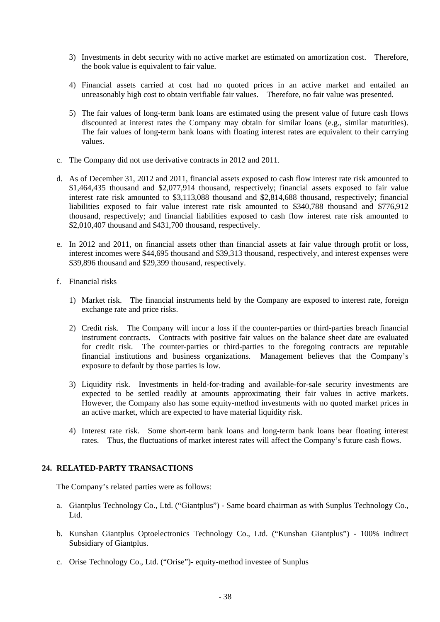- 3) Investments in debt security with no active market are estimated on amortization cost. Therefore, the book value is equivalent to fair value.
- 4) Financial assets carried at cost had no quoted prices in an active market and entailed an unreasonably high cost to obtain verifiable fair values. Therefore, no fair value was presented.
- 5) The fair values of long-term bank loans are estimated using the present value of future cash flows discounted at interest rates the Company may obtain for similar loans (e.g., similar maturities). The fair values of long-term bank loans with floating interest rates are equivalent to their carrying values.
- c. The Company did not use derivative contracts in 2012 and 2011.
- d. As of December 31, 2012 and 2011, financial assets exposed to cash flow interest rate risk amounted to \$1,464,435 thousand and \$2,077,914 thousand, respectively; financial assets exposed to fair value interest rate risk amounted to \$3,113,088 thousand and \$2,814,688 thousand, respectively; financial liabilities exposed to fair value interest rate risk amounted to \$340,788 thousand and \$776,912 thousand, respectively; and financial liabilities exposed to cash flow interest rate risk amounted to \$2,010,407 thousand and \$431,700 thousand, respectively.
- e. In 2012 and 2011, on financial assets other than financial assets at fair value through profit or loss, interest incomes were \$44,695 thousand and \$39,313 thousand, respectively, and interest expenses were \$39,896 thousand and \$29,399 thousand, respectively.
- f. Financial risks
	- 1) Market risk. The financial instruments held by the Company are exposed to interest rate, foreign exchange rate and price risks.
	- 2) Credit risk. The Company will incur a loss if the counter-parties or third-parties breach financial instrument contracts. Contracts with positive fair values on the balance sheet date are evaluated for credit risk. The counter-parties or third-parties to the foregoing contracts are reputable financial institutions and business organizations. Management believes that the Company's exposure to default by those parties is low.
	- 3) Liquidity risk. Investments in held-for-trading and available-for-sale security investments are expected to be settled readily at amounts approximating their fair values in active markets. However, the Company also has some equity-method investments with no quoted market prices in an active market, which are expected to have material liquidity risk.
	- 4) Interest rate risk. Some short-term bank loans and long-term bank loans bear floating interest rates. Thus, the fluctuations of market interest rates will affect the Company's future cash flows.

#### **24. RELATED-PARTY TRANSACTIONS**

The Company's related parties were as follows:

- a. Giantplus Technology Co., Ltd. ("Giantplus") Same board chairman as with Sunplus Technology Co., Ltd.
- b. Kunshan Giantplus Optoelectronics Technology Co., Ltd. ("Kunshan Giantplus") 100% indirect Subsidiary of Giantplus.
- c. Orise Technology Co., Ltd. ("Orise")- equity-method investee of Sunplus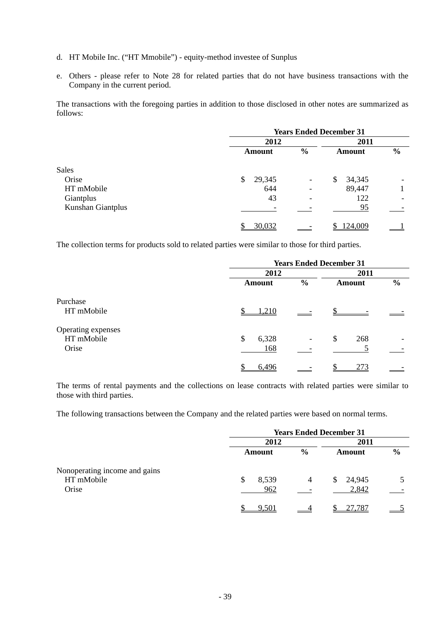- d. HT Mobile Inc. ("HT Mmobile") equity-method investee of Sunplus
- e. Others please refer to Note 28 for related parties that do not have business transactions with the Company in the current period.

The transactions with the foregoing parties in addition to those disclosed in other notes are summarized as follows:

|                   | <b>Years Ended December 31</b> |                          |              |               |
|-------------------|--------------------------------|--------------------------|--------------|---------------|
|                   | 2012                           |                          | 2011         |               |
|                   | <b>Amount</b>                  | $\frac{0}{0}$            | Amount       | $\frac{0}{0}$ |
| <b>Sales</b>      |                                |                          |              |               |
| Orise             | 29,345<br>\$                   | $\overline{\phantom{a}}$ | 34,345<br>\$ |               |
| HT mMobile        | 644                            |                          | 89,447       |               |
| Giantplus         | 43                             |                          | 122          |               |
| Kunshan Giantplus |                                |                          | 95           |               |
|                   | 30,032                         |                          | 124,009      |               |

The collection terms for products sold to related parties were similar to those for third parties.

|                    | <b>Years Ended December 31</b> |               |               |               |  |
|--------------------|--------------------------------|---------------|---------------|---------------|--|
|                    | 2012                           |               |               |               |  |
|                    | <b>Amount</b>                  | $\frac{0}{0}$ | <b>Amount</b> | $\frac{6}{6}$ |  |
| Purchase           |                                |               |               |               |  |
| HT mMobile         | 1,210                          |               |               |               |  |
| Operating expenses |                                |               |               |               |  |
| HT mMobile         | 6,328<br>\$                    |               | \$<br>268     |               |  |
| Orise              | 168                            |               |               |               |  |
|                    | 6,496                          |               | 273           |               |  |

The terms of rental payments and the collections on lease contracts with related parties were similar to those with third parties.

The following transactions between the Company and the related parties were based on normal terms.

|                               |            |               | <b>Years Ended December 31</b> |               |
|-------------------------------|------------|---------------|--------------------------------|---------------|
|                               | 2012       |               | 2011                           |               |
|                               | Amount     | $\frac{0}{0}$ | <b>Amount</b>                  | $\frac{6}{6}$ |
| Nonoperating income and gains |            |               |                                |               |
| HT mMobile                    | 8,539<br>S | 4             | 24,945<br>\$                   |               |
| Orise                         | 962        |               | 2,842                          |               |
|                               | 9,501      |               | 27,787                         |               |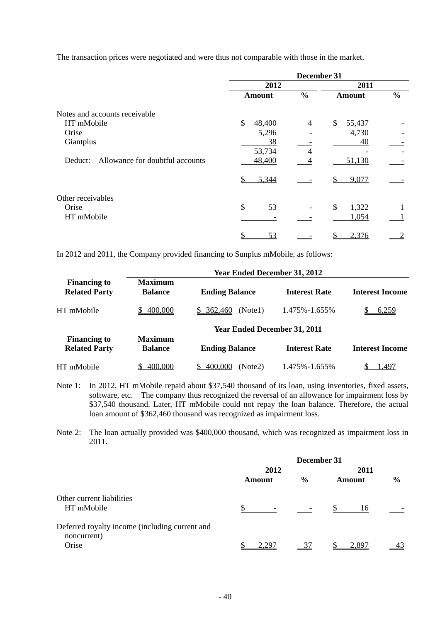The transaction prices were negotiated and were thus not comparable with those in the market.

|                                            |               | December 31   |               |               |
|--------------------------------------------|---------------|---------------|---------------|---------------|
|                                            | 2012          |               | 2011          |               |
|                                            | <b>Amount</b> | $\frac{0}{0}$ | <b>Amount</b> | $\frac{0}{0}$ |
| Notes and accounts receivable              |               |               |               |               |
| HT mMobile                                 | \$<br>48,400  | 4             | \$<br>55,437  |               |
| Orise                                      | 5,296         |               | 4,730         |               |
| Giantplus                                  | 38            |               | 40            |               |
|                                            | 53,734        | 4             |               |               |
| Allowance for doubtful accounts<br>Deduct: | 48,400        |               | 51,130        |               |
|                                            | 5,344         |               | 9,077         |               |
| Other receivables                          |               |               |               |               |
| Orise                                      | \$<br>53      |               | \$<br>1,322   |               |
| HT mMobile                                 |               |               | 1,054         |               |
|                                            | 53            |               | 2,376         |               |

In 2012 and 2011, the Company provided financing to Sunplus mMobile, as follows:

|                                             |                                  | <b>Year Ended December 31, 2012</b> |                      |                        |
|---------------------------------------------|----------------------------------|-------------------------------------|----------------------|------------------------|
| <b>Financing to</b><br><b>Related Party</b> | <b>Maximum</b><br><b>Balance</b> | <b>Ending Balance</b>               | <b>Interest Rate</b> | <b>Interest Income</b> |
| HT mMobile                                  | 400,000                          | \$ 362,460<br>(Note1)               | 1.475%-1.655%        | 6,259                  |
|                                             |                                  | <b>Year Ended December 31, 2011</b> |                      |                        |
| <b>Financing to</b><br><b>Related Party</b> | <b>Maximum</b><br><b>Balance</b> | <b>Ending Balance</b>               | <b>Interest Rate</b> | <b>Interest Income</b> |
| HT mMobile                                  | 400,000                          | 400,000<br>(Note2)                  | 1.475%-1.655%        | 1,497                  |

- Note 1: In 2012, HT mMobile repaid about \$37,540 thousand of its loan, using inventories, fixed assets, software, etc. The company thus recognized the reversal of an allowance for impairment loss by \$37,540 thousand. Later, HT mMobile could not repay the loan balance. Therefore, the actual loan amount of \$362,460 thousand was recognized as impairment loss.
- Note 2: The loan actually provided was \$400,000 thousand, which was recognized as impairment loss in 2011.

|                                                                        | December 31 |               |        |               |
|------------------------------------------------------------------------|-------------|---------------|--------|---------------|
|                                                                        | 2012        |               | 2011   |               |
|                                                                        | Amount      | $\frac{6}{9}$ | Amount | $\frac{6}{6}$ |
| Other current liabilities<br>HT mMobile                                |             |               | 16     |               |
| Deferred royalty income (including current and<br>noncurrent)<br>Orise | 2.297       |               | 2.897  |               |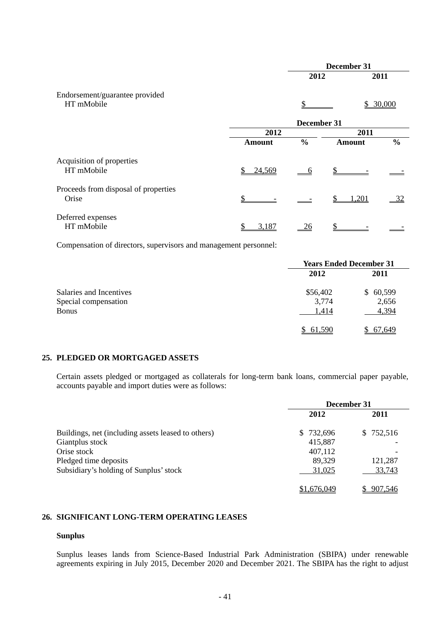|                                               | December 31   |               |               |               |
|-----------------------------------------------|---------------|---------------|---------------|---------------|
|                                               |               | 2012          |               | 2011          |
| Endorsement/guarantee provided<br>HT mMobile  |               | \$            |               | \$30,000      |
|                                               |               | December 31   |               |               |
|                                               | 2012          |               | 2011          |               |
|                                               | <b>Amount</b> | $\frac{0}{0}$ | <b>Amount</b> | $\frac{0}{0}$ |
| Acquisition of properties<br>HT mMobile       | 24,569<br>S   | <u>_6</u>     |               |               |
| Proceeds from disposal of properties<br>Orise | \$.           |               | 1,201         | 32            |
| Deferred expenses<br>HT mMobile               | 3,187         | <u>26</u>     |               |               |

Compensation of directors, supervisors and management personnel:

|                         | <b>Years Ended December 31</b> |              |  |
|-------------------------|--------------------------------|--------------|--|
|                         | 2012                           | 2011         |  |
| Salaries and Incentives | \$56,402                       | 60,599<br>S. |  |
| Special compensation    | 3,774                          | 2,656        |  |
| <b>Bonus</b>            | 1,414                          | 4,394        |  |
|                         | 61,590                         | 67.649       |  |

### **25. PLEDGED OR MORTGAGED ASSETS**

Certain assets pledged or mortgaged as collaterals for long-term bank loans, commercial paper payable, accounts payable and import duties were as follows:

|                                                    | December 31 |           |  |
|----------------------------------------------------|-------------|-----------|--|
|                                                    | 2012        | 2011      |  |
| Buildings, net (including assets leased to others) | \$732,696   | \$752,516 |  |
| Giantplus stock                                    | 415,887     |           |  |
| Orise stock                                        | 407,112     |           |  |
| Pledged time deposits                              | 89,329      | 121,287   |  |
| Subsidiary's holding of Sunplus' stock             | 31,025      | 33,743    |  |
|                                                    | \$1,676,049 | 907.546   |  |

#### **26. SIGNIFICANT LONG-TERM OPERATING LEASES**

#### **Sunplus**

Sunplus leases lands from Science-Based Industrial Park Administration (SBIPA) under renewable agreements expiring in July 2015, December 2020 and December 2021. The SBIPA has the right to adjust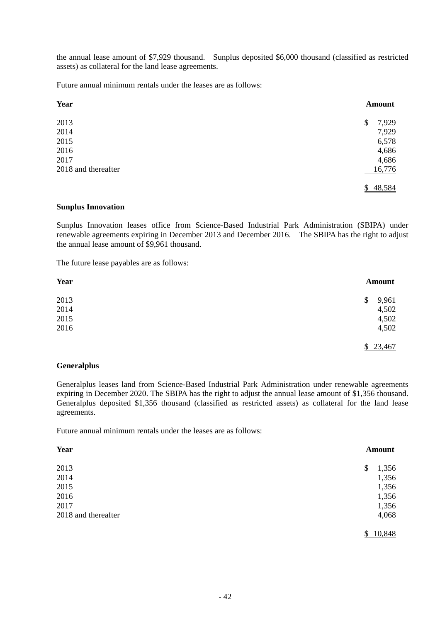the annual lease amount of \$7,929 thousand. Sunplus deposited \$6,000 thousand (classified as restricted assets) as collateral for the land lease agreements.

Future annual minimum rentals under the leases are as follows:

| <b>Year</b>         | <b>Amount</b> |
|---------------------|---------------|
| 2013                | 7,929<br>\$   |
| 2014                | 7,929         |
| 2015                | 6,578         |
| 2016                | 4,686         |
| 2017                | 4,686         |
| 2018 and thereafter | 16,776        |
|                     | \$48,584      |

#### **Sunplus Innovation**

Sunplus Innovation leases office from Science-Based Industrial Park Administration (SBIPA) under renewable agreements expiring in December 2013 and December 2016. The SBIPA has the right to adjust the annual lease amount of \$9,961 thousand.

The future lease payables are as follows:

| <b>Year</b> | <b>Amount</b> |
|-------------|---------------|
| 2013        | 9,961<br>\$   |
| 2014        | 4,502         |
| 2015        | 4,502         |
| 2016        | 4,502         |
|             | \$23,467      |

#### **Generalplus**

Generalplus leases land from Science-Based Industrial Park Administration under renewable agreements expiring in December 2020. The SBIPA has the right to adjust the annual lease amount of \$1,356 thousand. Generalplus deposited \$1,356 thousand (classified as restricted assets) as collateral for the land lease agreements.

Future annual minimum rentals under the leases are as follows:

| Year                | Amount      |
|---------------------|-------------|
| 2013                | 1,356<br>\$ |
| 2014                | 1,356       |
| 2015                | 1,356       |
| 2016                | 1,356       |
| 2017                | 1,356       |
| 2018 and thereafter | 4,068       |
|                     | 10,848      |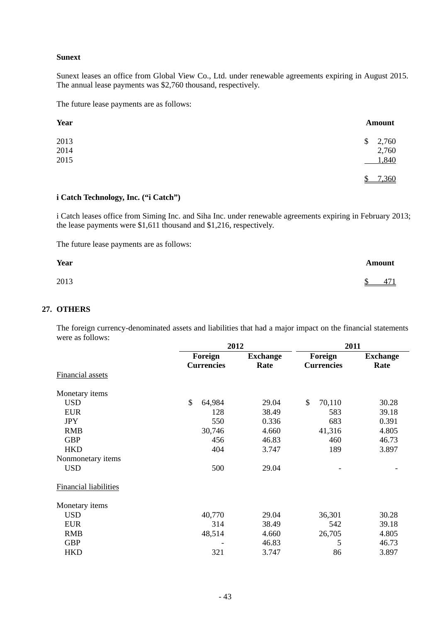### **Sunext**

Sunext leases an office from Global View Co., Ltd. under renewable agreements expiring in August 2015. The annual lease payments was \$2,760 thousand, respectively.

The future lease payments are as follows:

| Year | <b>Amount</b> |
|------|---------------|
| 2013 | 2,760<br>\$   |
| 2014 | 2,760         |
| 2015 | 1,840         |
|      | 7,360<br>Ψ    |

#### **i Catch Technology, Inc. ("i Catch")**

i Catch leases office from Siming Inc. and Siha Inc. under renewable agreements expiring in February 2013; the lease payments were \$1,611 thousand and \$1,216, respectively.

The future lease payments are as follows:

| <b>Year</b> | <b>Amount</b>        |
|-------------|----------------------|
| 2013        | 471<br><sup>\$</sup> |

#### **27. OTHERS**

The foreign currency-denominated assets and liabilities that had a major impact on the financial statements were as follows:

|                              |                         | 2012            |                   | 2011            |  |  |  |
|------------------------------|-------------------------|-----------------|-------------------|-----------------|--|--|--|
|                              | Foreign                 | <b>Exchange</b> | Foreign           | <b>Exchange</b> |  |  |  |
|                              | <b>Currencies</b>       | Rate            | <b>Currencies</b> | Rate            |  |  |  |
| <b>Financial assets</b>      |                         |                 |                   |                 |  |  |  |
| Monetary items               |                         |                 |                   |                 |  |  |  |
| <b>USD</b>                   | $\mathcal{S}$<br>64,984 | 29.04           | \$<br>70,110      | 30.28           |  |  |  |
| <b>EUR</b>                   | 128                     | 38.49           | 583               | 39.18           |  |  |  |
| <b>JPY</b>                   | 550                     | 0.336           | 683               | 0.391           |  |  |  |
| <b>RMB</b>                   | 30,746                  | 4.660           | 41,316            | 4.805           |  |  |  |
| <b>GBP</b>                   | 456                     | 46.83           | 460               | 46.73           |  |  |  |
| <b>HKD</b>                   | 404                     | 3.747           | 189               | 3.897           |  |  |  |
| Nonmonetary items            |                         |                 |                   |                 |  |  |  |
| <b>USD</b>                   | 500                     | 29.04           |                   |                 |  |  |  |
| <b>Financial liabilities</b> |                         |                 |                   |                 |  |  |  |
| Monetary items               |                         |                 |                   |                 |  |  |  |
| <b>USD</b>                   | 40,770                  | 29.04           | 36,301            | 30.28           |  |  |  |
| <b>EUR</b>                   | 314                     | 38.49           | 542               | 39.18           |  |  |  |
| <b>RMB</b>                   | 48,514                  | 4.660           | 26,705            | 4.805           |  |  |  |
| <b>GBP</b>                   |                         | 46.83           | 5                 | 46.73           |  |  |  |
| <b>HKD</b>                   | 321                     | 3.747           | 86                | 3.897           |  |  |  |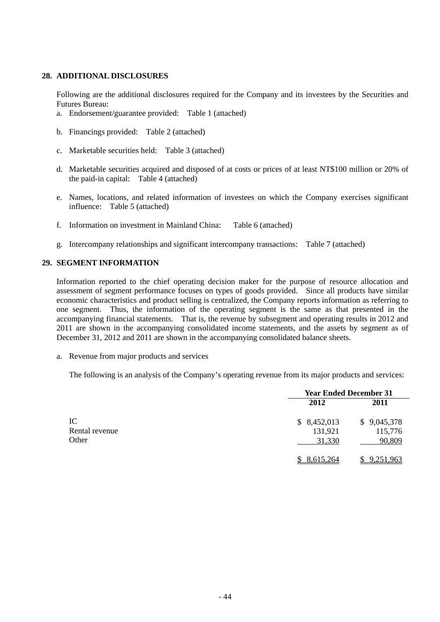#### **28. ADDITIONAL DISCLOSURES**

Following are the additional disclosures required for the Company and its investees by the Securities and Futures Bureau:

- a. Endorsement/guarantee provided: Table 1 (attached)
- b. Financings provided: Table 2 (attached)
- c. Marketable securities held: Table 3 (attached)
- d. Marketable securities acquired and disposed of at costs or prices of at least NT\$100 million or 20% of the paid-in capital: Table 4 (attached)
- e. Names, locations, and related information of investees on which the Company exercises significant influence: Table 5 (attached)
- f. Information on investment in Mainland China: Table 6 (attached)
- g. Intercompany relationships and significant intercompany transactions: Table 7 (attached)

### **29. SEGMENT INFORMATION**

Information reported to the chief operating decision maker for the purpose of resource allocation and assessment of segment performance focuses on types of goods provided. Since all products have similar economic characteristics and product selling is centralized, the Company reports information as referring to one segment. Thus, the information of the operating segment is the same as that presented in the accompanying financial statements. That is, the revenue by subsegment and operating results in 2012 and 2011 are shown in the accompanying consolidated income statements, and the assets by segment as of December 31, 2012 and 2011 are shown in the accompanying consolidated balance sheets.

a. Revenue from major products and services

The following is an analysis of the Company's operating revenue from its major products and services:

|                               | <b>Year Ended December 31</b>    |                                  |
|-------------------------------|----------------------------------|----------------------------------|
|                               | 2012                             | 2011                             |
| IC<br>Rental revenue<br>Other | \$8,452,013<br>131,921<br>31,330 | \$9,045,378<br>115,776<br>90,809 |
|                               | 8,615,264                        | 9,251,963                        |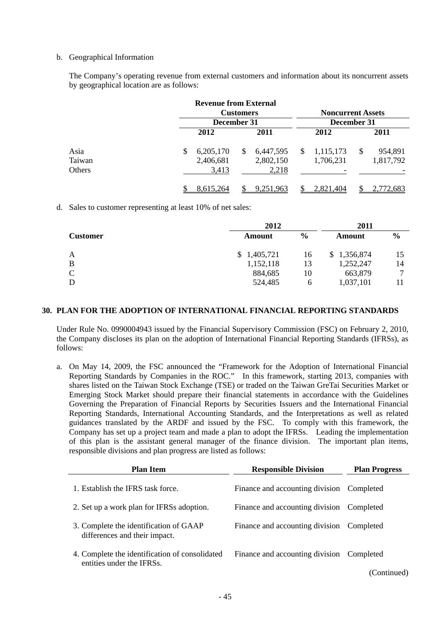#### b. Geographical Information

The Company's operating revenue from external customers and information about its noncurrent assets by geographical location are as follows:

|        | <b>Revenue from External</b> |              |           |             |                          |    |           |  |  |
|--------|------------------------------|--------------|-----------|-------------|--------------------------|----|-----------|--|--|
|        | <b>Customers</b>             |              |           |             | <b>Noncurrent Assets</b> |    |           |  |  |
|        | December 31                  |              |           | December 31 |                          |    |           |  |  |
|        | 2012                         |              | 2011      |             | 2012                     |    | 2011      |  |  |
| Asia   | \$<br>6,205,170              | <sup>S</sup> | 6,447,595 | S           | 1,115,173                | \$ | 954,891   |  |  |
| Taiwan | 2,406,681                    |              | 2,802,150 |             | 1,706,231                |    | 1,817,792 |  |  |
| Others | 3,413                        |              | 2,218     |             |                          |    |           |  |  |
|        | 8,615,264                    |              | 9,251,963 |             | 2,821,404                |    | 2,772,683 |  |  |

d. Sales to customer representing at least 10% of net sales:

|                 | 2012        | 2011 |             |               |  |
|-----------------|-------------|------|-------------|---------------|--|
| <b>Customer</b> | Amount      |      | Amount      | $\frac{6}{6}$ |  |
| A               | \$1,405,721 | 16   | \$1,356,874 | 15            |  |
| B               | 1,152,118   | 13   | 1,252,247   | 14            |  |
| $\mathcal{C}$   | 884,685     | 10   | 663,879     | ⇁             |  |
| D               | 524,485     | h    | 1,037,101   |               |  |

#### **30. PLAN FOR THE ADOPTION OF INTERNATIONAL FINANCIAL REPORTING STANDARDS**

Under Rule No. 0990004943 issued by the Financial Supervisory Commission (FSC) on February 2, 2010, the Company discloses its plan on the adoption of International Financial Reporting Standards (IFRSs), as follows:

a. On May 14, 2009, the FSC announced the "Framework for the Adoption of International Financial Reporting Standards by Companies in the ROC." In this framework, starting 2013, companies with shares listed on the Taiwan Stock Exchange (TSE) or traded on the Taiwan GreTai Securities Market or Emerging Stock Market should prepare their financial statements in accordance with the Guidelines Governing the Preparation of Financial Reports by Securities Issuers and the International Financial Reporting Standards, International Accounting Standards, and the Interpretations as well as related guidances translated by the ARDF and issued by the FSC. To comply with this framework, the Company has set up a project team and made a plan to adopt the IFRSs. Leading the implementation of this plan is the assistant general manager of the finance division. The important plan items, responsible divisions and plan progress are listed as follows:

| <b>Plan Item</b>                                                            | <b>Responsible Division</b>     | <b>Plan Progress</b> |
|-----------------------------------------------------------------------------|---------------------------------|----------------------|
| 1. Establish the IFRS task force.                                           | Finance and accounting division | Completed            |
| 2. Set up a work plan for IFRSs adoption.                                   | Finance and accounting division | Completed            |
| 3. Complete the identification of GAAP<br>differences and their impact.     | Finance and accounting division | Completed            |
| 4. Complete the identification of consolidated<br>entities under the IFRSs. | Finance and accounting division | Completed            |
|                                                                             |                                 | (Continued)          |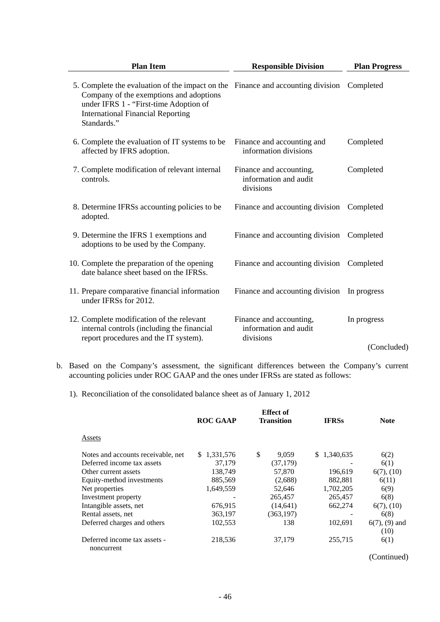| <b>Plan Item</b>                                                                                                                                                                                                                | <b>Responsible Division</b>                                   | <b>Plan Progress</b> |  |  |
|---------------------------------------------------------------------------------------------------------------------------------------------------------------------------------------------------------------------------------|---------------------------------------------------------------|----------------------|--|--|
| 5. Complete the evaluation of the impact on the Finance and accounting division<br>Company of the exemptions and adoptions<br>under IFRS 1 - "First-time Adoption of<br><b>International Financial Reporting</b><br>Standards." |                                                               | Completed            |  |  |
| 6. Complete the evaluation of IT systems to be<br>affected by IFRS adoption.                                                                                                                                                    | Finance and accounting and<br>information divisions           | Completed            |  |  |
| 7. Complete modification of relevant internal<br>controls.                                                                                                                                                                      | Finance and accounting,<br>information and audit<br>divisions | Completed            |  |  |
| 8. Determine IFRSs accounting policies to be<br>adopted.                                                                                                                                                                        | Finance and accounting division                               | Completed            |  |  |
| 9. Determine the IFRS 1 exemptions and<br>adoptions to be used by the Company.                                                                                                                                                  | Finance and accounting division                               | Completed            |  |  |
| 10. Complete the preparation of the opening<br>date balance sheet based on the IFRSs.                                                                                                                                           | Finance and accounting division                               | Completed            |  |  |
| 11. Prepare comparative financial information<br>under IFRSs for 2012.                                                                                                                                                          | Finance and accounting division                               | In progress          |  |  |
| 12. Complete modification of the relevant<br>internal controls (including the financial<br>report procedures and the IT system).                                                                                                | Finance and accounting,<br>information and audit<br>divisions | In progress          |  |  |
|                                                                                                                                                                                                                                 |                                                               | (Concluded)          |  |  |

- b. Based on the Company's assessment, the significant differences between the Company's current accounting policies under ROC GAAP and the ones under IFRSs are stated as follows:
	- 1). Reconciliation of the consolidated balance sheet as of January 1, 2012

|                                            | <b>ROC GAAP</b> | <b>Effect</b> of<br><b>Transition</b> | <b>IFRSs</b> | <b>Note</b>             |  |  |
|--------------------------------------------|-----------------|---------------------------------------|--------------|-------------------------|--|--|
| Assets                                     |                 |                                       |              |                         |  |  |
| Notes and accounts receivable, net         | \$1,331,576     | \$<br>9,059                           | \$1,340,635  | 6(2)                    |  |  |
| Deferred income tax assets                 | 37.179          | (37, 179)                             |              | 6(1)                    |  |  |
| Other current assets                       | 138,749         | 57,870                                | 196,619      | $6(7)$ , $(10)$         |  |  |
| Equity-method investments                  | 885,569         | (2,688)                               | 882,881      | 6(11)                   |  |  |
| Net properties                             | 1,649,559       | 52,646                                | 1,702,205    | 6(9)                    |  |  |
| Investment property                        |                 | 265,457                               | 265,457      | 6(8)                    |  |  |
| Intangible assets, net                     | 676,915         | (14, 641)                             | 662,274      | $6(7)$ , $(10)$         |  |  |
| Rental assets, net                         | 363,197         | (363, 197)                            |              | 6(8)                    |  |  |
| Deferred charges and others                | 102,553         | 138                                   | 102.691      | $6(7)$ , $(9)$ and      |  |  |
|                                            |                 |                                       |              | (10)                    |  |  |
| Deferred income tax assets -<br>noncurrent | 218,536         | 37,179                                | 255,715      | 6(1)                    |  |  |
|                                            |                 |                                       |              | $\sim$<br>$\rightarrow$ |  |  |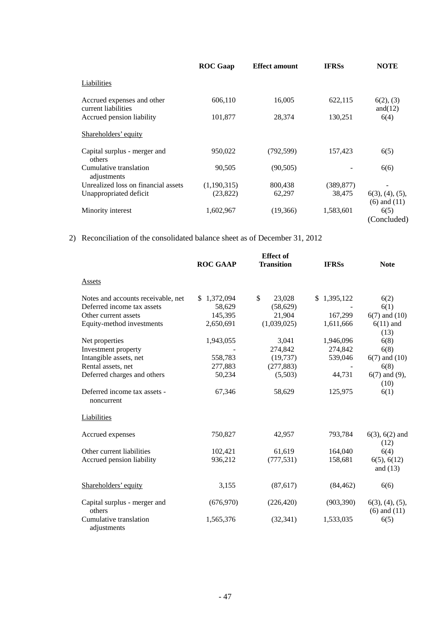|                                                   | <b>ROC</b> Gaap | <b>Effect amount</b> | <b>IFRSs</b> | <b>NOTE</b>                                  |
|---------------------------------------------------|-----------------|----------------------|--------------|----------------------------------------------|
| Liabilities                                       |                 |                      |              |                                              |
| Accrued expenses and other<br>current liabilities | 606,110         | 16,005               | 622,115      | 6(2), (3)<br>and $(12)$                      |
| Accrued pension liability                         | 101,877         | 28,374               | 130,251      | 6(4)                                         |
| Shareholders' equity                              |                 |                      |              |                                              |
| Capital surplus - merger and<br>others            | 950,022         | (792, 599)           | 157,423      | 6(5)                                         |
| Cumulative translation<br>adjustments             | 90,505          | (90, 505)            |              | 6(6)                                         |
| Unrealized loss on financial assets               | (1,190,315)     | 800,438              | (389, 877)   |                                              |
| Unappropriated deficit                            | (23,822)        | 62,297               | 38,475       | $6(3)$ , $(4)$ , $(5)$ ,<br>$(6)$ and $(11)$ |
| Minority interest                                 | 1,602,967       | (19,366)             | 1,583,601    | 6(5)<br>(Concluded)                          |

2) Reconciliation of the consolidated balance sheet as of December 31, 2012

|                                            | <b>Effect</b> of |                   |              |                                              |  |  |
|--------------------------------------------|------------------|-------------------|--------------|----------------------------------------------|--|--|
|                                            | <b>ROC GAAP</b>  | <b>Transition</b> | <b>IFRSs</b> | <b>Note</b>                                  |  |  |
| Assets                                     |                  |                   |              |                                              |  |  |
| Notes and accounts receivable, net         | \$1,372,094      | \$<br>23,028      | \$1,395,122  | 6(2)                                         |  |  |
| Deferred income tax assets                 | 58,629           | (58, 629)         |              | 6(1)                                         |  |  |
| Other current assets                       | 145,395          | 21,904            | 167,299      | $6(7)$ and $(10)$                            |  |  |
| Equity-method investments                  | 2,650,691        | (1,039,025)       | 1,611,666    | $6(11)$ and<br>(13)                          |  |  |
| Net properties                             | 1,943,055        | 3,041             | 1,946,096    | 6(8)                                         |  |  |
| Investment property                        |                  | 274,842           | 274,842      | 6(8)                                         |  |  |
| Intangible assets, net                     | 558,783          | (19, 737)         | 539,046      | $6(7)$ and $(10)$                            |  |  |
| Rental assets, net                         | 277,883          | (277, 883)        |              | 6(8)                                         |  |  |
| Deferred charges and others                | 50,234           | (5,503)           | 44,731       | $6(7)$ and $(9)$ ,<br>(10)                   |  |  |
| Deferred income tax assets -<br>noncurrent | 67,346           | 58,629            | 125,975      | 6(1)                                         |  |  |
| Liabilities                                |                  |                   |              |                                              |  |  |
| Accrued expenses                           | 750,827          | 42,957            | 793,784      | $6(3)$ , $6(2)$ and<br>(12)                  |  |  |
| Other current liabilities                  | 102,421          | 61,619            | 164,040      | 6(4)                                         |  |  |
| Accrued pension liability                  | 936,212          | (777, 531)        | 158,681      | 6(5), 6(12)<br>and $(13)$                    |  |  |
| Shareholders' equity                       | 3,155            | (87, 617)         | (84, 462)    | 6(6)                                         |  |  |
| Capital surplus - merger and<br>others     | (676, 970)       | (226, 420)        | (903, 390)   | $6(3)$ , $(4)$ , $(5)$ ,<br>$(6)$ and $(11)$ |  |  |
| Cumulative translation<br>adjustments      | 1,565,376        | (32, 341)         | 1,533,035    | 6(5)                                         |  |  |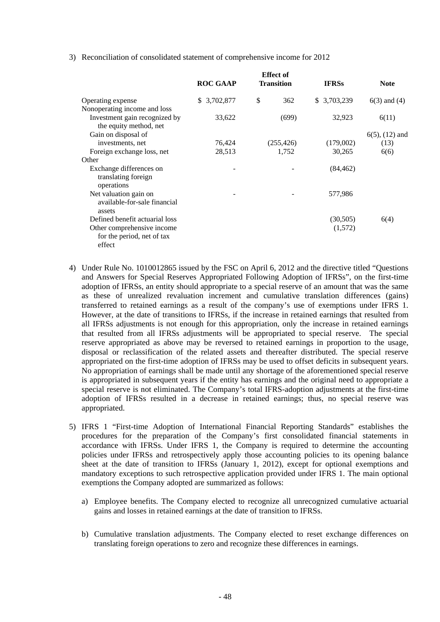3) Reconciliation of consolidated statement of comprehensive income for 2012

|                                                                    | <b>Effect</b> of<br><b>ROC GAAP</b><br><b>Transition</b> |            | <b>IFRSs</b> | <b>Note</b>         |  |
|--------------------------------------------------------------------|----------------------------------------------------------|------------|--------------|---------------------|--|
| Operating expense                                                  | \$ 3,702,877                                             | \$<br>362  | \$ 3,703,239 | $6(3)$ and $(4)$    |  |
| Nonoperating income and loss                                       |                                                          |            |              |                     |  |
| Investment gain recognized by<br>the equity method, net            | 33,622                                                   | (699)      | 32,923       | 6(11)               |  |
| Gain on disposal of                                                |                                                          |            |              | $6(5)$ , $(12)$ and |  |
| investments, net                                                   | 76,424                                                   | (255, 426) | (179,002)    | (13)                |  |
| Foreign exchange loss, net                                         | 28,513                                                   | 1,752      | 30,265       | 6(6)                |  |
| Other                                                              |                                                          |            |              |                     |  |
| Exchange differences on<br>translating foreign<br>operations       |                                                          |            | (84, 462)    |                     |  |
| Net valuation gain on<br>available-for-sale financial<br>assets    |                                                          |            | 577,986      |                     |  |
| Defined benefit actuarial loss                                     |                                                          |            | (30,505)     | 6(4)                |  |
| Other comprehensive income<br>for the period, net of tax<br>effect |                                                          |            | (1,572)      |                     |  |

- 4) Under Rule No. 1010012865 issued by the FSC on April 6, 2012 and the directive titled "Questions and Answers for Special Reserves Appropriated Following Adoption of IFRSs", on the first-time adoption of IFRSs, an entity should appropriate to a special reserve of an amount that was the same as these of unrealized revaluation increment and cumulative translation differences (gains) transferred to retained earnings as a result of the company's use of exemptions under IFRS 1. However, at the date of transitions to IFRSs, if the increase in retained earnings that resulted from all IFRSs adjustments is not enough for this appropriation, only the increase in retained earnings that resulted from all IFRSs adjustments will be appropriated to special reserve. The special reserve appropriated as above may be reversed to retained earnings in proportion to the usage, disposal or reclassification of the related assets and thereafter distributed. The special reserve appropriated on the first-time adoption of IFRSs may be used to offset deficits in subsequent years. No appropriation of earnings shall be made until any shortage of the aforementioned special reserve is appropriated in subsequent years if the entity has earnings and the original need to appropriate a special reserve is not eliminated. The Company's total IFRS-adoption adjustments at the first-time adoption of IFRSs resulted in a decrease in retained earnings; thus, no special reserve was appropriated.
- 5) IFRS 1 "First-time Adoption of International Financial Reporting Standards" establishes the procedures for the preparation of the Company's first consolidated financial statements in accordance with IFRSs. Under IFRS 1, the Company is required to determine the accounting policies under IFRSs and retrospectively apply those accounting policies to its opening balance sheet at the date of transition to IFRSs (January 1, 2012), except for optional exemptions and mandatory exceptions to such retrospective application provided under IFRS 1. The main optional exemptions the Company adopted are summarized as follows:
	- a) Employee benefits. The Company elected to recognize all unrecognized cumulative actuarial gains and losses in retained earnings at the date of transition to IFRSs.
	- b) Cumulative translation adjustments. The Company elected to reset exchange differences on translating foreign operations to zero and recognize these differences in earnings.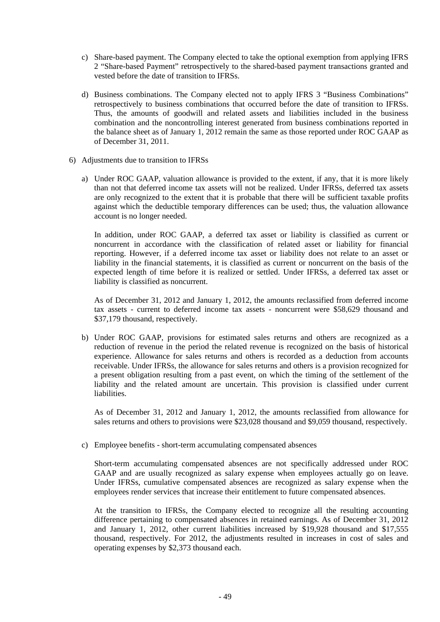- c) Share-based payment. The Company elected to take the optional exemption from applying IFRS 2 "Share-based Payment" retrospectively to the shared-based payment transactions granted and vested before the date of transition to IFRSs.
- d) Business combinations. The Company elected not to apply IFRS 3 "Business Combinations" retrospectively to business combinations that occurred before the date of transition to IFRSs. Thus, the amounts of goodwill and related assets and liabilities included in the business combination and the noncontrolling interest generated from business combinations reported in the balance sheet as of January 1, 2012 remain the same as those reported under ROC GAAP as of December 31, 2011.
- 6) Adjustments due to transition to IFRSs
	- a) Under ROC GAAP, valuation allowance is provided to the extent, if any, that it is more likely than not that deferred income tax assets will not be realized. Under IFRSs, deferred tax assets are only recognized to the extent that it is probable that there will be sufficient taxable profits against which the deductible temporary differences can be used; thus, the valuation allowance account is no longer needed.

In addition, under ROC GAAP, a deferred tax asset or liability is classified as current or noncurrent in accordance with the classification of related asset or liability for financial reporting. However, if a deferred income tax asset or liability does not relate to an asset or liability in the financial statements, it is classified as current or noncurrent on the basis of the expected length of time before it is realized or settled. Under IFRSs, a deferred tax asset or liability is classified as noncurrent.

As of December 31, 2012 and January 1, 2012, the amounts reclassified from deferred income tax assets - current to deferred income tax assets - noncurrent were \$58,629 thousand and \$37,179 thousand, respectively.

b) Under ROC GAAP, provisions for estimated sales returns and others are recognized as a reduction of revenue in the period the related revenue is recognized on the basis of historical experience. Allowance for sales returns and others is recorded as a deduction from accounts receivable. Under IFRSs, the allowance for sales returns and others is a provision recognized for a present obligation resulting from a past event, on which the timing of the settlement of the liability and the related amount are uncertain. This provision is classified under current liabilities.

As of December 31, 2012 and January 1, 2012, the amounts reclassified from allowance for sales returns and others to provisions were \$23,028 thousand and \$9,059 thousand, respectively.

c) Employee benefits - short-term accumulating compensated absences

Short-term accumulating compensated absences are not specifically addressed under ROC GAAP and are usually recognized as salary expense when employees actually go on leave. Under IFRSs, cumulative compensated absences are recognized as salary expense when the employees render services that increase their entitlement to future compensated absences.

At the transition to IFRSs, the Company elected to recognize all the resulting accounting difference pertaining to compensated absences in retained earnings. As of December 31, 2012 and January 1, 2012, other current liabilities increased by \$19,928 thousand and \$17,555 thousand, respectively. For 2012, the adjustments resulted in increases in cost of sales and operating expenses by \$2,373 thousand each.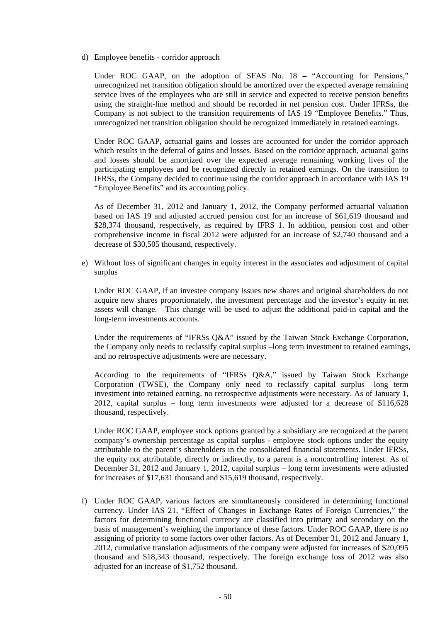d) Employee benefits - corridor approach

Under ROC GAAP, on the adoption of SFAS No. 18 – "Accounting for Pensions," unrecognized net transition obligation should be amortized over the expected average remaining service lives of the employees who are still in service and expected to receive pension benefits using the straight-line method and should be recorded in net pension cost. Under IFRSs, the Company is not subject to the transition requirements of IAS 19 "Employee Benefits." Thus, unrecognized net transition obligation should be recognized immediately in retained earnings.

Under ROC GAAP, actuarial gains and losses are accounted for under the corridor approach which results in the deferral of gains and losses. Based on the corridor approach, actuarial gains and losses should be amortized over the expected average remaining working lives of the participating employees and be recognized directly in retained earnings. On the transition to IFRSs, the Company decided to continue using the corridor approach in accordance with IAS 19 "Employee Benefits" and its accounting policy.

As of December 31, 2012 and January 1, 2012, the Company performed actuarial valuation based on IAS 19 and adjusted accrued pension cost for an increase of \$61,619 thousand and \$28,374 thousand, respectively, as required by IFRS 1. In addition, pension cost and other comprehensive income in fiscal 2012 were adjusted for an increase of \$2,740 thousand and a decrease of \$30,505 thousand, respectively.

e) Without loss of significant changes in equity interest in the associates and adjustment of capital surplus

Under ROC GAAP, if an investee company issues new shares and original shareholders do not acquire new shares proportionately, the investment percentage and the investor's equity in net assets will change. This change will be used to adjust the additional paid-in capital and the long-term investments accounts.

Under the requirements of "IFRSs O&A" issued by the Taiwan Stock Exchange Corporation, the Company only needs to reclassify capital surplus –long term investment to retained earnings, and no retrospective adjustments were are necessary.

According to the requirements of "IFRSs Q&A," issued by Taiwan Stock Exchange Corporation (TWSE), the Company only need to reclassify capital surplus –long term investment into retained earning, no retrospective adjustments were necessary. As of January 1, 2012, capital surplus – long term investments were adjusted for a decrease of \$116,628 thousand, respectively.

Under ROC GAAP, employee stock options granted by a subsidiary are recognized at the parent company's ownership percentage as capital surplus - employee stock options under the equity attributable to the parent's shareholders in the consolidated financial statements. Under IFRSs, the equity not attributable, directly or indirectly, to a parent is a noncontrolling interest. As of December 31, 2012 and January 1, 2012, capital surplus – long term investments were adjusted for increases of \$17,631 thousand and \$15,619 thousand, respectively.

f) Under ROC GAAP, various factors are simultaneously considered in determining functional currency. Under IAS 21, "Effect of Changes in Exchange Rates of Foreign Currencies," the factors for determining functional currency are classified into primary and secondary on the basis of management's weighing the importance of these factors. Under ROC GAAP, there is no assigning of priority to some factors over other factors. As of December 31, 2012 and January 1, 2012, cumulative translation adjustments of the company were adjusted for increases of \$20,095 thousand and \$18,343 thousand, respectively. The foreign exchange loss of 2012 was also adjusted for an increase of \$1,752 thousand.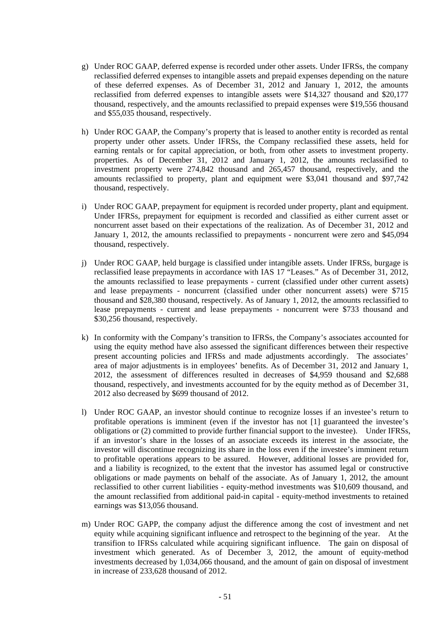- g) Under ROC GAAP, deferred expense is recorded under other assets. Under IFRSs, the company reclassified deferred expenses to intangible assets and prepaid expenses depending on the nature of these deferred expenses. As of December 31, 2012 and January 1, 2012, the amounts reclassified from deferred expenses to intangible assets were \$14,327 thousand and \$20,177 thousand, respectively, and the amounts reclassified to prepaid expenses were \$19,556 thousand and \$55,035 thousand, respectively.
- h) Under ROC GAAP, the Company's property that is leased to another entity is recorded as rental property under other assets. Under IFRSs, the Company reclassified these assets, held for earning rentals or for capital appreciation, or both, from other assets to investment property. properties. As of December 31, 2012 and January 1, 2012, the amounts reclassified to investment property were 274,842 thousand and 265,457 thousand, respectively, and the amounts reclassified to property, plant and equipment were \$3,041 thousand and \$97,742 thousand, respectively.
- i) Under ROC GAAP, prepayment for equipment is recorded under property, plant and equipment. Under IFRSs, prepayment for equipment is recorded and classified as either current asset or noncurrent asset based on their expectations of the realization. As of December 31, 2012 and January 1, 2012, the amounts reclassified to prepayments - noncurrent were zero and \$45,094 thousand, respectively.
- j) Under ROC GAAP, held burgage is classified under intangible assets. Under IFRSs, burgage is reclassified lease prepayments in accordance with IAS 17 "Leases." As of December 31, 2012, the amounts reclassified to lease prepayments - current (classified under other current assets) and lease prepayments - noncurrent (classified under other noncurrent assets) were \$715 thousand and \$28,380 thousand, respectively. As of January 1, 2012, the amounts reclassified to lease prepayments - current and lease prepayments - noncurrent were \$733 thousand and \$30,256 thousand, respectively.
- k) In conformity with the Company's transition to IFRSs, the Company's associates accounted for using the equity method have also assessed the significant differences between their respective present accounting policies and IFRSs and made adjustments accordingly. The associates' area of major adjustments is in employees' benefits. As of December 31, 2012 and January 1, 2012, the assessment of differences resulted in decreases of \$4,959 thousand and \$2,688 thousand, respectively, and investments accounted for by the equity method as of December 31, 2012 also decreased by \$699 thousand of 2012.
- l) Under ROC GAAP, an investor should continue to recognize losses if an investee's return to profitable operations is imminent (even if the investor has not [1] guaranteed the investee's obligations or (2) committed to provide further financial support to the investee). Under IFRSs, if an investor's share in the losses of an associate exceeds its interest in the associate, the investor will discontinue recognizing its share in the loss even if the investee's imminent return to profitable operations appears to be assured. However, additional losses are provided for, and a liability is recognized, to the extent that the investor has assumed legal or constructive obligations or made payments on behalf of the associate. As of January 1, 2012, the amount reclassified to other current liabilities - equity-method investments was \$10,609 thousand, and the amount reclassified from additional paid-in capital - equity-method investments to retained earnings was \$13,056 thousand.
- m) Under ROC GAPP, the company adjust the difference among the cost of investment and net equity while acquining significant influence and retrospect to the beginning of the year. At the transifion to IFRSs calculated while acquiring significant influence. The gain on disposal of investment which generated. As of December 3, 2012, the amount of equity-method investments decreased by 1,034,066 thousand, and the amount of gain on disposal of investment in increase of 233,628 thousand of 2012.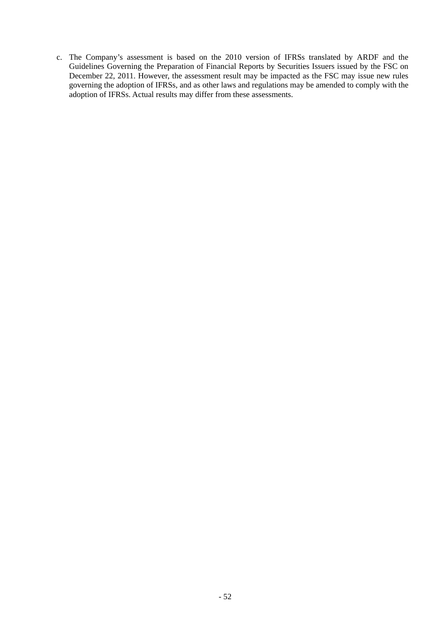c. The Company's assessment is based on the 2010 version of IFRSs translated by ARDF and the Guidelines Governing the Preparation of Financial Reports by Securities Issuers issued by the FSC on December 22, 2011. However, the assessment result may be impacted as the FSC may issue new rules governing the adoption of IFRSs, and as other laws and regulations may be amended to comply with the adoption of IFRSs. Actual results may differ from these assessments.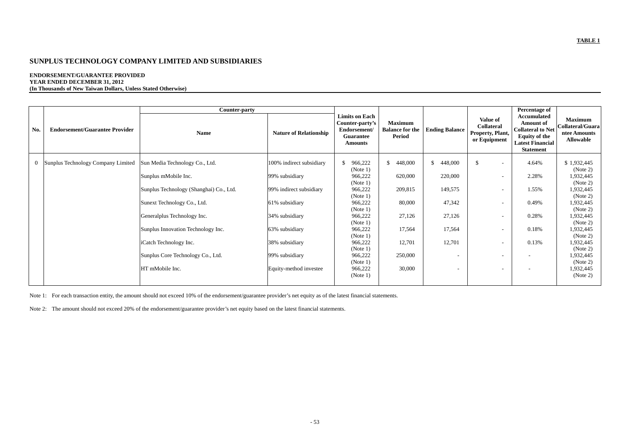#### **ENDORSEMENT/GUARANTEE PROVIDED YEAR ENDED DECEMBER 31, 2012**

| (In Thousands of New Taiwan Dollars, Unless Stated Otherwise) |
|---------------------------------------------------------------|
|---------------------------------------------------------------|

|              |                                       | Counter-party                           |                               |                                                                                         |                                                    |                          |                                                                   | Percentage of                                                                                                                      |                                                                        |
|--------------|---------------------------------------|-----------------------------------------|-------------------------------|-----------------------------------------------------------------------------------------|----------------------------------------------------|--------------------------|-------------------------------------------------------------------|------------------------------------------------------------------------------------------------------------------------------------|------------------------------------------------------------------------|
| No.          | <b>Endorsement/Guarantee Provider</b> | <b>Name</b>                             | <b>Nature of Relationship</b> | <b>Limits on Each</b><br>Counter-party's<br>Endorsement/<br>Guarantee<br><b>Amounts</b> | <b>Maximum</b><br><b>Balance for the</b><br>Period | <b>Ending Balance</b>    | <b>Value of</b><br>Collateral<br>Property, Plant,<br>or Equipment | Accumulated<br><b>Amount</b> of<br><b>Collateral to Net</b><br><b>Equity of the</b><br><b>Latest Financial</b><br><b>Statement</b> | <b>Maximum</b><br>Collateral/Guara<br>ntee Amounts<br><b>Allowable</b> |
| $\mathbf{0}$ | Sunplus Technology Company Limited    | Sun Media Technology Co., Ltd.          | 100% indirect subsidiary      | S.<br>966,222<br>(Note 1)                                                               | $\mathbb{S}$<br>448,000                            | \$448,000                | -S<br>$\overline{\phantom{a}}$                                    | 4.64%                                                                                                                              | \$1,932,445<br>(Note 2)                                                |
|              |                                       | Sunplus mMobile Inc.                    | 99% subsidiary                | 966,222<br>(Note 1)                                                                     | 620,000                                            | 220,000                  |                                                                   | 2.28%                                                                                                                              | 1,932,445<br>(Note 2)                                                  |
|              |                                       | Sunplus Technology (Shanghai) Co., Ltd. | 99% indirect subsidiary       | 966,222<br>(Note 1)                                                                     | 209,815                                            | 149,575                  | $\overline{\phantom{0}}$                                          | 1.55%                                                                                                                              | 1,932,445<br>(Note 2)                                                  |
|              |                                       | Sunext Technology Co., Ltd.             | 61% subsidiary                | 966,222<br>(Note 1)                                                                     | 80,000                                             | 47,342                   |                                                                   | 0.49%                                                                                                                              | 1,932,445<br>(Note 2)                                                  |
|              |                                       | Generalplus Technology Inc.             | 34% subsidiary                | 966,222<br>(Note 1)                                                                     | 27,126                                             | 27,126                   |                                                                   | 0.28%                                                                                                                              | 1,932,445<br>(Note 2)                                                  |
|              |                                       | Sunplus Innovation Technology Inc.      | 63% subsidiary                | 966,222<br>(Note 1)                                                                     | 17,564                                             | 17,564                   | $\overline{\phantom{a}}$                                          | 0.18%                                                                                                                              | 1,932,445<br>(Note 2)                                                  |
|              |                                       | iCatch Technology Inc.                  | 38% subsidiary                | 966,222<br>(Note 1)                                                                     | 12,701                                             | 12,701                   | $\overline{\phantom{a}}$                                          | 0.13%                                                                                                                              | 1,932,445<br>(Note 2)                                                  |
|              |                                       | Sunplus Core Technology Co., Ltd.       | 99% subsidiary                | 966,222<br>(Note 1)                                                                     | 250,000                                            | $\overline{\phantom{a}}$ | $\overline{\phantom{a}}$                                          | $\overline{\phantom{a}}$                                                                                                           | 1,932,445<br>(Note 2)                                                  |
|              |                                       | HT mMobile Inc.                         | Equity-method investee        | 966,222<br>(Note 1)                                                                     | 30,000                                             | $\overline{\phantom{a}}$ |                                                                   |                                                                                                                                    | 1,932,445<br>(Note 2)                                                  |

Note 1: For each transaction entity, the amount should not exceed 10% of the endorsement/guarantee provider's net equity as of the latest financial statements.

Note 2: The amount should not exceed 20% of the endorsement/guarantee provider's net equity based on the latest financial statements.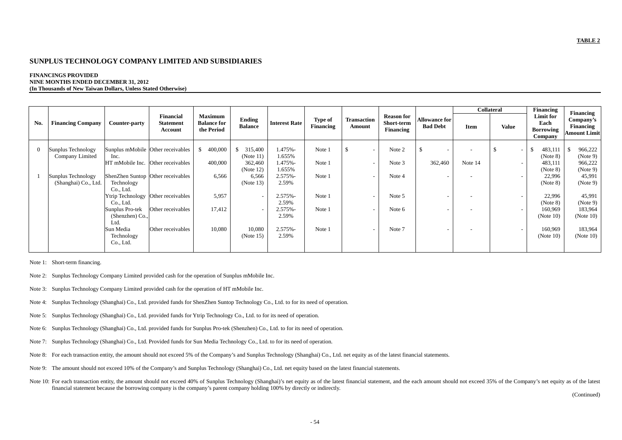#### **FINANCINGS PROVIDED NINE MONTHS ENDED DECEMBER 31, 2012 (In Thousands of New Taiwan Dollars, Unless Stated Otherwise)**

|                |                                            |                                            |                                                 |                                                    |                                                |                                          |                             |                              |                                              |                                         |         | <b>Collateral</b>                                    | Financing                                        | <b>Financing</b>                              |
|----------------|--------------------------------------------|--------------------------------------------|-------------------------------------------------|----------------------------------------------------|------------------------------------------------|------------------------------------------|-----------------------------|------------------------------|----------------------------------------------|-----------------------------------------|---------|------------------------------------------------------|--------------------------------------------------|-----------------------------------------------|
| No.            | <b>Financing Company</b>                   | <b>Counter-party</b>                       | <b>Financial</b><br><b>Statement</b><br>Account | <b>Maximum</b><br><b>Balance for</b><br>the Period | Ending<br><b>Balance</b>                       | <b>Interest Rate</b>                     | <b>Type of</b><br>Financing | <b>Transaction</b><br>Amount | <b>Reason for</b><br>Short-term<br>Financing | <b>Allowance for</b><br><b>Bad Debt</b> | Item    | <b>Value</b>                                         | Limit for<br>Each<br><b>Borrowing</b><br>Company | Company's<br>Financing<br><b>Amount Limit</b> |
| $\overline{0}$ | Sunplus Technology<br>Company Limited      | Inc.<br>HT mMobile Inc. Other receivables  | Sunplus mMobile Other receivables               | 400,000<br>400,000                                 | \$315,400<br>(Note 11)<br>362,460<br>(Note 12) | $.475% -$<br>1.655%<br>1.475%-<br>1.655% | Note 1<br>Note 1            | $\mathbb{S}$                 | Note 2<br>Note 3                             | \$<br>362,460                           | Note 14 | $\overline{\phantom{a}}$<br>$\overline{\phantom{a}}$ | 483,111<br>(Note 8)<br>483,111<br>(Note 8)       | 966,222<br>(Note 9)<br>966,222<br>(Note 9)    |
|                | Sunplus Technology<br>(Shanghai) Co., Ltd. | Technology<br>Co., Ltd.                    | ShenZhen Suntop Other receivables               | 6,566                                              | 6,566<br>(Note 13)                             | 2.575%-<br>2.59%                         | Note 1                      |                              | Note 4                                       |                                         |         | $\overline{\phantom{a}}$                             | 22,996<br>(Note 8)                               | 45,991<br>(Note 9)                            |
|                |                                            | Co., Ltd.                                  | Ytrip Technology Other receivables              | 5,957                                              | $\overline{\phantom{a}}$                       | $2.575% -$<br>2.59%                      | Note 1                      |                              | Note 5                                       |                                         |         |                                                      | 22,996<br>(Note 8)                               | 45,991<br>(Note 9)                            |
|                |                                            | Sunplus Pro-tek<br>(Shenzhen) Co.,<br>Ltd. | Other receivables                               | 17,412                                             | $\overline{\phantom{a}}$                       | 2.575%-<br>2.59%                         | Note 1                      |                              | Note 6                                       |                                         |         | $\overline{\phantom{a}}$                             | 160,969<br>(Note 10)                             | 183,964<br>(Note 10)                          |
|                |                                            | Sun Media<br>Technology<br>Co., Ltd.       | Other receivables                               | 10,080                                             | 10,080<br>(Note 15)                            | $2.575% -$<br>2.59%                      | Note 1                      |                              | Note 7                                       |                                         |         | $\overline{\phantom{0}}$                             | 160,969<br>(Note 10)                             | 183,964<br>(Note $10$ )                       |

Note 1: Short-term financing.

- Note 2: Sunplus Technology Company Limited provided cash for the operation of Sunplus mMobile Inc.
- Note 3: Sunplus Technology Company Limited provided cash for the operation of HT mMobile Inc.
- Note 4: Sunplus Technology (Shanghai) Co., Ltd. provided funds for ShenZhen Suntop Technology Co., Ltd. to for its need of operation.
- Note 5: Sunplus Technology (Shanghai) Co., Ltd. provided funds for Ytrip Technology Co., Ltd. to for its need of operation.
- Note 6: Sunplus Technology (Shanghai) Co., Ltd. provided funds for Sunplus Pro-tek (Shenzhen) Co., Ltd. to for its need of operation.
- Note 7: Sunplus Technology (Shanghai) Co., Ltd. Provided funds for Sun Media Technology Co., Ltd. to for its need of operation.
- Note 8: For each transaction entity, the amount should not exceed 5% of the Company's and Sunplus Technology (Shanghai) Co., Ltd. net equity as of the latest financial statements.
- Note 9: The amount should not exceed 10% of the Company's and Sunplus Technology (Shanghai) Co., Ltd. net equity based on the latest financial statements.
- Note 10: For each transaction entity, the amount should not exceed 40% of Sunplus Technology (Shanghai)'s net equity as of the latest financial statement, and the each amount should not exceed 35% of the Company's net equi financial statement because the borrowing company is the company's parent company holding 100% by directly or indirectly.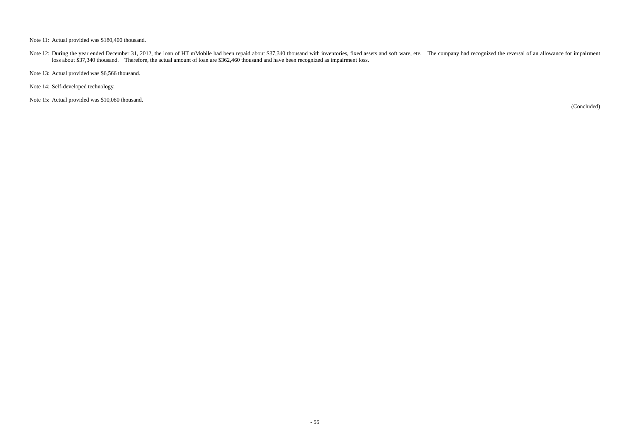Note 11: Actual provided was \$180,400 thousand.

Note 12: During the year ended December 31, 2012, the loan of HT mMobile had been repaid about \$37,340 thousand with inventories, fixed assets and soft ware, ete. The company had recognized the reversal of an allowance for loss about \$37,340 thousand. Therefore, the actual amount of loan are \$362,460 thousand and have been recognized as impairment loss.

Note 13: Actual provided was \$6,566 thousand.

Note 14: Self-developed technology.

Note 15: Actual provided was \$10,080 thousand.

(Concluded)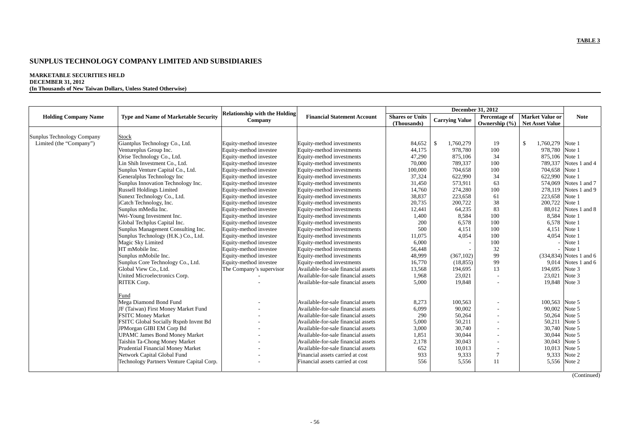#### **MARKETABLE SECURITIES HELD DECEMBER 31, 2012**

|  |  |  | (In Thousands of New Taiwan Dollars, Unless Stated Otherwise) |  |
|--|--|--|---------------------------------------------------------------|--|
|  |  |  |                                                               |  |

|                             |                                             |                                      |                                     | <b>December 31, 2012</b> |                       |                   |                        |               |
|-----------------------------|---------------------------------------------|--------------------------------------|-------------------------------------|--------------------------|-----------------------|-------------------|------------------------|---------------|
| <b>Holding Company Name</b> | <b>Type and Name of Marketable Security</b> | <b>Relationship with the Holding</b> | <b>Financial Statement Account</b>  | <b>Shares or Units</b>   |                       | Percentage of     | Market Value or        | <b>Note</b>   |
|                             |                                             | Company                              |                                     | (Thousands)              | <b>Carrying Value</b> | Ownership $(\% )$ | <b>Net Asset Value</b> |               |
|                             |                                             |                                      |                                     |                          |                       |                   |                        |               |
| Sunplus Technology Company  | Stock                                       |                                      |                                     |                          |                       |                   |                        |               |
| Limited (the "Company")     | Giantplus Technology Co., Ltd.              | Equity-method investee               | Equity-method investments           | 84,652                   | -\$<br>1,760,279      | 19                | \$<br>1,760,279        | Note 1        |
|                             | Ventureplus Group Inc.                      | Equity-method investee               | Equity-method investments           | 44.175                   | 978,780               | 100               | 978,780                | Note 1        |
|                             | Orise Technology Co., Ltd.                  | Equity-method investee               | Equity-method investments           | 47,290                   | 875,106               | 34                | 875,106                | Note 1        |
|                             | Lin Shih Investment Co., Ltd.               | Equity-method investee               | Equity-method investments           | 70,000                   | 789.337               | 100               | 789,337                | Notes 1 and 4 |
|                             | Sunplus Venture Capital Co., Ltd.           | Equity-method investee               | Equity-method investments           | 100,000                  | 704,658               | 100               | 704,658                | Note 1        |
|                             | Generalplus Technology Inc                  | Equity-method investee               | Equity-method investments           | 37,324                   | 622,990               | 34                | 622,990                | Note 1        |
|                             | Sunplus Innovation Technology Inc.          | Equity-method investee               | Equity-method investments           | 31,450                   | 573,911               | 63                | 574,069                | Notes 1 and 7 |
|                             | <b>Russell Holdings Limited</b>             | Equity-method investee               | Equity-method investments           | 14,760                   | 274,280               | 100               | 278,119                | Notes 1 and 9 |
|                             | Sunext Technology Co., Ltd.                 | Equity-method investee               | Equity-method investments           | 38,837                   | 223,658               | 61                | 223,658                | Note 1        |
|                             | iCatch Technology, Inc.                     | Equity-method investee               | Equity-method investments           | 20,735                   | 200,722               | 38                | 200,722                | Note 1        |
|                             | Sunplus mMedia Inc.                         | Equity-method investee               | Equity-method investments           | 12,441                   | 64,235                | 83                | 88,012                 | Notes 1 and 8 |
|                             | Wei-Young Investment Inc.                   | Equity-method investee               | Equity-method investments           | 1,400                    | 8,584                 | 100               | 8.584                  | Note 1        |
|                             | Global Techplus Capital Inc.                | Equity-method investee               | Equity-method investments           | 200                      | 6,578                 | 100               | 6,578                  | Note 1        |
|                             | Sunplus Management Consulting Inc.          | Equity-method investee               | Equity-method investments           | 500                      | 4,151                 | 100               | 4,151                  | Note 1        |
|                             | Sunplus Technology (H.K.) Co., Ltd.         | Equity-method investee               | Equity-method investments           | 11,075                   | 4.054                 | 100               | 4.054                  | Note 1        |
|                             | Magic Sky Limited                           | Equity-method investee               | Equity-method investments           | 6,000                    |                       | 100               |                        | Note 1        |
|                             | HT mMobile Inc.                             | Equity-method investee               | Equity-method investments           | 56,448                   |                       | 32                |                        | Note 1        |
|                             | Sunplus mMobile Inc.                        | Equity-method investee               | Equity-method investments           | 48,999                   | (367, 102)            | 99                | (334, 834)             | Notes 1 and 6 |
|                             | Sunplus Core Technology Co., Ltd.           | Equity-method investee               | Equity-method investments           | 16,770                   | (18, 855)             | 99                | 9,014                  | Notes 1 and 6 |
|                             | Global View Co., Ltd.                       | The Company's supervisor             | Available-for-sale financial assets | 13,568                   | 194,695               | 13                | 194,695                | Note 3        |
|                             | United Microelectronics Corp.               |                                      | Available-for-sale financial assets | 1,968                    | 23,021                |                   | 23,021                 | Note 3        |
|                             | RITEK Corp.                                 |                                      | Available-for-sale financial assets | 5,000                    | 19,848                |                   | 19,848                 | Note 3        |
|                             |                                             |                                      |                                     |                          |                       |                   |                        |               |
|                             | Fund                                        |                                      |                                     |                          |                       |                   |                        |               |
|                             | Mega Diamond Bond Fund                      |                                      | Available-for-sale financial assets | 8,273                    | 100.563               |                   | 100.563                | Note 5        |
|                             | JF (Taiwan) First Money Market Fund         |                                      | Available-for-sale financial assets | 6,099                    | 90,002                |                   | 90,002                 | Note 5        |
|                             | <b>FSITC Money Market</b>                   |                                      | Available-for-sale financial assets | 290                      | 50,264                |                   | 50,264                 | Note 5        |
|                             | FSITC Global Socially Rspnb Invmt Bd        |                                      | Available-for-sale financial assets | 5,000                    | 50,211                |                   | 50,211                 | Note 5        |
|                             | JPMorgan GIBI EM Corp Bd                    | $\overline{\phantom{a}}$             | Available-for-sale financial assets | 3,000                    | 30,740                |                   | 30,740                 | Note 5        |
|                             | <b>UPAMC James Bond Money Market</b>        |                                      | Available-for-sale financial assets | 1,851                    | 30,044                |                   | 30,044                 | Note 5        |
|                             | Taishin Ta-Chong Money Market               |                                      | Available-for-sale financial assets | 2,178                    | 30,043                |                   | 30,043                 | Note 5        |
|                             | Prudential Financial Money Market           |                                      | Available-for-sale financial assets | 652                      | 10,013                |                   | 10,013                 | Note 5        |
|                             | Network Capital Global Fund                 |                                      | Financial assets carried at cost    | 933                      | 9,333                 | 7                 | 9.333                  | Note 2        |
|                             | Technology Partners Venture Capital Corp.   |                                      | Financial assets carried at cost    | 556                      | 5,556                 | 11                | 5,556                  | Note 2        |
|                             |                                             |                                      |                                     |                          |                       |                   |                        |               |
|                             |                                             |                                      |                                     |                          |                       |                   |                        |               |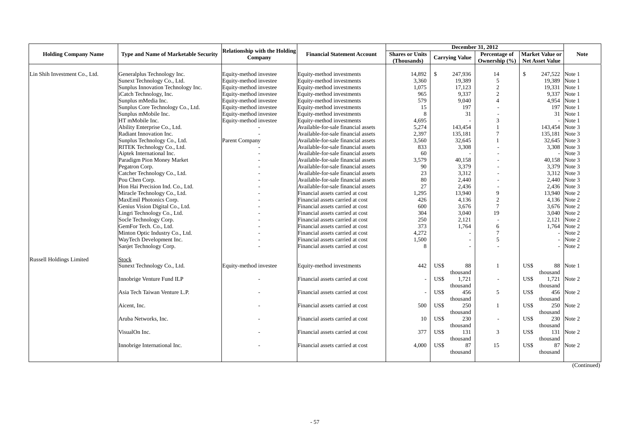| <b>Relationship with the Holding</b><br><b>Holding Company Name</b><br><b>Type and Name of Marketable Security</b><br><b>Financial Statement Account</b><br><b>Shares or Units</b><br>Percentage of<br><b>Market Value or</b><br><b>Note</b><br><b>Carrying Value</b><br>Company<br>Ownership (%)<br>(Thousands)<br><b>Net Asset Value</b><br>$\mathbb{S}$<br>14<br>247,522 Note 1<br>Lin Shih Investment Co., Ltd.<br>Generalplus Technology Inc.<br>Equity-method investee<br>Equity-method investments<br>14,892<br>247,936<br>\$<br>19,389<br>Sunext Technology Co., Ltd.<br>Equity-method investee<br>Equity-method investments<br>3,360<br>19.389<br>5<br>Note 1<br>Sunplus Innovation Technology Inc.<br>Equity-method investee<br>Equity-method investments<br>1,075<br>17.123<br>$\overline{2}$<br>19,331<br>Note 1<br>9,337<br>iCatch Technology, Inc.<br>965<br>$\overline{c}$<br>9,337<br>Note 1<br>Equity-method investee<br>Equity-method investments<br>579<br>9,040<br>$\boldsymbol{\Lambda}$<br>4,954<br>Note 1<br>Sunplus mMedia Inc.<br>Equity-method investee<br>Equity-method investments<br>Sunplus Core Technology Co., Ltd.<br>15<br>197<br>197<br>Note 1<br>Equity-method investee<br>Equity-method investments<br>Sunplus mMobile Inc.<br>Equity-method investee<br>8<br>31<br>31<br>Note 1<br>Equity-method investments<br>HT mMobile Inc.<br>3<br>Equity-method investee<br>Equity-method investments<br>4,695<br>Note 1<br>5,274<br>Note 3<br>Ability Enterprise Co., Ltd.<br>Available-for-sale financial assets<br>143,454<br>143,454<br>2,397<br>$\overline{7}$<br>135,181<br>Note 3<br>Radiant Innovation Inc.<br>Available-for-sale financial assets<br>135,181<br>Sunplus Technology Co., Ltd.<br>Parent Company<br>3,560<br>32,645<br>32,645<br>Note 3<br>Available-for-sale financial assets<br>RITEK Technology Co., Ltd.<br>833<br>3,308<br>3,308 Note 3<br>Available-for-sale financial assets<br>Note 3<br>Aiptek International Inc.<br>60<br>Available-for-sale financial assets<br>Paradigm Pion Money Market<br>3,579<br>40,158<br>40,158<br>Note 3<br>Available-for-sale financial assets<br>3,379<br>Note 3<br>Available-for-sale financial assets<br>90<br>3,379<br>Pegatron Corp.<br>Catcher Technology Co., Ltd.<br>23<br>3,312<br>3,312<br>Note 3<br>Available-for-sale financial assets<br>80<br>2,440<br>2,440 Note 3<br>Pou Chen Corp.<br>Available-for-sale financial assets<br>27<br>Hon Hai Precision Ind. Co., Ltd.<br>2.436<br>2,436 Note 3<br>Available-for-sale financial assets<br>$\overline{a}$<br>Miracle Technology Co., Ltd.<br>1,295<br>13,940<br>9<br>13,940 Note 2<br>Financial assets carried at cost<br>4,136<br>4,136 Note 2<br>MaxEmil Photonics Corp.<br>Financial assets carried at cost<br>426<br>2<br>Genius Vision Digital Co., Ltd.<br>$\overline{7}$<br>3,676 Note 2<br>Financial assets carried at cost<br>600<br>3,676<br>19<br>3,040 Note 2<br>Lingri Technology Co., Ltd.<br>Financial assets carried at cost<br>304<br>3,040<br>Socle Technology Corp.<br>2,121 Note 2<br>Financial assets carried at cost<br>250<br>2,121<br>$\overline{a}$<br>GemFor Tech. Co., Ltd.<br>1,764<br>Note 2<br>Financial assets carried at cost<br>373<br>6<br>1,764<br>Note 2<br>Minton Optic Industry Co., Ltd.<br>4,272<br>$\overline{7}$<br>Financial assets carried at cost<br>5<br>WayTech Development Inc.<br>1,500<br>Note 2<br>Financial assets carried at cost |
|---------------------------------------------------------------------------------------------------------------------------------------------------------------------------------------------------------------------------------------------------------------------------------------------------------------------------------------------------------------------------------------------------------------------------------------------------------------------------------------------------------------------------------------------------------------------------------------------------------------------------------------------------------------------------------------------------------------------------------------------------------------------------------------------------------------------------------------------------------------------------------------------------------------------------------------------------------------------------------------------------------------------------------------------------------------------------------------------------------------------------------------------------------------------------------------------------------------------------------------------------------------------------------------------------------------------------------------------------------------------------------------------------------------------------------------------------------------------------------------------------------------------------------------------------------------------------------------------------------------------------------------------------------------------------------------------------------------------------------------------------------------------------------------------------------------------------------------------------------------------------------------------------------------------------------------------------------------------------------------------------------------------------------------------------------------------------------------------------------------------------------------------------------------------------------------------------------------------------------------------------------------------------------------------------------------------------------------------------------------------------------------------------------------------------------------------------------------------------------------------------------------------------------------------------------------------------------------------------------------------------------------------------------------------------------------------------------------------------------------------------------------------------------------------------------------------------------------------------------------------------------------------------------------------------------------------------------------------------------------------------------------------------------------------------------------------------------------------------------------------------------------------------------------------------------------------------------------------------------------------------------------------------------------------------------------------------------------------------------------------------------------------------------------------------------------------|
|                                                                                                                                                                                                                                                                                                                                                                                                                                                                                                                                                                                                                                                                                                                                                                                                                                                                                                                                                                                                                                                                                                                                                                                                                                                                                                                                                                                                                                                                                                                                                                                                                                                                                                                                                                                                                                                                                                                                                                                                                                                                                                                                                                                                                                                                                                                                                                                                                                                                                                                                                                                                                                                                                                                                                                                                                                                                                                                                                                                                                                                                                                                                                                                                                                                                                                                                                                                                                                             |
|                                                                                                                                                                                                                                                                                                                                                                                                                                                                                                                                                                                                                                                                                                                                                                                                                                                                                                                                                                                                                                                                                                                                                                                                                                                                                                                                                                                                                                                                                                                                                                                                                                                                                                                                                                                                                                                                                                                                                                                                                                                                                                                                                                                                                                                                                                                                                                                                                                                                                                                                                                                                                                                                                                                                                                                                                                                                                                                                                                                                                                                                                                                                                                                                                                                                                                                                                                                                                                             |
|                                                                                                                                                                                                                                                                                                                                                                                                                                                                                                                                                                                                                                                                                                                                                                                                                                                                                                                                                                                                                                                                                                                                                                                                                                                                                                                                                                                                                                                                                                                                                                                                                                                                                                                                                                                                                                                                                                                                                                                                                                                                                                                                                                                                                                                                                                                                                                                                                                                                                                                                                                                                                                                                                                                                                                                                                                                                                                                                                                                                                                                                                                                                                                                                                                                                                                                                                                                                                                             |
|                                                                                                                                                                                                                                                                                                                                                                                                                                                                                                                                                                                                                                                                                                                                                                                                                                                                                                                                                                                                                                                                                                                                                                                                                                                                                                                                                                                                                                                                                                                                                                                                                                                                                                                                                                                                                                                                                                                                                                                                                                                                                                                                                                                                                                                                                                                                                                                                                                                                                                                                                                                                                                                                                                                                                                                                                                                                                                                                                                                                                                                                                                                                                                                                                                                                                                                                                                                                                                             |
|                                                                                                                                                                                                                                                                                                                                                                                                                                                                                                                                                                                                                                                                                                                                                                                                                                                                                                                                                                                                                                                                                                                                                                                                                                                                                                                                                                                                                                                                                                                                                                                                                                                                                                                                                                                                                                                                                                                                                                                                                                                                                                                                                                                                                                                                                                                                                                                                                                                                                                                                                                                                                                                                                                                                                                                                                                                                                                                                                                                                                                                                                                                                                                                                                                                                                                                                                                                                                                             |
|                                                                                                                                                                                                                                                                                                                                                                                                                                                                                                                                                                                                                                                                                                                                                                                                                                                                                                                                                                                                                                                                                                                                                                                                                                                                                                                                                                                                                                                                                                                                                                                                                                                                                                                                                                                                                                                                                                                                                                                                                                                                                                                                                                                                                                                                                                                                                                                                                                                                                                                                                                                                                                                                                                                                                                                                                                                                                                                                                                                                                                                                                                                                                                                                                                                                                                                                                                                                                                             |
|                                                                                                                                                                                                                                                                                                                                                                                                                                                                                                                                                                                                                                                                                                                                                                                                                                                                                                                                                                                                                                                                                                                                                                                                                                                                                                                                                                                                                                                                                                                                                                                                                                                                                                                                                                                                                                                                                                                                                                                                                                                                                                                                                                                                                                                                                                                                                                                                                                                                                                                                                                                                                                                                                                                                                                                                                                                                                                                                                                                                                                                                                                                                                                                                                                                                                                                                                                                                                                             |
|                                                                                                                                                                                                                                                                                                                                                                                                                                                                                                                                                                                                                                                                                                                                                                                                                                                                                                                                                                                                                                                                                                                                                                                                                                                                                                                                                                                                                                                                                                                                                                                                                                                                                                                                                                                                                                                                                                                                                                                                                                                                                                                                                                                                                                                                                                                                                                                                                                                                                                                                                                                                                                                                                                                                                                                                                                                                                                                                                                                                                                                                                                                                                                                                                                                                                                                                                                                                                                             |
|                                                                                                                                                                                                                                                                                                                                                                                                                                                                                                                                                                                                                                                                                                                                                                                                                                                                                                                                                                                                                                                                                                                                                                                                                                                                                                                                                                                                                                                                                                                                                                                                                                                                                                                                                                                                                                                                                                                                                                                                                                                                                                                                                                                                                                                                                                                                                                                                                                                                                                                                                                                                                                                                                                                                                                                                                                                                                                                                                                                                                                                                                                                                                                                                                                                                                                                                                                                                                                             |
|                                                                                                                                                                                                                                                                                                                                                                                                                                                                                                                                                                                                                                                                                                                                                                                                                                                                                                                                                                                                                                                                                                                                                                                                                                                                                                                                                                                                                                                                                                                                                                                                                                                                                                                                                                                                                                                                                                                                                                                                                                                                                                                                                                                                                                                                                                                                                                                                                                                                                                                                                                                                                                                                                                                                                                                                                                                                                                                                                                                                                                                                                                                                                                                                                                                                                                                                                                                                                                             |
|                                                                                                                                                                                                                                                                                                                                                                                                                                                                                                                                                                                                                                                                                                                                                                                                                                                                                                                                                                                                                                                                                                                                                                                                                                                                                                                                                                                                                                                                                                                                                                                                                                                                                                                                                                                                                                                                                                                                                                                                                                                                                                                                                                                                                                                                                                                                                                                                                                                                                                                                                                                                                                                                                                                                                                                                                                                                                                                                                                                                                                                                                                                                                                                                                                                                                                                                                                                                                                             |
|                                                                                                                                                                                                                                                                                                                                                                                                                                                                                                                                                                                                                                                                                                                                                                                                                                                                                                                                                                                                                                                                                                                                                                                                                                                                                                                                                                                                                                                                                                                                                                                                                                                                                                                                                                                                                                                                                                                                                                                                                                                                                                                                                                                                                                                                                                                                                                                                                                                                                                                                                                                                                                                                                                                                                                                                                                                                                                                                                                                                                                                                                                                                                                                                                                                                                                                                                                                                                                             |
|                                                                                                                                                                                                                                                                                                                                                                                                                                                                                                                                                                                                                                                                                                                                                                                                                                                                                                                                                                                                                                                                                                                                                                                                                                                                                                                                                                                                                                                                                                                                                                                                                                                                                                                                                                                                                                                                                                                                                                                                                                                                                                                                                                                                                                                                                                                                                                                                                                                                                                                                                                                                                                                                                                                                                                                                                                                                                                                                                                                                                                                                                                                                                                                                                                                                                                                                                                                                                                             |
|                                                                                                                                                                                                                                                                                                                                                                                                                                                                                                                                                                                                                                                                                                                                                                                                                                                                                                                                                                                                                                                                                                                                                                                                                                                                                                                                                                                                                                                                                                                                                                                                                                                                                                                                                                                                                                                                                                                                                                                                                                                                                                                                                                                                                                                                                                                                                                                                                                                                                                                                                                                                                                                                                                                                                                                                                                                                                                                                                                                                                                                                                                                                                                                                                                                                                                                                                                                                                                             |
|                                                                                                                                                                                                                                                                                                                                                                                                                                                                                                                                                                                                                                                                                                                                                                                                                                                                                                                                                                                                                                                                                                                                                                                                                                                                                                                                                                                                                                                                                                                                                                                                                                                                                                                                                                                                                                                                                                                                                                                                                                                                                                                                                                                                                                                                                                                                                                                                                                                                                                                                                                                                                                                                                                                                                                                                                                                                                                                                                                                                                                                                                                                                                                                                                                                                                                                                                                                                                                             |
|                                                                                                                                                                                                                                                                                                                                                                                                                                                                                                                                                                                                                                                                                                                                                                                                                                                                                                                                                                                                                                                                                                                                                                                                                                                                                                                                                                                                                                                                                                                                                                                                                                                                                                                                                                                                                                                                                                                                                                                                                                                                                                                                                                                                                                                                                                                                                                                                                                                                                                                                                                                                                                                                                                                                                                                                                                                                                                                                                                                                                                                                                                                                                                                                                                                                                                                                                                                                                                             |
|                                                                                                                                                                                                                                                                                                                                                                                                                                                                                                                                                                                                                                                                                                                                                                                                                                                                                                                                                                                                                                                                                                                                                                                                                                                                                                                                                                                                                                                                                                                                                                                                                                                                                                                                                                                                                                                                                                                                                                                                                                                                                                                                                                                                                                                                                                                                                                                                                                                                                                                                                                                                                                                                                                                                                                                                                                                                                                                                                                                                                                                                                                                                                                                                                                                                                                                                                                                                                                             |
|                                                                                                                                                                                                                                                                                                                                                                                                                                                                                                                                                                                                                                                                                                                                                                                                                                                                                                                                                                                                                                                                                                                                                                                                                                                                                                                                                                                                                                                                                                                                                                                                                                                                                                                                                                                                                                                                                                                                                                                                                                                                                                                                                                                                                                                                                                                                                                                                                                                                                                                                                                                                                                                                                                                                                                                                                                                                                                                                                                                                                                                                                                                                                                                                                                                                                                                                                                                                                                             |
|                                                                                                                                                                                                                                                                                                                                                                                                                                                                                                                                                                                                                                                                                                                                                                                                                                                                                                                                                                                                                                                                                                                                                                                                                                                                                                                                                                                                                                                                                                                                                                                                                                                                                                                                                                                                                                                                                                                                                                                                                                                                                                                                                                                                                                                                                                                                                                                                                                                                                                                                                                                                                                                                                                                                                                                                                                                                                                                                                                                                                                                                                                                                                                                                                                                                                                                                                                                                                                             |
|                                                                                                                                                                                                                                                                                                                                                                                                                                                                                                                                                                                                                                                                                                                                                                                                                                                                                                                                                                                                                                                                                                                                                                                                                                                                                                                                                                                                                                                                                                                                                                                                                                                                                                                                                                                                                                                                                                                                                                                                                                                                                                                                                                                                                                                                                                                                                                                                                                                                                                                                                                                                                                                                                                                                                                                                                                                                                                                                                                                                                                                                                                                                                                                                                                                                                                                                                                                                                                             |
|                                                                                                                                                                                                                                                                                                                                                                                                                                                                                                                                                                                                                                                                                                                                                                                                                                                                                                                                                                                                                                                                                                                                                                                                                                                                                                                                                                                                                                                                                                                                                                                                                                                                                                                                                                                                                                                                                                                                                                                                                                                                                                                                                                                                                                                                                                                                                                                                                                                                                                                                                                                                                                                                                                                                                                                                                                                                                                                                                                                                                                                                                                                                                                                                                                                                                                                                                                                                                                             |
|                                                                                                                                                                                                                                                                                                                                                                                                                                                                                                                                                                                                                                                                                                                                                                                                                                                                                                                                                                                                                                                                                                                                                                                                                                                                                                                                                                                                                                                                                                                                                                                                                                                                                                                                                                                                                                                                                                                                                                                                                                                                                                                                                                                                                                                                                                                                                                                                                                                                                                                                                                                                                                                                                                                                                                                                                                                                                                                                                                                                                                                                                                                                                                                                                                                                                                                                                                                                                                             |
|                                                                                                                                                                                                                                                                                                                                                                                                                                                                                                                                                                                                                                                                                                                                                                                                                                                                                                                                                                                                                                                                                                                                                                                                                                                                                                                                                                                                                                                                                                                                                                                                                                                                                                                                                                                                                                                                                                                                                                                                                                                                                                                                                                                                                                                                                                                                                                                                                                                                                                                                                                                                                                                                                                                                                                                                                                                                                                                                                                                                                                                                                                                                                                                                                                                                                                                                                                                                                                             |
|                                                                                                                                                                                                                                                                                                                                                                                                                                                                                                                                                                                                                                                                                                                                                                                                                                                                                                                                                                                                                                                                                                                                                                                                                                                                                                                                                                                                                                                                                                                                                                                                                                                                                                                                                                                                                                                                                                                                                                                                                                                                                                                                                                                                                                                                                                                                                                                                                                                                                                                                                                                                                                                                                                                                                                                                                                                                                                                                                                                                                                                                                                                                                                                                                                                                                                                                                                                                                                             |
|                                                                                                                                                                                                                                                                                                                                                                                                                                                                                                                                                                                                                                                                                                                                                                                                                                                                                                                                                                                                                                                                                                                                                                                                                                                                                                                                                                                                                                                                                                                                                                                                                                                                                                                                                                                                                                                                                                                                                                                                                                                                                                                                                                                                                                                                                                                                                                                                                                                                                                                                                                                                                                                                                                                                                                                                                                                                                                                                                                                                                                                                                                                                                                                                                                                                                                                                                                                                                                             |
|                                                                                                                                                                                                                                                                                                                                                                                                                                                                                                                                                                                                                                                                                                                                                                                                                                                                                                                                                                                                                                                                                                                                                                                                                                                                                                                                                                                                                                                                                                                                                                                                                                                                                                                                                                                                                                                                                                                                                                                                                                                                                                                                                                                                                                                                                                                                                                                                                                                                                                                                                                                                                                                                                                                                                                                                                                                                                                                                                                                                                                                                                                                                                                                                                                                                                                                                                                                                                                             |
|                                                                                                                                                                                                                                                                                                                                                                                                                                                                                                                                                                                                                                                                                                                                                                                                                                                                                                                                                                                                                                                                                                                                                                                                                                                                                                                                                                                                                                                                                                                                                                                                                                                                                                                                                                                                                                                                                                                                                                                                                                                                                                                                                                                                                                                                                                                                                                                                                                                                                                                                                                                                                                                                                                                                                                                                                                                                                                                                                                                                                                                                                                                                                                                                                                                                                                                                                                                                                                             |
|                                                                                                                                                                                                                                                                                                                                                                                                                                                                                                                                                                                                                                                                                                                                                                                                                                                                                                                                                                                                                                                                                                                                                                                                                                                                                                                                                                                                                                                                                                                                                                                                                                                                                                                                                                                                                                                                                                                                                                                                                                                                                                                                                                                                                                                                                                                                                                                                                                                                                                                                                                                                                                                                                                                                                                                                                                                                                                                                                                                                                                                                                                                                                                                                                                                                                                                                                                                                                                             |
| 8<br>$-$ Note 2<br>Sanjet Technology Corp.<br>Financial assets carried at cost                                                                                                                                                                                                                                                                                                                                                                                                                                                                                                                                                                                                                                                                                                                                                                                                                                                                                                                                                                                                                                                                                                                                                                                                                                                                                                                                                                                                                                                                                                                                                                                                                                                                                                                                                                                                                                                                                                                                                                                                                                                                                                                                                                                                                                                                                                                                                                                                                                                                                                                                                                                                                                                                                                                                                                                                                                                                                                                                                                                                                                                                                                                                                                                                                                                                                                                                                              |
|                                                                                                                                                                                                                                                                                                                                                                                                                                                                                                                                                                                                                                                                                                                                                                                                                                                                                                                                                                                                                                                                                                                                                                                                                                                                                                                                                                                                                                                                                                                                                                                                                                                                                                                                                                                                                                                                                                                                                                                                                                                                                                                                                                                                                                                                                                                                                                                                                                                                                                                                                                                                                                                                                                                                                                                                                                                                                                                                                                                                                                                                                                                                                                                                                                                                                                                                                                                                                                             |
| <b>Russell Holdings Limited</b><br>Stock                                                                                                                                                                                                                                                                                                                                                                                                                                                                                                                                                                                                                                                                                                                                                                                                                                                                                                                                                                                                                                                                                                                                                                                                                                                                                                                                                                                                                                                                                                                                                                                                                                                                                                                                                                                                                                                                                                                                                                                                                                                                                                                                                                                                                                                                                                                                                                                                                                                                                                                                                                                                                                                                                                                                                                                                                                                                                                                                                                                                                                                                                                                                                                                                                                                                                                                                                                                                    |
| Sunext Technology Co., Ltd.<br>US\$<br>Equity-method investments<br>442<br>88<br>US\$<br>88 Note 1<br>Equity-method investee<br>$\mathbf{1}$                                                                                                                                                                                                                                                                                                                                                                                                                                                                                                                                                                                                                                                                                                                                                                                                                                                                                                                                                                                                                                                                                                                                                                                                                                                                                                                                                                                                                                                                                                                                                                                                                                                                                                                                                                                                                                                                                                                                                                                                                                                                                                                                                                                                                                                                                                                                                                                                                                                                                                                                                                                                                                                                                                                                                                                                                                                                                                                                                                                                                                                                                                                                                                                                                                                                                                |
| thousand<br>thousand                                                                                                                                                                                                                                                                                                                                                                                                                                                                                                                                                                                                                                                                                                                                                                                                                                                                                                                                                                                                                                                                                                                                                                                                                                                                                                                                                                                                                                                                                                                                                                                                                                                                                                                                                                                                                                                                                                                                                                                                                                                                                                                                                                                                                                                                                                                                                                                                                                                                                                                                                                                                                                                                                                                                                                                                                                                                                                                                                                                                                                                                                                                                                                                                                                                                                                                                                                                                                        |
| Innobrige Venture Fund ILP<br>Financial assets carried at cost<br>US\$<br>US\$<br>1,721 Note 2<br>1,721<br>$\overline{\phantom{a}}$                                                                                                                                                                                                                                                                                                                                                                                                                                                                                                                                                                                                                                                                                                                                                                                                                                                                                                                                                                                                                                                                                                                                                                                                                                                                                                                                                                                                                                                                                                                                                                                                                                                                                                                                                                                                                                                                                                                                                                                                                                                                                                                                                                                                                                                                                                                                                                                                                                                                                                                                                                                                                                                                                                                                                                                                                                                                                                                                                                                                                                                                                                                                                                                                                                                                                                         |
| thousand<br>thousand                                                                                                                                                                                                                                                                                                                                                                                                                                                                                                                                                                                                                                                                                                                                                                                                                                                                                                                                                                                                                                                                                                                                                                                                                                                                                                                                                                                                                                                                                                                                                                                                                                                                                                                                                                                                                                                                                                                                                                                                                                                                                                                                                                                                                                                                                                                                                                                                                                                                                                                                                                                                                                                                                                                                                                                                                                                                                                                                                                                                                                                                                                                                                                                                                                                                                                                                                                                                                        |
| Asia Tech Taiwan Venture L.P.<br>US\$<br>5<br>US\$<br>456 Note 2<br>Financial assets carried at cost<br>456                                                                                                                                                                                                                                                                                                                                                                                                                                                                                                                                                                                                                                                                                                                                                                                                                                                                                                                                                                                                                                                                                                                                                                                                                                                                                                                                                                                                                                                                                                                                                                                                                                                                                                                                                                                                                                                                                                                                                                                                                                                                                                                                                                                                                                                                                                                                                                                                                                                                                                                                                                                                                                                                                                                                                                                                                                                                                                                                                                                                                                                                                                                                                                                                                                                                                                                                 |
| thousand<br>thousand                                                                                                                                                                                                                                                                                                                                                                                                                                                                                                                                                                                                                                                                                                                                                                                                                                                                                                                                                                                                                                                                                                                                                                                                                                                                                                                                                                                                                                                                                                                                                                                                                                                                                                                                                                                                                                                                                                                                                                                                                                                                                                                                                                                                                                                                                                                                                                                                                                                                                                                                                                                                                                                                                                                                                                                                                                                                                                                                                                                                                                                                                                                                                                                                                                                                                                                                                                                                                        |
| US\$<br>250 Note 2<br>Financial assets carried at cost<br>500<br>250<br>US\$<br>Aicent, Inc.<br>1                                                                                                                                                                                                                                                                                                                                                                                                                                                                                                                                                                                                                                                                                                                                                                                                                                                                                                                                                                                                                                                                                                                                                                                                                                                                                                                                                                                                                                                                                                                                                                                                                                                                                                                                                                                                                                                                                                                                                                                                                                                                                                                                                                                                                                                                                                                                                                                                                                                                                                                                                                                                                                                                                                                                                                                                                                                                                                                                                                                                                                                                                                                                                                                                                                                                                                                                           |
| thousand<br>thousand                                                                                                                                                                                                                                                                                                                                                                                                                                                                                                                                                                                                                                                                                                                                                                                                                                                                                                                                                                                                                                                                                                                                                                                                                                                                                                                                                                                                                                                                                                                                                                                                                                                                                                                                                                                                                                                                                                                                                                                                                                                                                                                                                                                                                                                                                                                                                                                                                                                                                                                                                                                                                                                                                                                                                                                                                                                                                                                                                                                                                                                                                                                                                                                                                                                                                                                                                                                                                        |
| US\$<br>US\$<br>Aruba Networks, Inc.<br>10<br>230<br>230 Note 2<br>Financial assets carried at cost<br>$\sim$                                                                                                                                                                                                                                                                                                                                                                                                                                                                                                                                                                                                                                                                                                                                                                                                                                                                                                                                                                                                                                                                                                                                                                                                                                                                                                                                                                                                                                                                                                                                                                                                                                                                                                                                                                                                                                                                                                                                                                                                                                                                                                                                                                                                                                                                                                                                                                                                                                                                                                                                                                                                                                                                                                                                                                                                                                                                                                                                                                                                                                                                                                                                                                                                                                                                                                                               |
| thousand<br>thousand                                                                                                                                                                                                                                                                                                                                                                                                                                                                                                                                                                                                                                                                                                                                                                                                                                                                                                                                                                                                                                                                                                                                                                                                                                                                                                                                                                                                                                                                                                                                                                                                                                                                                                                                                                                                                                                                                                                                                                                                                                                                                                                                                                                                                                                                                                                                                                                                                                                                                                                                                                                                                                                                                                                                                                                                                                                                                                                                                                                                                                                                                                                                                                                                                                                                                                                                                                                                                        |
| VisualOn Inc.<br>US\$<br>3<br>131 Note 2<br>Financial assets carried at cost<br>377<br>131<br>US\$                                                                                                                                                                                                                                                                                                                                                                                                                                                                                                                                                                                                                                                                                                                                                                                                                                                                                                                                                                                                                                                                                                                                                                                                                                                                                                                                                                                                                                                                                                                                                                                                                                                                                                                                                                                                                                                                                                                                                                                                                                                                                                                                                                                                                                                                                                                                                                                                                                                                                                                                                                                                                                                                                                                                                                                                                                                                                                                                                                                                                                                                                                                                                                                                                                                                                                                                          |
| thousand<br>thousand                                                                                                                                                                                                                                                                                                                                                                                                                                                                                                                                                                                                                                                                                                                                                                                                                                                                                                                                                                                                                                                                                                                                                                                                                                                                                                                                                                                                                                                                                                                                                                                                                                                                                                                                                                                                                                                                                                                                                                                                                                                                                                                                                                                                                                                                                                                                                                                                                                                                                                                                                                                                                                                                                                                                                                                                                                                                                                                                                                                                                                                                                                                                                                                                                                                                                                                                                                                                                        |
| US\$<br>87<br>15<br>US\$<br>87 Note 2<br>Innobrige International Inc.<br>Financial assets carried at cost<br>4.000                                                                                                                                                                                                                                                                                                                                                                                                                                                                                                                                                                                                                                                                                                                                                                                                                                                                                                                                                                                                                                                                                                                                                                                                                                                                                                                                                                                                                                                                                                                                                                                                                                                                                                                                                                                                                                                                                                                                                                                                                                                                                                                                                                                                                                                                                                                                                                                                                                                                                                                                                                                                                                                                                                                                                                                                                                                                                                                                                                                                                                                                                                                                                                                                                                                                                                                          |
| thousand<br>thousand                                                                                                                                                                                                                                                                                                                                                                                                                                                                                                                                                                                                                                                                                                                                                                                                                                                                                                                                                                                                                                                                                                                                                                                                                                                                                                                                                                                                                                                                                                                                                                                                                                                                                                                                                                                                                                                                                                                                                                                                                                                                                                                                                                                                                                                                                                                                                                                                                                                                                                                                                                                                                                                                                                                                                                                                                                                                                                                                                                                                                                                                                                                                                                                                                                                                                                                                                                                                                        |
|                                                                                                                                                                                                                                                                                                                                                                                                                                                                                                                                                                                                                                                                                                                                                                                                                                                                                                                                                                                                                                                                                                                                                                                                                                                                                                                                                                                                                                                                                                                                                                                                                                                                                                                                                                                                                                                                                                                                                                                                                                                                                                                                                                                                                                                                                                                                                                                                                                                                                                                                                                                                                                                                                                                                                                                                                                                                                                                                                                                                                                                                                                                                                                                                                                                                                                                                                                                                                                             |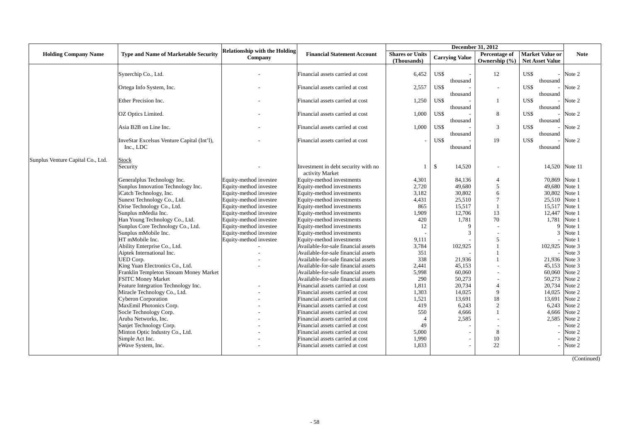|                                   |                                                         | <b>Relationship with the Holding</b> |                                                        |                        | <b>December 31, 2012</b> |                |                                              |                |  |  |
|-----------------------------------|---------------------------------------------------------|--------------------------------------|--------------------------------------------------------|------------------------|--------------------------|----------------|----------------------------------------------|----------------|--|--|
| <b>Holding Company Name</b>       | <b>Type and Name of Marketable Security</b>             | Company                              | <b>Financial Statement Account</b>                     | <b>Shares or Units</b> | <b>Carrying Value</b>    | Percentage of  | <b>Market Value or</b>                       | <b>Note</b>    |  |  |
|                                   |                                                         |                                      |                                                        | (Thousands)            |                          | Ownership (%)  | Net Asset Value                              |                |  |  |
|                                   | Synerchip Co., Ltd.                                     |                                      | Financial assets carried at cost                       | 6,452                  | US\$<br>thousand         | 12             | US\$<br>thousand                             | $-$ Note 2     |  |  |
|                                   | Ortega Info System, Inc.                                |                                      | Financial assets carried at cost                       | 2,557                  | US\$<br>thousand         | $\overline{a}$ | US\$<br>thousand                             | $-$ Note 2     |  |  |
|                                   | Ether Precision Inc.                                    |                                      | Financial assets carried at cost                       | 1,250                  | US\$<br>thousand         |                | US\$<br>thousand                             | Note 2         |  |  |
|                                   | OZ Optics Limited.                                      |                                      | Financial assets carried at cost                       | 1,000                  | US\$<br>thousand         | 8              | US\$<br>thousand                             | $-$ Note 2     |  |  |
|                                   | Asia B2B on Line Inc.                                   |                                      | Financial assets carried at cost                       | 1.000                  | US\$<br>thousand         | 3              | US\$<br>$\overline{\phantom{0}}$<br>thousand | Note 2         |  |  |
|                                   | InveStar Excelsus Venture Capital (Int'l),<br>Inc., LDC |                                      | Financial assets carried at cost                       |                        | US\$<br>thousand         | 19             | US\$<br>thousand                             | $-$ Note 2     |  |  |
| Sunplus Venture Capital Co., Ltd. | Stock<br>Security                                       |                                      | Investment in debt security with no<br>activity Market | 1                      | $\mathbb{S}$<br>14,520   |                |                                              | 14,520 Note 11 |  |  |
|                                   | Generalplus Technology Inc.                             | Equity-method investee               | Equity-method investments                              | 4,301                  | 84,136                   | $\overline{4}$ | 70,869 Note 1                                |                |  |  |
|                                   | Sunplus Innovation Technology Inc.                      | Equity-method investee               | Equity-method investments                              | 2,720                  | 49,680                   | 5              | 49,680 Note 1                                |                |  |  |
|                                   | iCatch Technology, Inc.                                 | Equity-method investee               | Equity-method investments                              | 3,182                  | 30,802                   | 6              | 30,802 Note 1                                |                |  |  |
|                                   | Sunext Technology Co., Ltd.                             | Equity-method investee               | Equity-method investments                              | 4,431                  | 25,510                   | $\overline{7}$ | 25,510 Note 1                                |                |  |  |
|                                   | Orise Technology Co., Ltd.                              | Equity-method investee               | Equity-method investments                              | 865                    | 15.517                   |                | 15,517 Note 1                                |                |  |  |
|                                   | Sunplus mMedia Inc.                                     | Equity-method investee               | Equity-method investments                              | 1,909                  | 12,706                   | 13             | 12,447                                       | Note 1         |  |  |
|                                   | Han Young Technology Co., Ltd.                          | Equity-method investee               | Equity-method investments                              | 420                    | 1,781                    | 70             | 1,781                                        | Note 1         |  |  |
|                                   | Sunplus Core Technology Co., Ltd.                       | Equity-method investee               | Equity-method investments                              | 12                     | $\mathbf Q$              |                | $\mathbf Q$                                  | Note 1         |  |  |
|                                   | Sunplus mMobile Inc.                                    | Equity-method investee               | Equity-method investments                              |                        | 3                        |                | 3                                            | Note 1         |  |  |
|                                   | HT mMobile Inc.                                         | Equity-method investee               | Equity-method investments                              | 9,111                  |                          | 5              |                                              | Note 1         |  |  |
|                                   | Ability Enterprise Co., Ltd.                            |                                      | Available-for-sale financial assets                    | 3,784                  | 102,925                  |                | 102,925                                      | Note 3         |  |  |
|                                   | Aiptek International Inc.                               |                                      | Available-for-sale financial assets                    | 351                    |                          |                |                                              | Note 3         |  |  |
|                                   | UED Corp.                                               |                                      | Available-for-sale financial assets                    | 338                    | 21,936                   |                | 21,936 Note 3                                |                |  |  |
|                                   | King Yuan Electronics Co., Ltd.                         |                                      | Available-for-sale financial assets                    | 2,441                  | 45,153                   |                | 45,153 Note 3                                |                |  |  |
|                                   | Franklin Templeton Sinoam Money Market                  |                                      | Available-for-sale financial assets                    | 5,998                  | 60,060                   |                | 60,060 Note 2                                |                |  |  |
|                                   | <b>FSITC Money Market</b>                               |                                      | Available-for-sale financial assets                    | 290                    | 50,273                   |                | 50,273 Note 2                                |                |  |  |
|                                   | Feature Integration Technology Inc.                     |                                      | Financial assets carried at cost                       | 1,811                  | 20,734                   | $\overline{4}$ | 20,734                                       | Note 2         |  |  |
|                                   | Miracle Technology Co., Ltd.                            |                                      | Financial assets carried at cost                       | 1,303                  | 14.025                   | $\mathbf Q$    | 14,025 Note 2                                |                |  |  |
|                                   | <b>Cyberon Corporation</b>                              |                                      | Financial assets carried at cost                       | 1,521                  | 13,691                   | 18             | 13,691                                       | Note 2         |  |  |
|                                   | MaxEmil Photonics Corp.                                 |                                      | Financial assets carried at cost                       | 419                    | 6,243                    | $\overline{2}$ |                                              | 6,243 Note 2   |  |  |
|                                   | Socle Technology Corp.                                  |                                      | Financial assets carried at cost                       | 550                    | 4,666                    |                |                                              | 4,666 Note 2   |  |  |
|                                   | Aruba Networks, Inc.                                    |                                      | Financial assets carried at cost                       | $\overline{4}$         | 2,585                    |                | 2,585                                        | Note 2         |  |  |
|                                   | Sanjet Technology Corp.                                 |                                      | Financial assets carried at cost                       | 49                     |                          |                |                                              | Note 2         |  |  |
|                                   | Minton Optic Industry Co., Ltd.                         |                                      | Financial assets carried at cost                       | 5,000                  |                          | 8              |                                              | Note 2         |  |  |
|                                   | Simple Act Inc.                                         |                                      | Financial assets carried at cost                       | 1,990                  |                          | 10             |                                              | Note 2         |  |  |
|                                   | eWave System, Inc.                                      |                                      | Financial assets carried at cost                       | 1,833                  |                          | 22             |                                              | Note 2         |  |  |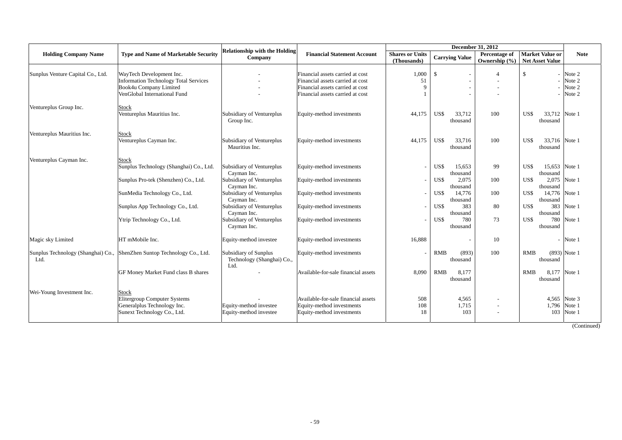|                                   |                                                                                                                                    | <b>Relationship with the Holding</b>                                                 |                                                                                                                                              |                                       | <b>December 31, 2012</b>                                |                                    |                                                  |                                      |
|-----------------------------------|------------------------------------------------------------------------------------------------------------------------------------|--------------------------------------------------------------------------------------|----------------------------------------------------------------------------------------------------------------------------------------------|---------------------------------------|---------------------------------------------------------|------------------------------------|--------------------------------------------------|--------------------------------------|
| <b>Holding Company Name</b>       | <b>Type and Name of Marketable Security</b>                                                                                        | Company                                                                              | <b>Financial Statement Account</b>                                                                                                           | <b>Shares or Units</b><br>(Thousands) | <b>Carrying Value</b>                                   | Percentage of<br>Ownership $(\% )$ | <b>Market Value or</b><br><b>Net Asset Value</b> | <b>Note</b>                          |
| Sunplus Venture Capital Co., Ltd. | WayTech Development Inc.<br><b>Information Technology Total Services</b><br>Book4u Company Limited<br>VenGlobal International Fund |                                                                                      | Financial assets carried at cost<br>Financial assets carried at cost<br>Financial assets carried at cost<br>Financial assets carried at cost | 1,000<br>51<br>9                      | $\mathbf{\hat{S}}$                                      | Δ                                  | $\mathbb{S}$                                     | Note 2<br>Note 2<br>Note 2<br>Note 2 |
| Ventureplus Group Inc.            | Stock<br>Ventureplus Mauritius Inc.                                                                                                | Subsidiary of Ventureplus<br>Group Inc.                                              | Equity-method investments                                                                                                                    | 44,175                                | US\$<br>33,712<br>thousand                              | 100                                | US\$<br>33,712 Note 1<br>thousand                |                                      |
| Ventureplus Mauritius Inc.        | Stock<br>Ventureplus Cayman Inc.                                                                                                   | Subsidiary of Ventureplus<br>Mauritius Inc.                                          | Equity-method investments                                                                                                                    | 44,175                                | US\$<br>33,716<br>thousand                              | 100                                | 33,716 Note 1<br>US\$<br>thousand                |                                      |
| Ventureplus Cayman Inc.           | <b>Stock</b><br>Sunplus Technology (Shanghai) Co., Ltd.<br>Sunplus Pro-tek (Shenzhen) Co., Ltd.                                    | Subsidiary of Ventureplus<br>Cayman Inc.<br>Subsidiary of Ventureplus<br>Cayman Inc. | Equity-method investments<br>Equity-method investments                                                                                       | $\overline{a}$                        | US\$<br>15.653<br>thousand<br>US\$<br>2,075<br>thousand | 99<br>100                          | US\$<br>15.653<br>thousand<br>US\$<br>thousand   | Note 1<br>2,075 Note 1               |
|                                   | SunMedia Technology Co., Ltd.<br>Sunplus App Technology Co., Ltd.                                                                  | Subsidiary of Ventureplus<br>Cayman Inc.<br>Subsidiary of Ventureplus                | Equity-method investments<br>Equity-method investments                                                                                       | $\overline{\phantom{a}}$              | US\$<br>14,776<br>thousand<br>US\$<br>383               | 100<br>80                          | 14,776 Note 1<br>US\$<br>thousand<br>US\$<br>383 | Note 1                               |
|                                   | Ytrip Technology Co., Ltd.                                                                                                         | Cayman Inc.<br>Subsidiary of Ventureplus<br>Cayman Inc.                              | Equity-method investments                                                                                                                    |                                       | thousand<br>US\$<br>780<br>thousand                     | 73                                 | thousand<br>US\$<br>780<br>thousand              | Note 1                               |
| Magic sky Limited                 | HT mMobile Inc.                                                                                                                    | Equity-method investee                                                               | Equity-method investments                                                                                                                    | 16,888                                |                                                         | 10                                 |                                                  | Note 1                               |
| Ltd.                              | Sunplus Technology (Shanghai) Co., ShenZhen Suntop Technology Co., Ltd.                                                            | Subsidiary of Sunplus<br>Technology (Shanghai) Co.,<br>Ltd.                          | Equity-method investments                                                                                                                    |                                       | <b>RMB</b><br>(893)<br>thousand                         | 100                                | <b>RMB</b><br>thousand                           | $(893)$ Note 1                       |
|                                   | GF Money Market Fund class B shares                                                                                                |                                                                                      | Available-for-sale financial assets                                                                                                          | 8,090                                 | RMB<br>8.177<br>thousand                                |                                    | <b>RMB</b><br>8,177 Note 1<br>thousand           |                                      |
| Wei-Young Investment Inc.         | Stock<br><b>Elitergroup Computer Systems</b><br>Generalplus Technology Inc.<br>Sunext Technology Co., Ltd.                         | Equity-method investee<br>Equity-method investee                                     | Available-for-sale financial assets<br>Equity-method investments<br>Equity-method investments                                                | 508<br>108<br>18                      | 4,565<br>1,715<br>103                                   |                                    | 4,565<br>1,796<br>103                            | Note 3<br>Note 1<br>Note 1           |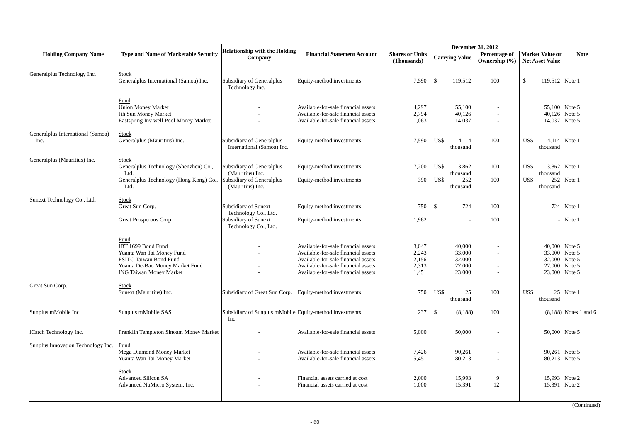|                                           |                                                                                                                                                               |                                                                                                |                                                                                                                                                                                                 |                                           |                                                      | December 31, 2012              |                                                                     |                          |
|-------------------------------------------|---------------------------------------------------------------------------------------------------------------------------------------------------------------|------------------------------------------------------------------------------------------------|-------------------------------------------------------------------------------------------------------------------------------------------------------------------------------------------------|-------------------------------------------|------------------------------------------------------|--------------------------------|---------------------------------------------------------------------|--------------------------|
| <b>Holding Company Name</b>               | <b>Type and Name of Marketable Security</b>                                                                                                                   | <b>Relationship with the Holding</b><br>Company                                                | <b>Financial Statement Account</b>                                                                                                                                                              | <b>Shares or Units</b><br>(Thousands)     | <b>Carrying Value</b>                                | Percentage of<br>Ownership (%) | <b>Market Value or</b><br><b>Net Asset Value</b>                    | <b>Note</b>              |
| Generalplus Technology Inc.               | <b>Stock</b><br>Generalplus International (Samoa) Inc.                                                                                                        | Subsidiary of Generalplus<br>Technology Inc.                                                   | Equity-method investments                                                                                                                                                                       | 7,590                                     | $\mathbb{S}$<br>119,512                              | 100                            | $\mathbb{S}$<br>119,512 Note 1                                      |                          |
|                                           | Fund<br><b>Union Money Market</b><br>Jih Sun Money Market<br>Eastspring Inv well Pool Money Market                                                            |                                                                                                | Available-for-sale financial assets<br>Available-for-sale financial assets<br>Available-for-sale financial assets                                                                               | 4,297<br>2,794<br>1,063                   | 55,100<br>40,126<br>14,037                           | $\overline{\phantom{a}}$       | 55,100 Note 5<br>40,126 Note 5<br>14,037 Note 5                     |                          |
| Generalplus International (Samoa)<br>Inc. | <b>Stock</b><br>Generalplus (Mauritius) Inc.                                                                                                                  | Subsidiary of Generalplus<br>International (Samoa) Inc.                                        | Equity-method investments                                                                                                                                                                       | 7,590                                     | US\$<br>4,114<br>thousand                            | 100                            | US\$<br>thousand                                                    | 4,114 Note 1             |
| Generalplus (Mauritius) Inc.              | <b>Stock</b><br>Generalplus Technology (Shenzhen) Co.,<br>Ltd.<br>Generalplus Technology (Hong Kong) Co.,<br>Ltd.                                             | Subsidiary of Generalplus<br>(Mauritius) Inc.<br>Subsidiary of Generalplus<br>(Mauritius) Inc. | Equity-method investments<br>Equity-method investments                                                                                                                                          | 7,200<br>390                              | US\$<br>3,862<br>thousand<br>US\$<br>252<br>thousand | 100<br>100                     | US\$<br>3,862 Note 1<br>thousand<br>US\$<br>252<br>thousand         | Note 1                   |
| Sunext Technology Co., Ltd.               | <b>Stock</b><br>Great Sun Corp.<br>Great Prosperous Corp.                                                                                                     | Subsidiary of Sunext<br>Technology Co., Ltd.<br>Subsidiary of Sunext<br>Technology Co., Ltd.   | Equity-method investments<br>Equity-method investments                                                                                                                                          | 750<br>1,962                              | 724<br>\$                                            | 100<br>100                     |                                                                     | 724 Note 1<br>$-$ Note 1 |
|                                           | Fund<br>IBT 1699 Bond Fund<br>Yuanta Wan Tai Money Fund<br><b>FSITC Taiwan Bond Fund</b><br>Yuanta De-Bao Money Market Fund<br><b>ING Taiwan Money Market</b> |                                                                                                | Available-for-sale financial assets<br>Available-for-sale financial assets<br>Available-for-sale financial assets<br>Available-for-sale financial assets<br>Available-for-sale financial assets | 3,047<br>2,243<br>2,156<br>2,313<br>1,451 | 40,000<br>33,000<br>32,000<br>27,000<br>23,000       |                                | 40,000 Note 5<br>33,000<br>32,000 Note 5<br>27,000<br>23,000 Note 5 | Note 5<br>Note 5         |
| Great Sun Corp.                           | Stock<br>Sunext (Mauritius) Inc.                                                                                                                              | Subsidiary of Great Sun Corp.                                                                  | Equity-method investments                                                                                                                                                                       | 750                                       | US\$<br>25<br>thousand                               | 100                            | US\$<br>thousand                                                    | 25 Note 1                |
| Sunplus mMobile Inc.                      | Sunplus mMobile SAS                                                                                                                                           | Subsidiary of Sunplus mMobile Equity-method investments<br>Inc.                                |                                                                                                                                                                                                 | 237                                       | \$<br>(8,188)                                        | 100                            |                                                                     | $(8,188)$ Notes 1 and 6  |
| iCatch Technology Inc.                    | Franklin Templeton Sinoam Money Market                                                                                                                        |                                                                                                | Available-for-sale financial assets                                                                                                                                                             | 5,000                                     | 50,000                                               |                                | 50,000 Note 5                                                       |                          |
| Sunplus Innovation Technology Inc.        | Fund<br>Mega Diamond Money Market<br>Yuanta Wan Tai Money Market                                                                                              |                                                                                                | Available-for-sale financial assets<br>Available-for-sale financial assets                                                                                                                      | 7,426<br>5,451                            | 90,261<br>80,213                                     |                                | 90,261 Note 5<br>80,213 Note 5                                      |                          |
|                                           | <b>Stock</b><br><b>Advanced Silicon SA</b><br>Advanced NuMicro System, Inc.                                                                                   |                                                                                                | Financial assets carried at cost<br>Financial assets carried at cost                                                                                                                            | 2,000<br>1,000                            | 15,993<br>15,391                                     | 9<br>12                        | 15,993 Note 2<br>15,391                                             | Note 2                   |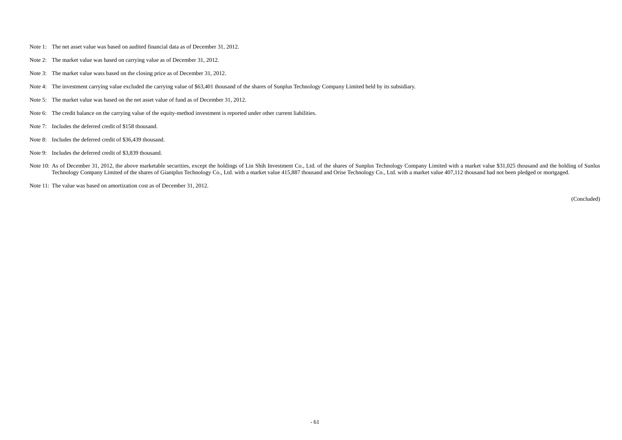- Note 1: The net asset value was based on audited financial data as of December 31, 2012.
- Note 2: The market value was based on carrying value as of December 31, 2012.
- Note 3: The market value wass based on the closing price as of December 31, 2012.
- Note 4: The investment carrying value excluded the carrying value of \$63,401 thousand of the shares of Sunplus Technology Company Limited held by its subsidiary.
- Note 5: The market value was based on the net asset value of fund as of December 31, 2012.
- Note 6: The credit balance on the carrying value of the equity-method investment is reported under other current liabilities.
- Note 7: Includes the deferred credit of \$158 thousand.
- Note 8: Includes the deferred credit of \$36,439 thousand.
- Note 9: Includes the deferred credit of \$3,839 thousand.
- Note 10: As of December 31, 2012, the above marketable securities, except the holdings of Lin Shih Investment Co., Ltd. of the shares of Sunplus Technology Company Limited with a market value \$31,025 thousand and the holdi Technology Company Limited of the shares of Giantplus Technology Co., Ltd. with a market value 415,887 thousand and Orise Technology Co., Ltd. with a market value 407,112 thousand had not been pledged or mortgaged.

Note 11: The value was based on amortization cost as of December 31, 2012.

(Concluded)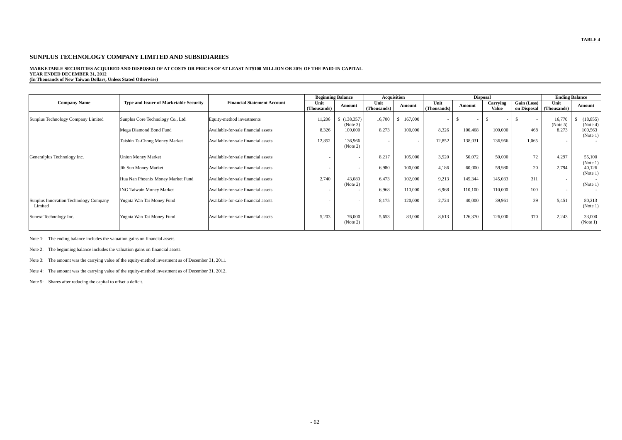### **MARKETABLE SECURITIES ACQUIRED AND DISPOSED OF AT COSTS OR PRICES OF AT LEAST NT\$100 MILLION OR 20% OF THE PAID-IN CAPITAL**

**YEAR ENDED DECEMBER 31, 2012 (In Thousands of New Taiwan Dollars, Unless Stated Otherwise)** 

|                                                  |                                        |                                     |                          | <b>Beginning Balance</b> |                     | <b>Acquisition</b> |                     |         | <b>Disposal</b>          |                            | <b>Ending Balance</b>    |                       |
|--------------------------------------------------|----------------------------------------|-------------------------------------|--------------------------|--------------------------|---------------------|--------------------|---------------------|---------|--------------------------|----------------------------|--------------------------|-----------------------|
| <b>Company Name</b>                              | Type and Issuer of Marketable Security | <b>Financial Statement Account</b>  | Unit<br>(Thousands)      | Amount                   | Unit<br>(Thousands) | Amount             | Unit<br>(Thousands) | Amount  | Carrying<br><b>Value</b> | Gain (Loss)<br>on Disposal | Unit<br>(Thousands)      | Amount                |
| Sunplus Technology Company Limited               | Sunplus Core Technology Co., Ltd.      | Equity-method investments           | 11,206                   | \$(138, 357)<br>(Note 3) | 16,700              | 167,000<br>\$      |                     |         |                          | $\overline{\phantom{a}}$   | 16,770<br>(Note 5)       | (18, 855)<br>(Note 4) |
|                                                  | Mega Diamond Bond Fund                 | Available-for-sale financial assets | 8,326                    | 100,000                  | 8,273               | 100,000            | 8,326               | 100,468 | 100,000                  | 468                        | 8,273                    | 100,563<br>(Note 1)   |
|                                                  | Taishin Ta-Chong Money Market          | Available-for-sale financial assets | 12,852                   | 136.966<br>(Note 2)      |                     |                    | 12,852              | 138,031 | 136,966                  | 1.065                      | $\overline{\phantom{a}}$ |                       |
| Generalplus Technology Inc.                      | <b>Union Money Market</b>              | Available-for-sale financial assets | $\sim$                   |                          | 8,217               | 105,000            | 3,920               | 50,072  | 50,000                   | 72                         | 4,297                    | 55,100<br>(Note 1)    |
|                                                  | Jih Sun Money Market                   | Available-for-sale financial assets | $\overline{\phantom{a}}$ | $\sim$                   | 6,980               | 100,000            | 4,186               | 60,000  | 59,980                   | 20                         | 2,794                    | 40,126<br>(Note 1)    |
|                                                  | Hua Nan Phoenix Money Market Fund      | Available-for-sale financial assets | 2,740                    | 43,080<br>(Note 2)       | 6.473               | 102,000            | 9,213               | 145,344 | 145,033                  | 311                        | $\overline{\phantom{a}}$ | (Note 1)              |
|                                                  | <b>ING Taiwain Money Market</b>        | Available-for-sale financial assets |                          |                          | 6,968               | 110,000            | 6,968               | 110,100 | 110,000                  | 100                        | $\overline{\phantom{a}}$ |                       |
| Sunplus Innovation Technology Company<br>Limited | Yugnta Wan Tai Money Fund              | Available-for-sale financial assets | $\overline{\phantom{a}}$ |                          | 8.175               | 120,000            | 2,724               | 40,000  | 39.961                   | 39                         | 5.451                    | 80,213<br>(Note 1)    |
| Sunext Technology Inc.                           | Yugnta Wan Tai Money Fund              | Available-for-sale financial assets | 5,203                    | 76,000<br>(Note 2)       | 5,653               | 83,000             | 8,613               | 126,370 | 126,000                  | 370                        | 2,243                    | 33,000<br>(Note 1)    |

Note 1: The ending balance includes the valuation gains on financial assets.

Note 2: The beginning balance includes the valuation gains on financial assets.

Note 3: The amount was the carrying value of the equity-method investment as of December 31, 2011.

Note 4: The amount was the carrying value of the equity-method investment as of December 31, 2012.

Note 5: Shares after reducing the capital to offset a deficit.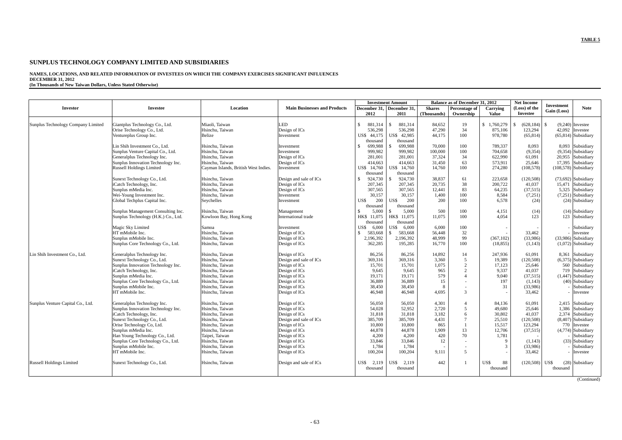# **NAMES, LOCATIONS, AND RELATED INFORMATION OF INVESTEES ON WHICH THE COMPANY EXERCISES SIGNIFICANT INFLUENCES DECEMBER 31, 2012 (In Thousands of New Taiwan Dollars, Unless Stated Otherwise)**

|                                    |                                                      |                                      | <b>Investment Amount</b>            |                        |                           |                  | <b>Balance as of December 31, 2012</b> |                    | <b>Net Income</b>    | <b>Investment</b> |                                          |
|------------------------------------|------------------------------------------------------|--------------------------------------|-------------------------------------|------------------------|---------------------------|------------------|----------------------------------------|--------------------|----------------------|-------------------|------------------------------------------|
| Investor                           | <b>Investee</b>                                      | Location                             | <b>Main Businesses and Products</b> |                        | December 31, December 31, | <b>Shares</b>    | Percentage of                          | Carrying           | (Loss) of the        | Gain (Loss)       | <b>Note</b>                              |
|                                    |                                                      |                                      |                                     | 2012                   | 2011                      | (Thousands)      | Ownership                              | <b>Value</b>       | Investee             |                   |                                          |
|                                    |                                                      |                                      |                                     | $\mathcal{S}$          | $\mathcal{S}$             |                  |                                        | $\mathbf{s}$       |                      | <sup>\$</sup>     |                                          |
| Sunplus Technology Company Limited | Giantplus Technology Co., Ltd.                       | Miaoli, Taiwan                       | <b>LED</b>                          | 881,314                | 881,314                   | 84.652           | 19<br>34                               | 1,760,279          | (628, 184)           |                   | $(9.240)$ Investee                       |
|                                    | Orise Technology Co., Ltd.<br>Ventureplus Group Inc. | Hsinchu, Taiwan<br>Belize            | Design of ICs                       | 536,298<br>US\$ 44,175 | 536,298<br>US\$ 42,985    | 47,290<br>44,175 | 100                                    | 875,106<br>978,780 | 123,294<br>(65, 814) |                   | 42,092 Investee<br>$(65,814)$ Subsidiary |
|                                    |                                                      |                                      | Investment                          | thousand               | thousand                  |                  |                                        |                    |                      |                   |                                          |
|                                    | Lin Shih Investment Co., Ltd.                        | Hsinchu, Taiwan                      | Investment                          | 699,988<br>S           | 699,988                   | 70,000           | 100                                    | 789,337            | 8,093                |                   | 8,093 Subsidiary                         |
|                                    | Sunplus Venture Capital Co., Ltd.                    | Hsinchu, Taiwan                      | Investment                          | 999,982                | 999,982                   | 100,000          | 100                                    | 704,658            | (9, 354)             |                   | $(9,354)$ Subsidiary                     |
|                                    | Generalplus Technology Inc.                          | Hsinchu, Taiwan                      | Design of ICs                       | 281,001                | 281,001                   | 37,324           | 34                                     | 622,990            | 61,091               |                   | 20,955 Subsidiary                        |
|                                    | Sunplus Innovation Technology Inc.                   | Hsinchu. Taiwan                      | Design of ICs                       | 414,663                | 414,663                   | 31.450           | 63                                     | 573.911            | 25.646               |                   | 17.395 Subsidiary                        |
|                                    | <b>Russell Holdings Limited</b>                      | Cayman Islands, British West Indies. | Investment                          | US\$ 14,760            | US\$ 14,760               | 14,760           | 100                                    | 274,280            | (108, 578)           |                   | $(108,578)$ Subsidiary                   |
|                                    |                                                      |                                      |                                     | thousand               | thousand                  |                  |                                        |                    |                      |                   |                                          |
|                                    | Sunext Technology Co., Ltd.                          | Hsinchu, Taiwan                      | Design and sale of ICs              | 924,730<br>-S          | 924,730                   | 38,837           | 61                                     | 223,658            | (120, 508)           |                   | $(73,692)$ Subsidiary                    |
|                                    | iCatch Technology, Inc.                              | Hsinchu, Taiwan                      | Design of ICs                       | 207,345                | 207,345                   | 20,735           | 38                                     | 200,722            | 41,037               |                   | 15,471 Subsidiary                        |
|                                    | Sunplus mMedia Inc.                                  | Hsinchu, Taiwan                      | Design of ICs                       | 307,565                | 307.565                   | 12,441           | 83                                     | 64,235             | (37, 515)            |                   | 5,325 Subsidiary                         |
|                                    | Wei-Young Investment Inc.                            | Hsinchu, Taiwan                      | Investment                          | 30,157                 | 30,157                    | 1,400            | 100                                    | 8,584              | (7,251)              |                   | (7,251) Subsidiary                       |
|                                    | Global Techplus Capital Inc.                         | Seychelles                           | Investment                          | US\$<br>200            | US\$<br>200               | 200              | 100                                    | 6.578              | (24)                 |                   | $(24)$ Subsidiary                        |
|                                    |                                                      |                                      |                                     | thousand               | thousand                  |                  |                                        |                    |                      |                   |                                          |
|                                    | Sunplus Management Consulting Inc.                   | Hsinchu, Taiwan                      | Management                          | 5.000<br>-S            | 5.000<br>\$.              | 500              | 100                                    | 4,151              | (14)                 |                   | $(14)$ Subsidiary                        |
|                                    | Sunplus Technology (H.K.) Co., Ltd.                  | Kowloon Bay, Hong Kong               | International trade                 | HK\$ 11,075            | HK\$ 11,075               | 11.075           | 100                                    | 4.054              | 123                  |                   | 123 Subsidiary                           |
|                                    |                                                      |                                      |                                     | thousand               | thousand                  |                  |                                        |                    |                      |                   |                                          |
|                                    | Magic Sky Limited                                    | Samoa                                | Investment                          | 6,000<br>US\$          | 6.000<br>US\$             | 6.000            | 100                                    |                    |                      |                   | Subsidiary                               |
|                                    | HT mMobile Inc.                                      | Hsinchu, Taiwan                      | Design of ICs                       | 583,668<br>-S          | 583,668<br>\$             | 56,448           | 32                                     |                    | 33,462               |                   | Investee                                 |
|                                    | Sunplus mMobile Inc.                                 | Hsinchu, Taiwan                      | Design of ICs                       | 2,196,392              | 2,196,392                 | 48.999           | 99                                     | (367, 102)         | (33,986)             |                   | $(33,986)$ Subsidiary                    |
|                                    | Sunplus Core Technology Co., Ltd.                    | Hsinchu. Taiwan                      | Design of ICs                       | 362,285                | 195,285                   | 16,770           | 100                                    | (18, 855)          | (1, 143)             |                   | $(1,072)$ Subsidiary                     |
| Lin Shih Investment Co., Ltd.      | Generalplus Technology Inc.                          | Hsinchu, Taiwan                      | Design of ICs                       | 86,256                 | 86,256                    | 14,892           | 14                                     | 247,936            | 61,091               |                   | 8,361 Subsidiary                         |
|                                    | Sunext Technology Co., Ltd.                          | Hsinchu. Taiwan                      | Design and sale of ICs              | 369,316                | 369,316                   | 3.360            | .5                                     | 19.389             | (120, 508)           |                   | $(6,375)$ Subsidiary                     |
|                                    | Sunplus Innovation Technology Inc.                   | Hsinchu, Taiwan                      | Design of ICs                       | 15,701                 | 15.701                    | 1.075            | $\overline{2}$                         | 17,123             | 25.646               |                   | 560 Subsidiary                           |
|                                    | iCatch Technology, Inc.                              | Hsinchu, Taiwan                      | Design of ICs                       | 9,645                  | 9,645                     | 965              | $\overline{c}$                         | 9,337              | 41,037               |                   | 719 Subsidiary                           |
|                                    | Sunplus mMedia Inc.                                  | Hsinchu, Taiwan                      | Design of ICs                       | 19,171                 | 19.171                    | 579              | $\overline{A}$                         | 9.040              | (37, 515)            |                   | $(1,447)$ Subsidiary                     |
|                                    | Sunplus Core Technology Co., Ltd.                    | Hsinchu. Taiwan                      | Design of ICs                       | 36,889                 | 36,889                    | 15               |                                        | 197                | (1,143)              |                   | (40) Subsidiary                          |
|                                    | Sunplus mMobile Inc.                                 | Hsinchu, Taiwan                      | Design of ICs                       | 38.450                 | 38.450                    | 8                |                                        | 31                 | (33.986)             |                   | Subsidiary                               |
|                                    | HT mMobile Inc.                                      | Hsinchu, Taiwan                      | Design of ICs                       | 46,948                 | 46,948                    | 4,695            | 3                                      |                    | 33,462               |                   | Investee                                 |
| Sunplus Venture Capital Co., Ltd.  | Generalplus Technology Inc.                          | Hsinchu. Taiwan                      | Design of ICs                       | 56,050                 | 56,050                    | 4,301            | $\Delta$                               | 84.136             | 61.091               |                   | 2,415 Subsidiary                         |
|                                    | Sunplus Innovation Technology Inc.                   | Hsinchu, Taiwan                      | Design of ICs                       | 54,028                 | 52,952                    | 2,720            | 5                                      | 49,680             | 25,646               |                   | 1,386 Subsidiary                         |
|                                    | iCatch Technology, Inc.                              | Hsinchu, Taiwan                      | Design of ICs                       | 31,818                 | 31.818                    | 3,182            | 6                                      | 30.802             | 41,037               |                   | 2,374 Subsidiary                         |
|                                    | Sunext Technology Co., Ltd.                          | Hsinchu, Taiwan                      | Design and sale of ICs              | 385,709                | 385,709                   | 4,431            | $\overline{7}$                         | 25,510             | (120, 508)           |                   | $(8,407)$ Subsidiary                     |
|                                    | Orise Technology Co, Ltd.                            | Hsinchu, Taiwan                      | Design of ICs                       | 10.800                 | 10.800                    | 865              | $\mathbf{1}$                           | 15.517             | 123.294              |                   | 770 Investee                             |
|                                    | Sunplus mMedia Inc.                                  | Hsinchu. Taiwan                      | Design of ICs                       | 44,878                 | 44.878                    | 1,909            | 13                                     | 12,706             | (37, 515)            |                   | $(4,774)$ Subsidiary                     |
|                                    | Han Young Technology Co., Ltd.                       | Taipei, Taiwan                       | Design of ICs                       | 4,200                  | 4,200                     | 420              | 70                                     | 1,781              |                      |                   | Subsidiary                               |
|                                    | Sunplus Core Technology Co., Ltd.                    | Hsinchu, Taiwan                      | Design of ICs                       | 33,846                 | 33,846                    | 12               | $\overline{\phantom{a}}$               | 9                  | (1,143)              |                   | (33) Subsidiary                          |
|                                    | Sunplus mMobile Inc.                                 | Hsinchu. Taiwan                      | Design of ICs                       | 1,784                  | 1,784                     |                  |                                        | 3                  | (33,986)             |                   | Subsidiary                               |
|                                    | HT mMobile Inc.                                      | Hsinchu, Taiwan                      | Design of ICs                       | 100,204                | 100.204                   | 9,111            | 5                                      | $\sim$             | 33,462               |                   | Investee                                 |
| <b>Russell Holdings Limited</b>    | Sunext Technology Co., Ltd.                          | Hsinchu, Taiwan                      | Design and sale of ICs              | US\$<br>2.119          | US\$<br>2.119             | 442              |                                        | 88<br>US\$         | (120.508)            | US\$              | (28) Subsidiary                          |
|                                    |                                                      |                                      |                                     | thousand               | thousand                  |                  |                                        | thousand           |                      | thousand          |                                          |
|                                    |                                                      |                                      |                                     |                        |                           |                  |                                        |                    |                      |                   |                                          |

**TABLE 5**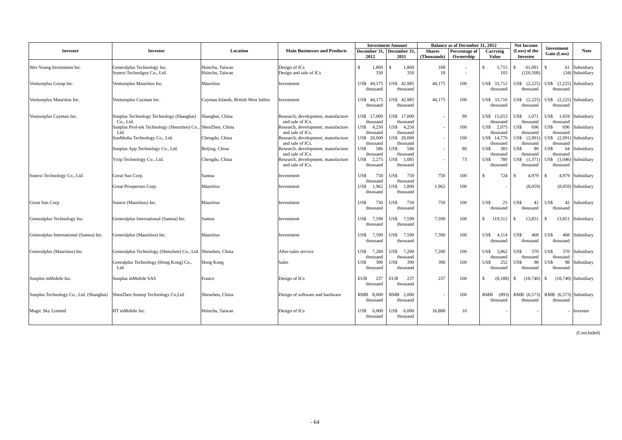|                                         |                                                                     |                                     | <b>Investment Amount</b><br>Balance as of December 31, 2012 |                               |                                   |                              |                               |                                    | <b>Net Income</b>                    |                                     |                                  |
|-----------------------------------------|---------------------------------------------------------------------|-------------------------------------|-------------------------------------------------------------|-------------------------------|-----------------------------------|------------------------------|-------------------------------|------------------------------------|--------------------------------------|-------------------------------------|----------------------------------|
| <b>Investor</b>                         | <b>Investee</b>                                                     | Location                            | <b>Main Businesses and Products</b>                         | 2012                          | December 31, December 31,<br>2011 | <b>Shares</b><br>(Thousands) | Percentage of<br>Ownership    | Carrying<br><b>Value</b>           | (Loss) of the<br><b>Investee</b>     | <b>Investment</b><br>Gain (Loss)    | <b>Note</b>                      |
|                                         |                                                                     |                                     |                                                             |                               |                                   |                              |                               |                                    |                                      |                                     |                                  |
| Wei-Young Investment Inc.               | Generalplus Technology Inc.<br>Sunext Technolgoy Co., Ltd.          | Hsinchu. Taiwan<br>Hsinchu. Taiwan  | Design of ICs<br>Design and sale of ICs                     | $\mathcal{S}$<br>1,800<br>350 | 1,800<br>\$<br>350                | 108<br>18                    | ٠<br>$\overline{\phantom{a}}$ | $\mathbf{\hat{S}}$<br>1,715<br>103 | <sup>\$</sup><br>61,091<br>(120.508) | $\mathbf{s}$                        | 61 Subsidiary<br>(34) Subsidiary |
| Ventureplus Group Inc.                  | Ventureplus Mauritius Inc.                                          | Mauritius                           | Investment                                                  | US\$ 44,175<br>thousand       | US\$ 42,985<br>thousand           | 44.175                       | 100                           | US\$ 33,712<br>thousand            | US\$ (2,225)<br>thousand             | US\$ (2,225) Subsidiary<br>thousand |                                  |
| Ventureplus Mauritius Inc.              | Ventureplus Cayman Inc.                                             | Cayman Islands, British West Indies | Investment                                                  | US\$ 44,175<br>thousand       | US\$ 42,985<br>thousand           | 44,175                       | 100                           | US\$ 33,716<br>thousand            | US\$ (2.225)<br>thousand             | US\$ (2.225) Subsidiary<br>thousand |                                  |
| Ventureplus Cayman Inc.                 | Sunplus Technology Technology (Shanghai)<br>Co., Ltd.               | Shanghai, China                     | Research, development, manufacture<br>and sale of ICs.      | US\$ 17,000<br>thousand       | US\$ 17,000<br>thousand           |                              | 99                            | US\$ 15.653<br>thousand            | US\$<br>1.071<br>thousand            | US\$ 1,059<br>thousand              | Subsidiary                       |
|                                         | Sunplus Prof-tek Technology (Shenzhen) Co., ShenZhen, China<br>Ltd. |                                     | Research, development, manufacture<br>and sale of ICs.      | US\$ 4.250<br>thousand        | 4.250<br>US\$<br>thousand         |                              | 100                           | US\$<br>2.075<br>thousand          | US\$<br>696<br>thousand              | US\$-<br>696<br>thousand            | Subsidiary                       |
|                                         | SunMedia Technology Co., Ltd.                                       | Chengdu, China                      | Research, development, manufacture<br>and sale of ICs.      | US\$ 20,000<br>thousand       | US\$ 20,000<br>thousand           |                              | 100                           | US\$ 14.776<br>thousand            | US\$ (2.991)<br>thousand             | US\$ (2,991) Subsidiary<br>thousand |                                  |
|                                         | Sunplus App Technology Co., Ltd.                                    | Beijing, China                      | Research, development, manufacture<br>and sale of ICs.      | US\$<br>586<br>thousand       | 586<br>US\$-<br>thousand          |                              | 80                            | 383<br>US\$<br>thousand            | 80<br>US\$<br>thousand               | US\$<br>64<br>thousand              | Subsidiary                       |
|                                         | Ytrip Technology Co., Ltd.                                          | Chengdu, China                      | Research, development, manufacture<br>and sale of ICs.      | US\$ 2,275<br>thousand        | 1.085<br>US\$<br>thousand         |                              | 73                            | 780<br>US\$<br>thousand            | US\$ (1,371)<br>thousand             | US\$ (1,046) Subsidiary<br>thousand |                                  |
| Sunext Technology Co., Ltd.             | Great Sun Corp.                                                     | Samoa                               | Investment                                                  | US\$<br>750<br>thousand       | US\$<br>750<br>thousand           | 750                          | 100                           | 724<br>$\mathcal{S}$               | <sup>\$</sup><br>4,979               | l s                                 | 4,979 Subsidiary                 |
|                                         | Great Prosperous Corp.                                              | Mauritius                           | Investment                                                  | 1,962<br>US\$<br>thousand     | 1.800<br>US\$<br>thousand         | 1,962                        | 100                           |                                    | (8,059)                              |                                     | $(8.059)$ Subsidiary             |
| Great Sun Corp.                         | Sunext (Mauritius) Inc.                                             | Mauritius                           | Investment                                                  | US\$<br>750<br>thousand       | US\$<br>750<br>thousand           | 750                          | 100                           | US\$<br>25<br>thousand             | US\$<br>42<br>thousand               | US\$<br>42<br>thousand              | Subsidiary                       |
| Generalplus Technology Inc.             | Generalplus International (Samoa) Inc.                              | Samoa                               | Investment                                                  | US\$<br>7.590<br>thousand     | US\$<br>7.590<br>thousand         | 7.590                        | 100                           | $\mathbf{s}$<br>119.512            | -S<br>13.851                         | -S                                  | 13,851 Subsidiary                |
| Generalplus International (Samoa) Inc.  | Generalplus (Mauritius) Inc.                                        | Mauritius                           | Investment                                                  | US\$ 7.590<br>thousand        | US\$ 7.590<br>thousand            | 7.590                        | 100                           | US\$ 4.114<br>thousand             | US\$<br>468<br>thousand              | US\$<br>468<br>thousand             | Subsidiary                       |
| Generalplus (Mauritius) Inc.            | Generalplus Technology (Shenzhen) Co., Ltd. Shenzhen, China         |                                     | After-sales service                                         | US\$<br>7.200<br>thousand     | US\$<br>7.200<br>thousand         | 7,200                        | 100                           | US\$ 3.862<br>thousand             | US\$<br>370<br>thousand              | US\$<br>thousand                    | 370 Subsidiary                   |
|                                         | Genralplus Technology (Hong Kong) Co.,<br>Ltd.                      | Hong Kong                           | <b>Sales</b>                                                | 390<br>US\$<br>thousand       | 390<br>US\$-<br>thousand          | 390                          | 100                           | 252<br>US\$<br>thousand            | US\$<br>98<br>thousand               | US\$<br>98<br>thousand              | Subsidiary                       |
| Sunplus mMobile Inc.                    | Sunplus mMobile SAS                                                 | France                              | Design of ICs                                               | 237<br><b>EUR</b><br>thousand | 237<br><b>EUR</b><br>thousand     | 237                          | 100                           | $\mathcal{S}$<br>(8,188)           | (18,740)<br>-S                       | - \$                                | $(18,740)$ Subsidiary            |
| Sunplus Technology Co., Ltd. (Shanghai) | ShenZhen Suntop Technology Co, Ltd.                                 | Shenzheu, China                     | Design of software and hardware                             | RMB 8,000<br>thousand         | RMB 2.000<br>thousand             |                              | 100                           | (893)<br>RMB<br>thousand           | RMB (6,573)<br>thousand              | RMB (6,573) Subsidiary<br>thousand  |                                  |
| Magic Sky Limited                       | HT mMobile Inc.                                                     | Hsinchu, Taiwan                     | Design of ICs                                               | US\$<br>6,000<br>thousand     | US\$<br>6.000<br>thousand         | 16.888                       | 10                            |                                    |                                      |                                     | Investee                         |

(Concluded)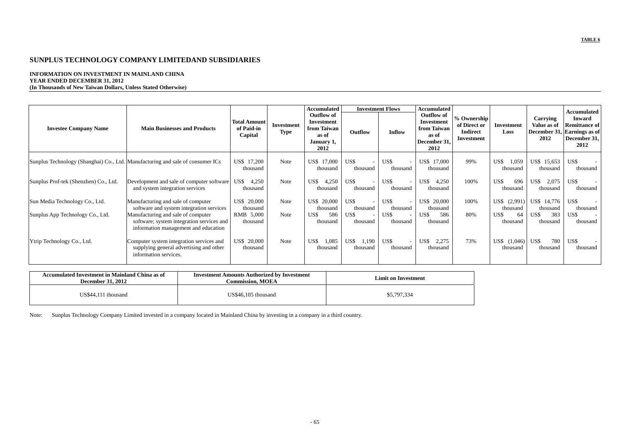#### **INFORMATION ON INVESTMENT IN MAINLAND CHINA YEAR ENDED DECEMBER 31, 2012 (In Thousands of New Taiwan Dollars, Unless Stated Otherwise)**

|                                       |                                                                                                                         |                                              |                           | Accumulated                                                                   |                           | <b>Investment Flows</b>                      | Accumulated                                                                     |                                                              |                             |                                 | Accumulated                                                                                  |
|---------------------------------------|-------------------------------------------------------------------------------------------------------------------------|----------------------------------------------|---------------------------|-------------------------------------------------------------------------------|---------------------------|----------------------------------------------|---------------------------------------------------------------------------------|--------------------------------------------------------------|-----------------------------|---------------------------------|----------------------------------------------------------------------------------------------|
| <b>Investee Company Name</b>          | <b>Main Businesses and Products</b>                                                                                     | <b>Total Amount</b><br>of Paid-in<br>Capital | Investment<br><b>Type</b> | <b>Outflow of</b><br>Investment<br>from Taiwan<br>as of<br>January 1,<br>2012 | Outflow                   | Inflow                                       | <b>Outflow of</b><br>Investment<br>from Taiwan<br>as of<br>December 31,<br>2012 | % Ownership<br>of Direct or<br><b>Indirect</b><br>Investment | Investment<br>Loss          | Carrying<br>Value as of<br>2012 | <b>Inward</b><br><b>Remittance of</b><br>December 31, Earnings as of<br>December 31,<br>2012 |
|                                       | Sunplus Technology (Shanghai) Co., Ltd. Manufacturing and sale of consumer ICs                                          | US\$ 17,200<br>thousand                      | Note                      | 17,000<br>US\$<br>thousand                                                    | US\$<br>thousand          | US\$<br>thousand                             | US\$ 17,000<br>thousand                                                         | 99%                                                          | US\$<br>1,059<br>thousand   | US\$ 15,653<br>thousand         | US\$<br>thousand                                                                             |
| Sunplus Prof-tek (Shenzhen) Co., Ltd. | Development and sale of computer software<br>and system integration services                                            | US\$<br>4,250<br>thousand                    | Note                      | US\$<br>4,250<br>thousand                                                     | US\$<br>thousand          | US\$<br>thousand                             | US\$<br>4,250<br>thousand                                                       | 100%                                                         | US\$<br>696<br>thousand     | US\$<br>2,075<br>thousand       | US\$<br>thousand                                                                             |
| Sun Media Technology Co., Ltd.        | Manufacturing and sale of computer<br>software and system integration services                                          | US\$ 20,000<br>thousand                      | Note                      | US\$<br>20,000<br>thousand                                                    | US\$<br>thousand          | US\$<br>thousand                             | US\$ 20,000<br>thousand                                                         | 100%                                                         | US\$<br>(2,991)<br>thousand | US\$ 14,776<br>thousand         | US\$<br>thousand                                                                             |
| Sunplus App Technology Co., Ltd.      | Manufacturing and sale of computer<br>software; system integration services and<br>information management and education | RMB 5,000<br>thousand                        | Note                      | 586<br>US\$<br>thousand                                                       | US\$<br>thousand          | US\$<br>$\overline{\phantom{a}}$<br>thousand | US\$<br>586<br>thousand                                                         | 80%                                                          | 64<br>US\$<br>thousand      | US\$<br>383<br>thousand         | US\$<br>$\sim$<br>thousand                                                                   |
| Ytrip Technology Co., Ltd.            | Computer system integration services and<br>supplying general advertising and other<br>information services.            | US\$ 20,000<br>thousand                      | Note                      | US\$<br>1,085<br>thousand                                                     | US\$<br>1,190<br>thousand | US\$<br>thousand                             | US\$<br>2,275<br>thousand                                                       | 73%                                                          | US\$<br>(1,046)<br>thousand | US\$<br>780<br>thousand         | US\$<br>thousand                                                                             |

| Accumulated Investment in Mainland China as of<br><b>December 31, 2012</b> | <b>Investment Amounts Authorized by Investment</b><br>Commission. MOEA | <b>Limit on Investment</b> |
|----------------------------------------------------------------------------|------------------------------------------------------------------------|----------------------------|
| US\$44.111<br>l thousand                                                   | US\$46,105 thousand                                                    | \$5,797,334                |

Note: Sunplus Technology Company Limited invested in a company located in Mainland China by investing in a company in a third country.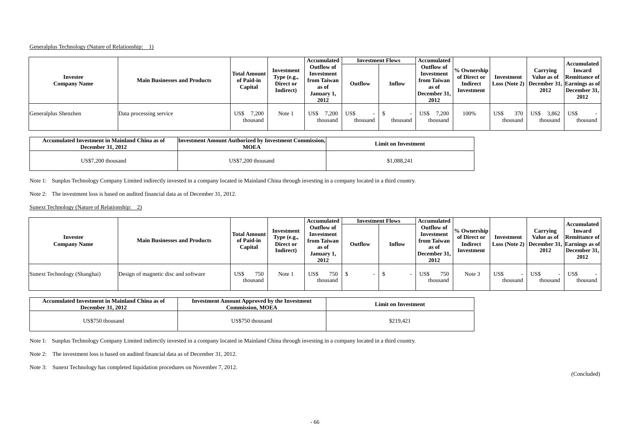#### Generalplus Technology (Nature of Relationship: 1)

| <b>Investee</b><br><b>Company Name</b> | <b>Main Businesses and Products</b> | <b>Total Amount</b><br>of Paid-in<br>Capital | Investment<br>Type (e.g.,<br>Direct or<br>Indirect) | Accumulated<br><b>Outflow of</b><br>Investment<br>from Taiwan<br>as of<br>January 1,<br>2012 | Outflow                                      | <b>Investment Flows</b><br>Inflow | Accumulated<br>Outflow of<br>Investment<br>from Taiwan<br>as of<br>December 31.<br>2012 | % Ownership<br>of Direct or<br><b>Indirect</b><br>Investment | Investment              | Carrying<br>Value as of<br>2012 | Accumulated<br><b>Inward</b><br><b>Remittance of</b><br>Loss (Note 2) December 31, Earnings as of<br>December 31,<br>2012 |
|----------------------------------------|-------------------------------------|----------------------------------------------|-----------------------------------------------------|----------------------------------------------------------------------------------------------|----------------------------------------------|-----------------------------------|-----------------------------------------------------------------------------------------|--------------------------------------------------------------|-------------------------|---------------------------------|---------------------------------------------------------------------------------------------------------------------------|
| Generalplus Shenzhen                   | Data processing service             | ,200<br>US\$<br>thousand                     | Note 1                                              | US\$<br>1,200<br>thousand                                                                    | US\$<br>$\overline{\phantom{a}}$<br>thousand | thousand                          | US\$<br>/0.200<br>thousand                                                              | 100%                                                         | US\$<br>370<br>thousand | 3,862<br>US\$<br>thousand       | US\$<br>thousand                                                                                                          |

| Accumulated Investment in Mainland China as of<br><b>December 31, 2012</b> | <b>Investment Amount Authorized by Investment Commission,</b><br><b>MOEA</b> | <b>Limit on Investment</b> |
|----------------------------------------------------------------------------|------------------------------------------------------------------------------|----------------------------|
| US\$7,200 thousand                                                         | US\$7.200 thousand                                                           | \$1,088,241                |

Note 1: Sunplus Technology Company Limited indirectly invested in a company located in Mainland China through investing in a company located in a third country.

Note 2: The investment loss is based on audited financial data as of December 31, 2012.

Sunext Technology (Nature of Relationship: 2)

| Investee<br><b>Company Name</b> | <b>Main Businesses and Products</b>  | <b>Total Amount</b><br>of Paid-in<br>Capital | Investment<br>Type (e.g.,<br>Direct or<br>Indirect) | <b>Accumulated</b><br>Outflow of<br>Investment<br>from Taiwan<br>as of<br>January 1,<br>2012 | Outflow | <b>Investment Flows</b><br>Inflow | Accumulated<br>Outflow of<br>Investment<br>from Taiwan<br>as of<br>December 31,<br>2012 | % Ownership<br>of Direct or<br><b>Indirect</b><br>Investment | Investment       | Carrying<br>Value as of<br>2012              | Accumulated<br>Inward<br><b>Remittance of</b><br>Loss (Note 2) December 31, Earnings as of<br>December 31,<br>2012 |
|---------------------------------|--------------------------------------|----------------------------------------------|-----------------------------------------------------|----------------------------------------------------------------------------------------------|---------|-----------------------------------|-----------------------------------------------------------------------------------------|--------------------------------------------------------------|------------------|----------------------------------------------|--------------------------------------------------------------------------------------------------------------------|
| Sunext Technology (Shanghai)    | Design of magnetic disc and software | 750<br>US\$<br>thousand                      | Note 1                                              | US\$<br>750<br>thousand                                                                      | -       |                                   | 750<br>US\$<br>thousand                                                                 | Note 3                                                       | US\$<br>thousand | US\$<br>$\overline{\phantom{a}}$<br>thousand | US\$<br>thousand                                                                                                   |

| Accumulated Investment in Mainland China as of<br><b>December 31, 2012</b> | <b>Investment Amount Approved by the Investment</b><br>Commission. MOEA | <b>Limit on Investment</b> |
|----------------------------------------------------------------------------|-------------------------------------------------------------------------|----------------------------|
| US\$750 thousand                                                           | US\$750 thousand                                                        | \$219.421                  |

Note 1: Sunplus Technology Company Limited indirectly invested in a company located in Mainland China through investing in a company located in a third country.

Note 2: The investment loss is based on audited financial data as of December 31, 2012.

Note 3: Sunext Technology has completed liquidation procedures on November 7, 2012.

(Concluded)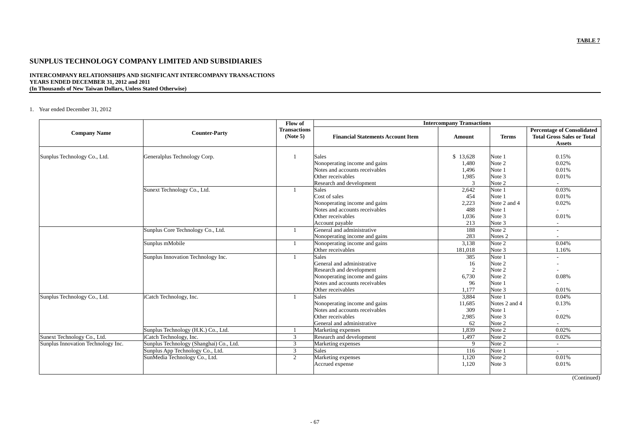#### **INTERCOMPANY RELATIONSHIPS AND SIGNIFICANT INTERCOMPANY TRANSACTIONS YEARS ENDED DECEMBER 31, 2012 and 2011 (In Thousands of New Taiwan Dollars, Unless Stated Otherwise)**

1. Year ended December 31, 2012

|                                    |                                         | Flow of                         | <b>Intercompany Transactions</b>         |          |                    |                                                                                         |  |
|------------------------------------|-----------------------------------------|---------------------------------|------------------------------------------|----------|--------------------|-----------------------------------------------------------------------------------------|--|
| <b>Company Name</b>                | <b>Counter-Party</b>                    | <b>Transactions</b><br>(Note 5) | <b>Financial Statements Account Item</b> | Amount   | <b>Terms</b>       | <b>Percentage of Consolidated</b><br><b>Total Gross Sales or Total</b><br><b>Assets</b> |  |
| Sunplus Technology Co., Ltd.       | Generalplus Technology Corp.            |                                 | <b>Sales</b>                             | \$13,628 | Note 1             | 0.15%                                                                                   |  |
|                                    |                                         |                                 | Nonoperating income and gains            | 1,480    | Note 2             | 0.02%                                                                                   |  |
|                                    |                                         |                                 | Notes and accounts receivables           | 1,496    | Note 1             | 0.01%                                                                                   |  |
|                                    |                                         |                                 | Other receivables                        | 1,985    | Note 3             | 0.01%                                                                                   |  |
|                                    |                                         |                                 | Research and development                 | 3        | Note 2             | $\overline{\phantom{a}}$                                                                |  |
|                                    | Sunext Technology Co., Ltd.             | $\mathbf{1}$                    | Sales                                    | 2,642    | Note 1             | 0.03%                                                                                   |  |
|                                    |                                         |                                 | Cost of sales                            | 454      | Note 1             | 0.01%                                                                                   |  |
|                                    |                                         |                                 | Nonoperating income and gains            | 2,223    | Note 2 and 4       | 0.02%                                                                                   |  |
|                                    |                                         |                                 | Notes and accounts receivables           | 488      | Note 1             | $\overline{a}$                                                                          |  |
|                                    |                                         |                                 | Other receivables                        | 1,036    | Note 3             | 0.01%                                                                                   |  |
|                                    |                                         |                                 | Account payable                          | 213      | Note 3             | $\overline{\phantom{a}}$                                                                |  |
|                                    | Sunplus Core Technology Co., Ltd.       |                                 | General and administrative               | 188      | Note 2             | $\overline{a}$                                                                          |  |
|                                    |                                         |                                 | Nonoperating income and gains            | 283      | Notes <sub>2</sub> | $\overline{\phantom{0}}$                                                                |  |
|                                    | Sunplus mMobile                         | $\mathbf{1}$                    | Nonoperating income and gains            | 3,138    | Note 2             | 0.04%                                                                                   |  |
|                                    |                                         |                                 | Other receivables                        | 181,018  | Note 3             | 1.16%                                                                                   |  |
|                                    | Sunplus Innovation Technology Inc.      | $\mathbf{1}$                    | <b>Sales</b>                             | 385      | Note 1             | $\overline{a}$                                                                          |  |
|                                    |                                         |                                 | General and administrative               | 16       | Note 2             |                                                                                         |  |
|                                    |                                         |                                 | Research and development                 | 2        | Note 2             | $\overline{\phantom{0}}$                                                                |  |
|                                    |                                         |                                 | Nonoperating income and gains            | 6,730    | Note 2             | 0.08%                                                                                   |  |
|                                    |                                         |                                 | Notes and accounts receivables           | 96       | Note 1             | $\overline{\phantom{a}}$                                                                |  |
|                                    |                                         |                                 | Other receivables                        | 1,177    | Note 3             | 0.01%                                                                                   |  |
| Sunplus Technology Co., Ltd.       | iCatch Technology, Inc.                 | $\mathbf{1}$                    | <b>Sales</b>                             | 3,884    | Note 1             | 0.04%                                                                                   |  |
|                                    |                                         |                                 | Nonoperating income and gains            | 11,685   | Notes 2 and 4      | 0.13%                                                                                   |  |
|                                    |                                         |                                 | Notes and accounts receivables           | 309      | Note 1             |                                                                                         |  |
|                                    |                                         |                                 | Other receivables                        | 2,985    | Note 3             | 0.02%                                                                                   |  |
|                                    |                                         |                                 | General and administrative               | 62       | Note 2             | $\overline{a}$                                                                          |  |
|                                    | Sunplus Technology (H.K.) Co., Ltd.     |                                 | Marketing expenses                       | 1.839    | Note 2             | 0.02%                                                                                   |  |
| Sunext Technology Co., Ltd.        | iCatch Technology, Inc.                 | 3                               | Research and development                 | 1,497    | Note 2             | 0.02%                                                                                   |  |
| Sunplus Innovation Technology Inc. | Sunplus Technology (Shanghai) Co., Ltd. | 3                               | Marketing expenses                       | 9        | Note 2             | $\overline{a}$                                                                          |  |
|                                    | Sunplus App Technology Co., Ltd.        | 3                               | <b>Sales</b>                             | 116      | Note 1             | $\sim$                                                                                  |  |
|                                    | SunMedia Technology Co., Ltd.           | 2                               | Marketing expenses                       | 1,120    | Note 2             | 0.01%                                                                                   |  |
|                                    |                                         |                                 | Accrued expense                          | 1,120    | Note 3             | 0.01%                                                                                   |  |
|                                    |                                         |                                 |                                          |          |                    |                                                                                         |  |

(Continued)

- 67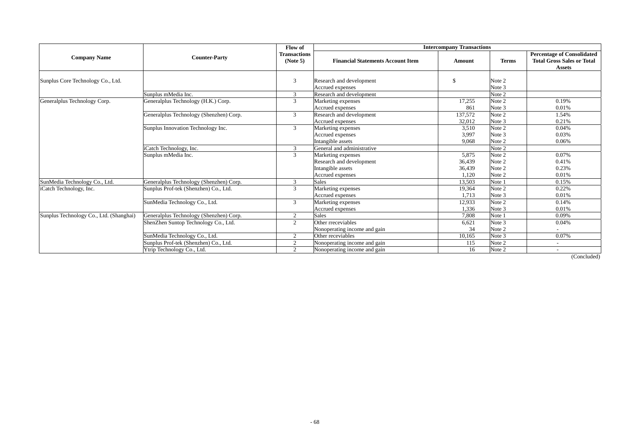|                                         | <b>Counter-Party</b>                    | Flow of                         | <b>Intercompany Transactions</b>                                                        |                                    |                                      |                                                                                         |  |  |
|-----------------------------------------|-----------------------------------------|---------------------------------|-----------------------------------------------------------------------------------------|------------------------------------|--------------------------------------|-----------------------------------------------------------------------------------------|--|--|
| <b>Company Name</b>                     |                                         | <b>Transactions</b><br>(Note 5) | <b>Financial Statements Account Item</b>                                                | Amount                             | <b>Terms</b>                         | <b>Percentage of Consolidated</b><br><b>Total Gross Sales or Total</b><br><b>Assets</b> |  |  |
| Sunplus Core Technology Co., Ltd.       |                                         | 3                               | Research and development<br>Accrued expenses                                            | -\$                                | Note 2<br>Note 3                     |                                                                                         |  |  |
|                                         | Sunplus mMedia Inc.                     | $\mathfrak{Z}$                  | Research and development                                                                |                                    | Note 2                               |                                                                                         |  |  |
| Generalplus Technology Corp.            | Generalplus Technology (H.K.) Corp.     | 3                               | Marketing expenses<br>Accrued expenses                                                  | 17,255<br>861                      | Note 2<br>Note 3                     | 0.19%<br>0.01%                                                                          |  |  |
|                                         | Generalplus Technology (Shenzhen) Corp. | $\mathfrak{Z}$                  | Research and development<br>Accrued expenses                                            | 137,572<br>32,012                  | Note 2<br>Note 3                     | 1.54%<br>0.21%                                                                          |  |  |
|                                         | Sunplus Innovation Technology Inc.      | $\mathfrak{Z}$                  | Marketing expenses<br>Accrued expenses<br>Intangible assets                             | 3,510<br>3,997<br>9.068            | Note 2<br>Note 3<br>Note 2           | 0.04%<br>0.03%<br>0.06%                                                                 |  |  |
|                                         | iCatch Technology, Inc.                 | 3                               | General and administrative                                                              |                                    | Note 2                               |                                                                                         |  |  |
|                                         | Sunplus mMedia Inc.                     | 3                               | Marketing expenses<br>Research and development<br>Intangible assets<br>Accrued expenses | 5,875<br>36,439<br>36,439<br>1,120 | Note 2<br>Note 2<br>Note 2<br>Note 2 | 0.07%<br>0.41%<br>0.23%<br>0.01%                                                        |  |  |
| SunMedia Technology Co., Ltd.           | Generalplus Technology (Shenzhen) Corp. | 3                               | <b>Sales</b>                                                                            | 13,503                             | Note 1                               | 0.15%                                                                                   |  |  |
| iCatch Technology, Inc.                 | Sunplus Prof-tek (Shenzhen) Co., Ltd.   | 3                               | Marketing expenses<br>Accrued expenses                                                  | 19,364<br>1,713                    | Note 2<br>Note 3                     | 0.22%<br>0.01%                                                                          |  |  |
|                                         | SunMedia Technology Co., Ltd.           | 3                               | Marketing expenses<br>Accrued expenses                                                  | 12,933<br>1,336                    | Note 2<br>Note 3                     | 0.14%<br>0.01%                                                                          |  |  |
| Sunplus Technology Co., Ltd. (Shanghai) | Generalplus Technology (Shenzhen) Corp. | $\overline{2}$                  | <b>Sales</b>                                                                            | 7.808                              | Note 1                               | 0.09%                                                                                   |  |  |
|                                         | ShenZhen Suntop Technology Co., Ltd.    | 2                               | Other rreceviables<br>Nonoperating income and gain                                      | 6,621<br>34                        | Note 3<br>Note 2                     | 0.04%                                                                                   |  |  |
|                                         | SunMedia Technology Co., Ltd.           | $\overline{2}$                  | Other receviables                                                                       | 10,165                             | Note 3                               | 0.07%                                                                                   |  |  |
|                                         | Sunplus Prof-tek (Shenzhen) Co., Ltd.   | 2                               | Nonoperating income and gain                                                            | 115                                | Note 2                               |                                                                                         |  |  |
|                                         | Ytrip Technology Co., Ltd.              | $\overline{2}$                  | Nonoperating income and gain                                                            | 16                                 | Note 2                               |                                                                                         |  |  |

(Concluded)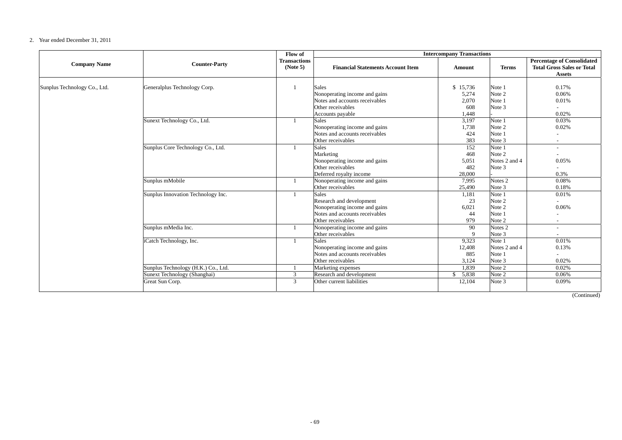#### 2. Year ended December 31, 2011

|                              | Flow of<br><b>Intercompany Transactions</b>                 |                                 |                                                                                                                                   |                                                     |                                                |                                                                                         |
|------------------------------|-------------------------------------------------------------|---------------------------------|-----------------------------------------------------------------------------------------------------------------------------------|-----------------------------------------------------|------------------------------------------------|-----------------------------------------------------------------------------------------|
| <b>Company Name</b>          | <b>Counter-Party</b>                                        | <b>Transactions</b><br>(Note 5) | <b>Financial Statements Account Item</b>                                                                                          | <b>Amount</b>                                       | <b>Terms</b>                                   | <b>Percentage of Consolidated</b><br><b>Total Gross Sales or Total</b><br><b>Assets</b> |
| Sunplus Technology Co., Ltd. | Generalplus Technology Corp.<br>Sunext Technology Co., Ltd. |                                 | <b>Sales</b><br>Nonoperating income and gains<br>Notes and accounts receivables<br>Other receivables<br>Accounts payable<br>Sales | \$15,736<br>5,274<br>2,070<br>608<br>1,448<br>3,197 | Note 1<br>Note 2<br>Note 1<br>Note 3<br>Note 1 | 0.17%<br>0.06%<br>0.01%<br>0.02%<br>0.03%                                               |
|                              |                                                             |                                 | Nonoperating income and gains<br>Notes and accounts receivables<br>Other receivables                                              | 1,738<br>424<br>383                                 | Note 2<br>Note 1<br>Note 3                     | 0.02%<br>$\overline{\phantom{a}}$                                                       |
|                              | Sunplus Core Technology Co., Ltd.                           |                                 | <b>Sales</b><br>Marketing<br>Nonoperating income and gains<br>Other receivables<br>Deferred royalty income                        | 152<br>468<br>5,051<br>482<br>28,000                | Note 1<br>Note 2<br>Notes 2 and 4<br>Note 3    | $\overline{\phantom{a}}$<br>0.05%<br>0.3%                                               |
|                              | Sunplus mMobile                                             |                                 | Nonoperating income and gains<br>Other receivables                                                                                | 7,995<br>25,490                                     | Notes <sub>2</sub><br>Note 3                   | 0.08%<br>0.18%                                                                          |
|                              | Sunplus Innovation Technology Inc.                          |                                 | <b>Sales</b><br>Research and development<br>Nonoperating income and gains<br>Notes and accounts receivables<br>Other receivables  | 1,181<br>23<br>6,021<br>44<br>979                   | Note 1<br>Note 2<br>Note 2<br>Note 1<br>Note 2 | 0.01%<br>$\overline{a}$<br>0.06%                                                        |
|                              | Sunplus mMedia Inc.                                         |                                 | Nonoperating income and gains<br>Other receivables                                                                                | 90<br>$\mathbf{Q}$                                  | Notes <sub>2</sub><br>Note 3                   | $\overline{a}$                                                                          |
|                              | iCatch Technology, Inc.                                     |                                 | <b>Sales</b><br>Nonoperating income and gains<br>Notes and accounts receivables<br>Other receivables                              | 9,323<br>12,408<br>885<br>3,124                     | Note 1<br>Notes 2 and 4<br>Note 1<br>Note 3    | 0.01%<br>0.13%<br>0.02%                                                                 |
|                              | Sunplus Technology (H.K.) Co., Ltd.                         |                                 | Marketing expenses                                                                                                                | 1,839                                               | Note 2                                         | 0.02%                                                                                   |
|                              | Sunext Technology (Shanghai)<br>Great Sun Corp.             | 3<br>3                          | Research and development<br>Other current liabilities                                                                             | \$5,838<br>12,104                                   | Note 2<br>Note 3                               | 0.06%<br>0.09%                                                                          |